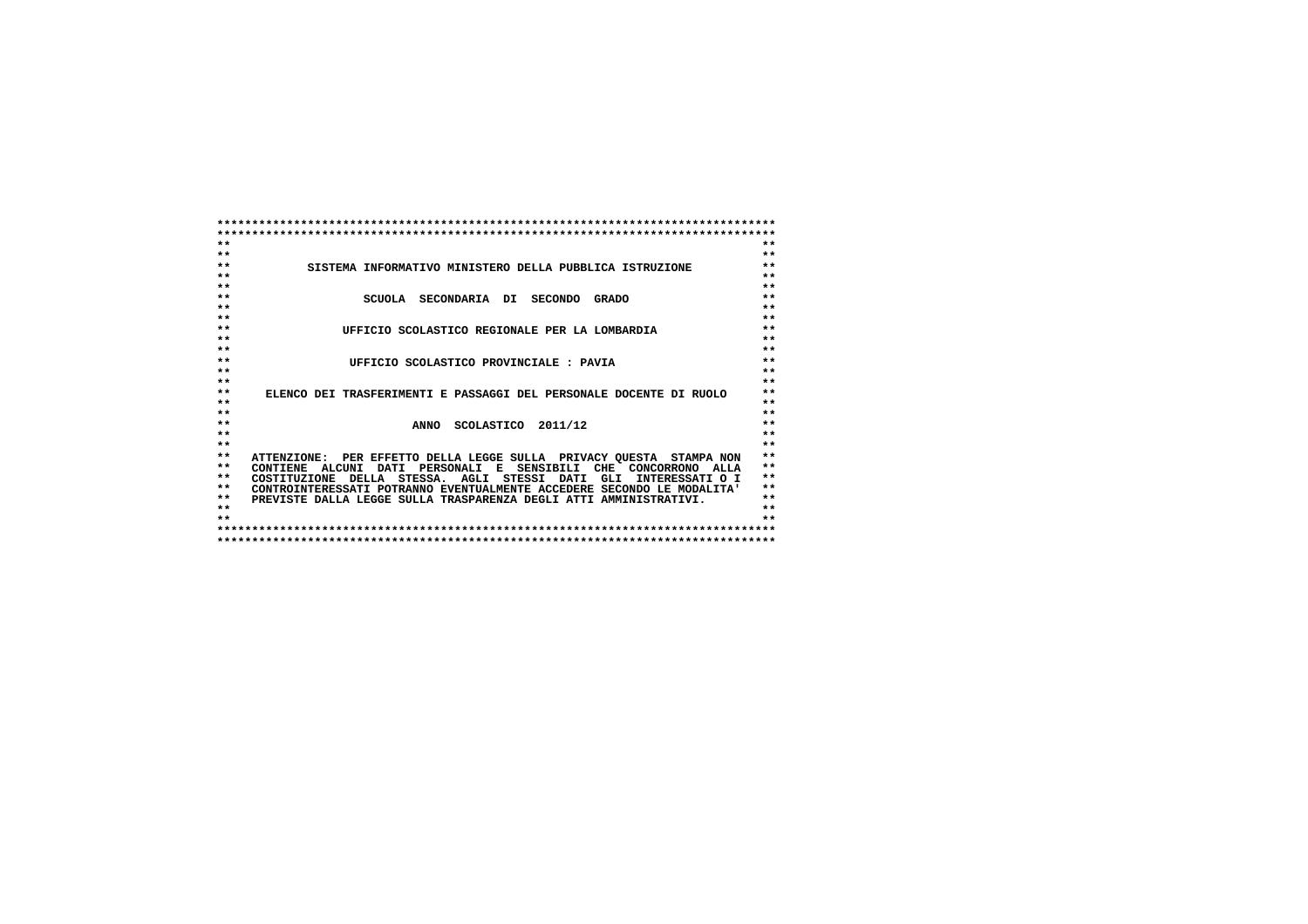| $**$            |                                                                        | $**$  |
|-----------------|------------------------------------------------------------------------|-------|
| $**$            |                                                                        | $**$  |
| $**$            | SISTEMA INFORMATIVO MINISTERO DELLA PUBBLICA ISTRUZIONE                | $**$  |
| $**$            |                                                                        | $**$  |
| $**$            |                                                                        | $**$  |
| $* *$           | SCUOLA SECONDARIA DI SECONDO<br><b>GRADO</b>                           | $**$  |
| $**$            |                                                                        | $**$  |
| $* *$           |                                                                        | $**$  |
| $**$            | UFFICIO SCOLASTICO REGIONALE PER LA LOMBARDIA                          | $**$  |
| $**$            |                                                                        | $**$  |
| $**$            |                                                                        | $**$  |
| $**$            | UFFICIO SCOLASTICO PROVINCIALE: PAVIA                                  | $**$  |
| $**$            |                                                                        | $**$  |
| $**$            |                                                                        | $**$  |
| $**$            | ELENCO DEI TRASFERIMENTI E PASSAGGI DEL PERSONALE DOCENTE DI RUOLO     | $**$  |
| $**$            |                                                                        | $**$  |
| $* *$           |                                                                        | $**$  |
| $**$            | ANNO SCOLASTICO 2011/12                                                | $**$  |
| $**$            |                                                                        | $**$  |
| $* *$           |                                                                        | $**$  |
| $**$            | ATTENZIONE: PER EFFETTO DELLA LEGGE SULLA PRIVACY QUESTA STAMPA NON    | $* *$ |
| $**$            | PERSONALI E SENSIBILI CHE CONCORRONO ALLA<br>CONTIENE ALCUNI DATI      | $**$  |
| $**$            | COSTITUZIONE DELLA STESSA. AGLI STESSI DATI<br>GLI<br>INTERESSATI O I  | $* *$ |
| $**$            | CONTROINTERESSATI POTRANNO EVENTUALMENTE ACCEDERE SECONDO LE MODALITA' | $**$  |
| $**$            | PREVISTE DALLA LEGGE SULLA TRASPARENZA DEGLI ATTI AMMINISTRATIVI.      | $**$  |
| $* *$           |                                                                        | $**$  |
| $\star$ $\star$ |                                                                        | $+ +$ |
|                 |                                                                        |       |
|                 |                                                                        |       |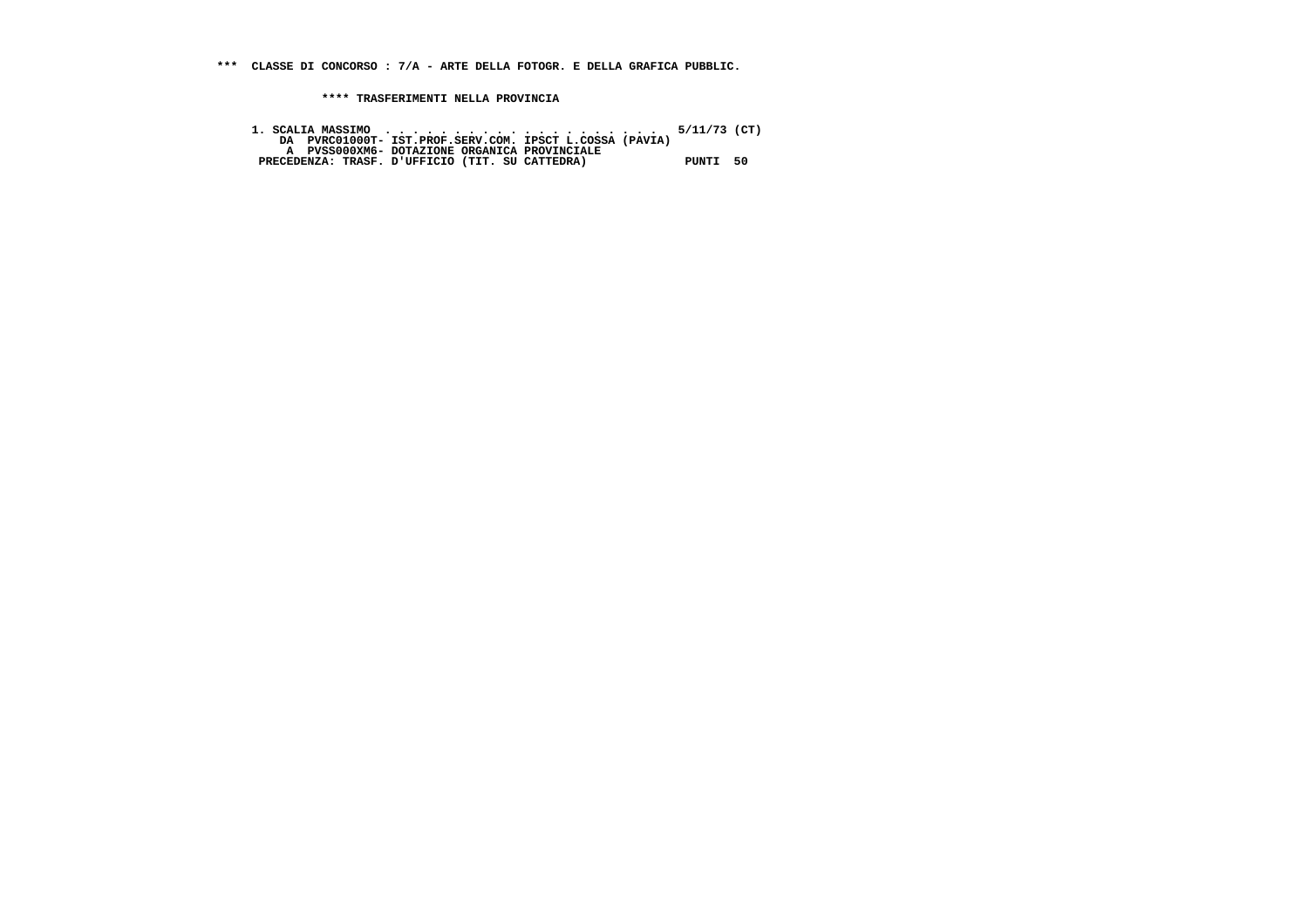**\*\*\* CLASSE DI CONCORSO : 7/A - ARTE DELLA FOTOGR. E DELLA GRAFICA PUBBLIC.**

 **\*\*\*\* TRASFERIMENTI NELLA PROVINCIA**

 **1. SCALIA MASSIMO . . . . . . . . . . . . . . . . . . . . 5/11/73 (CT) DA PVRC01000T- IST.PROF.SERV.COM. IPSCT L.COSSA (PAVIA) A PVSS000XM6- DOTAZIONE ORGANICA PROVINCIALE PRECEDENZA: TRASF. D'UFFICIO (TIT. SU CATTEDRA) PUNTI 50**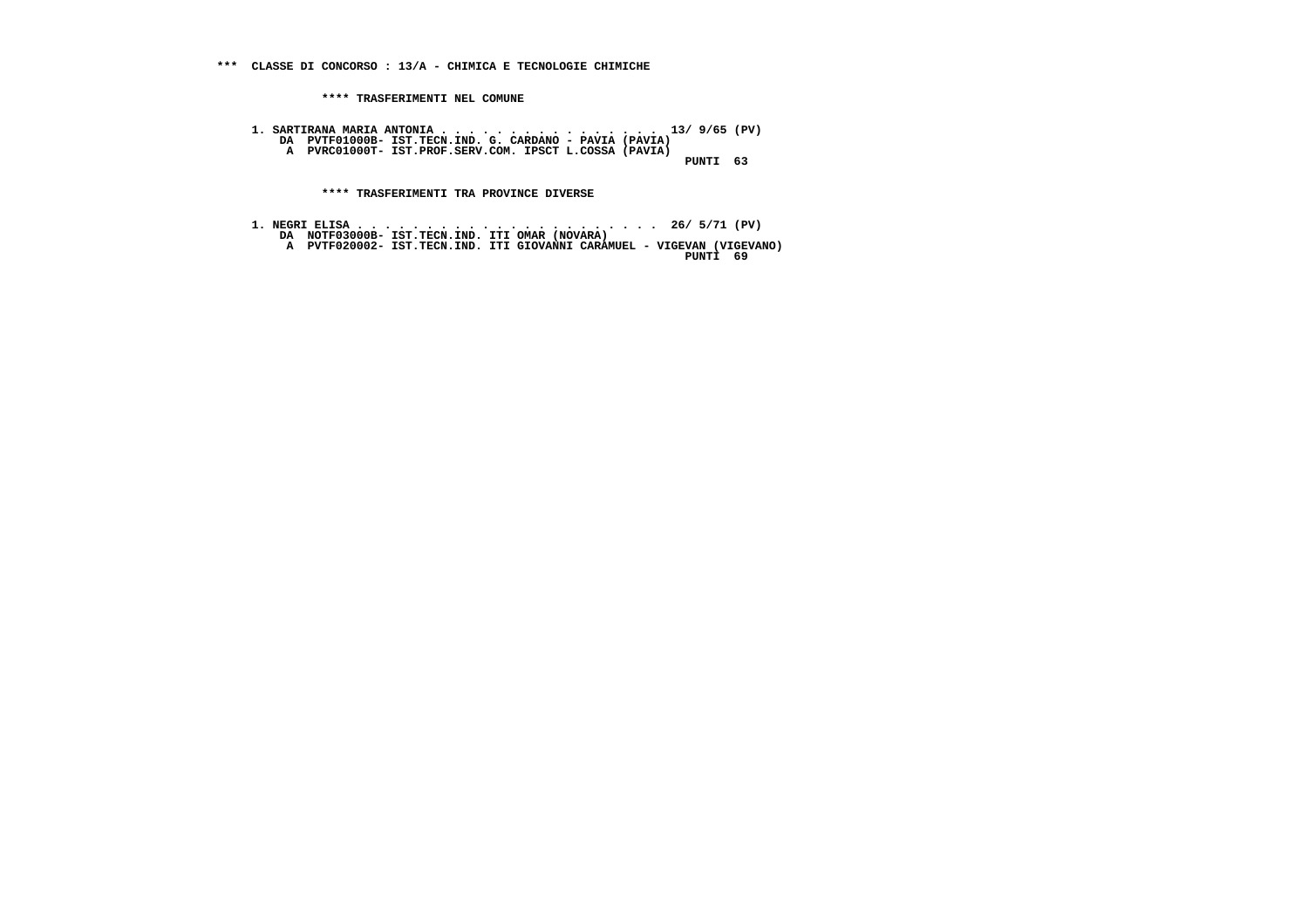**\*\*\* CLASSE DI CONCORSO : 13/A - CHIMICA E TECNOLOGIE CHIMICHE**

 **\*\*\*\* TRASFERIMENTI NEL COMUNE**

 **1. SARTIRANA MARIA ANTONIA . . . . . . . . . . . . . . . . 13/ 9/65 (PV) DA PVTF01000B- IST.TECN.IND. G. CARDANO - PAVIA (PAVIA) A PVRC01000T- IST.PROF.SERV.COM. IPSCT L.COSSA (PAVIA) PUNTI 63**

 **\*\*\*\* TRASFERIMENTI TRA PROVINCE DIVERSE**

 **1. NEGRI ELISA . . . . . . . . . . . . . . . . . . . . . . 26/ 5/71 (PV) DA NOTF03000B- IST.TECN.IND. ITI OMAR (NOVARA) A PVTF020002- IST.TECN.IND. ITI GIOVANNI CARAMUEL - VIGEVAN (VIGEVANO) PUNTI 69**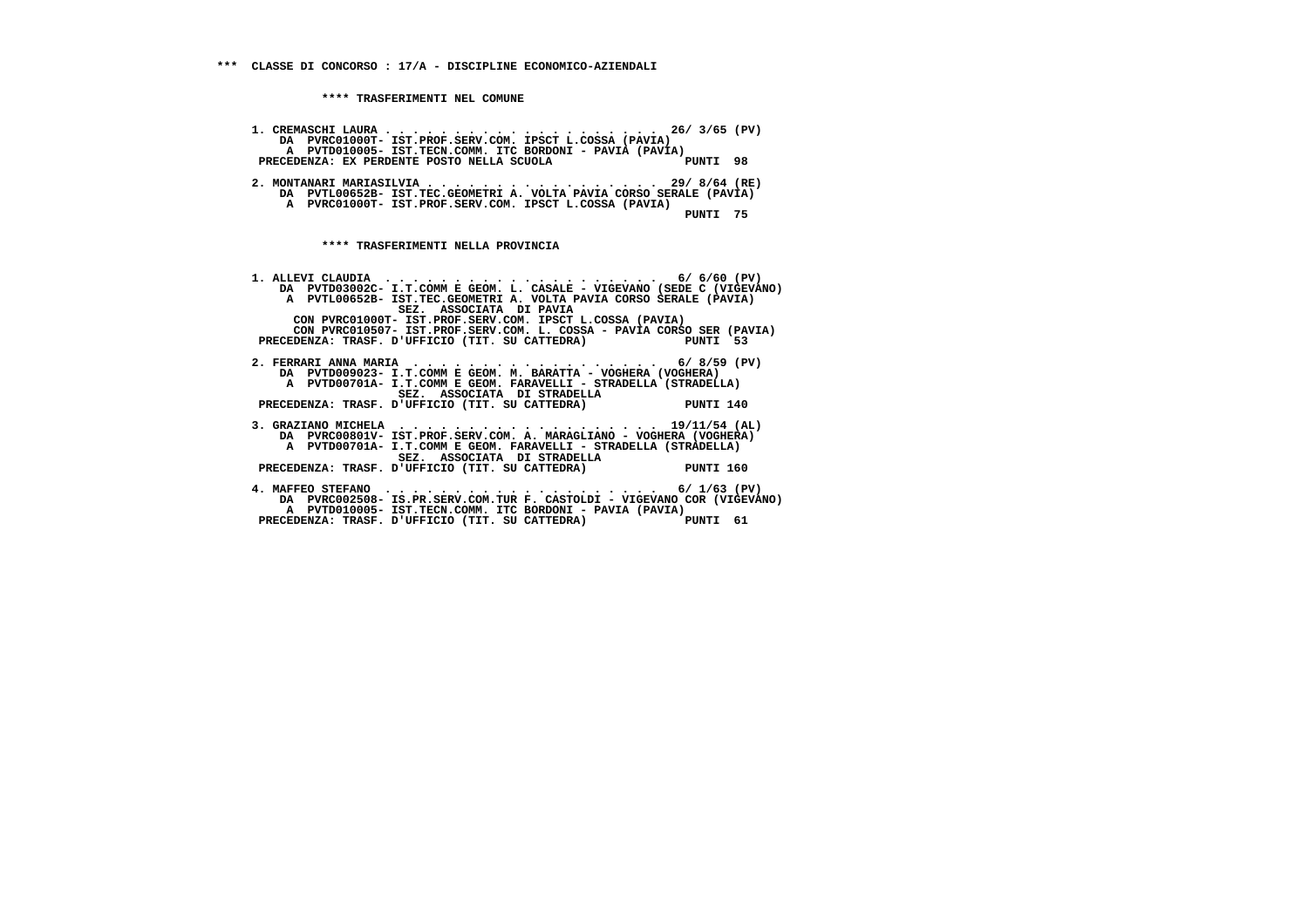**1. CREMASCHI LAURA . . . . . . . . . . . . . . . . . . . . 26/ 3/65 (PV) DA PVRC01000T- IST.PROF.SERV.COM. IPSCT L.COSSA (PAVIA) A PVTD010005- IST.TECN.COMM. ITC BORDONI - PAVIA (PAVIA)** $'$ PUNTI 98 PRECEDENZA: EX PERDENTE POSTO NELLA SCUOLA  **2. MONTANARI MARIASILVIA . . . . . . . . . . . . . . . . . 29/ 8/64 (RE) DA PVTL00652B- IST.TEC.GEOMETRI A. VOLTA PAVIA CORSO SERALE (PAVIA) A PVRC01000T- IST.PROF.SERV.COM. IPSCT L.COSSA (PAVIA) PUNTI 75**

 **\*\*\*\* TRASFERIMENTI NELLA PROVINCIA**

 **1. ALLEVI CLAUDIA . . . . . . . . . . . . . . . . . . . . 6/ 6/60 (PV) DA PVTD03002C- I.T.COMM E GEOM. L. CASALE - VIGEVANO (SEDE C (VIGEVANO) A PVTL00652B- IST.TEC.GEOMETRI A. VOLTA PAVIA CORSO SERALE (PAVIA) SEZ. ASSOCIATA DI PAVIA CON PVRC01000T- IST.PROF.SERV.COM. IPSCT L.COSSA (PAVIA) CON PVRC010507- IST.PROF.SERV.COM. L. COSSA - PAVIA CORSO SER (PAVIA) PRECEDENZA: TRASF. D'UFFICIO (TIT. SU CATTEDRA) PUNTI 53 2. FERRARI ANNA MARIA . . . . . . . . . . . . . . . . . . 6/ 8/59 (PV) DA PVTD009023- I.T.COMM E GEOM. M. BARATTA - VOGHERA (VOGHERA) A PVTD00701A- I.T.COMM E GEOM. FARAVELLI - STRADELLA (STRADELLA) SEZ. ASSOCIATA DI STRADELLA PRECEDENZA: TRASF. D'UFFICIO (TIT. SU CATTEDRA) PUNTI 140 3. GRAZIANO MICHELA . . . . . . . . . . . . . . . . . . . 19/11/54 (AL) DA PVRC00801V- IST.PROF.SERV.COM. A. MARAGLIANO - VOGHERA (VOGHERA) A PVTD00701A- I.T.COMM E GEOM. FARAVELLI - STRADELLA (STRADELLA) SEZ. ASSOCIATA DI STRADELLA PRECEDENZA: TRASF. D'UFFICIO (TIT. SU CATTEDRA) PUNTI 160 4. MAFFEO STEFANO . . . . . . . . . . . . . . . . . . . . 6/ 1/63 (PV) DA PVRC002508- IS.PR.SERV.COM.TUR F. CASTOLDI - VIGEVANO COR (VIGEVANO) A PVTD010005- IST.TECN.COMM. ITC BORDONI - PAVIA (PAVIA)**PUNTI 61 PRECEDENZA: TRASF. D'UFFICIO (TIT. SU CATTEDRA)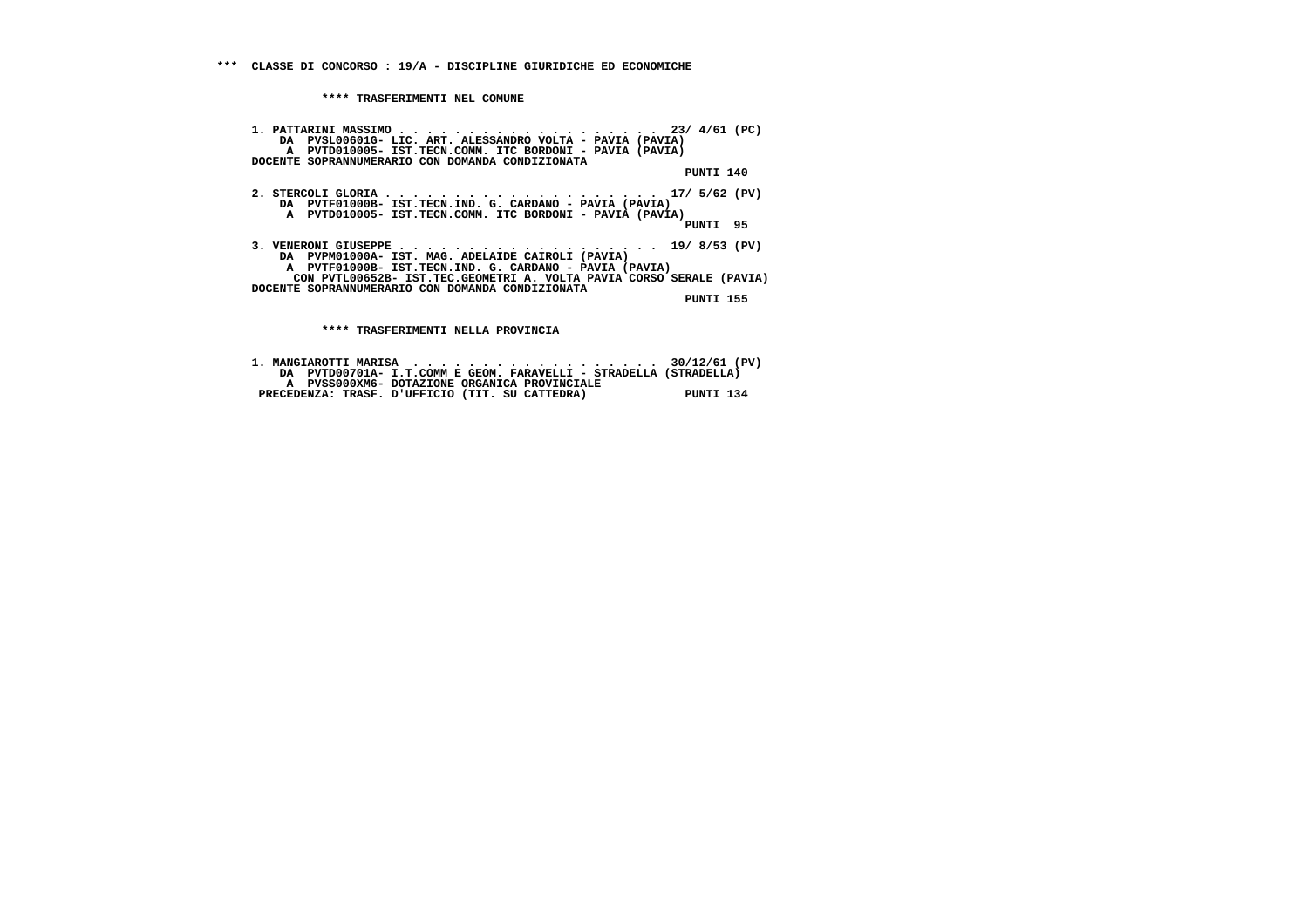**1. PATTARINI MASSIMO . . . . . . . . . . . . . . . . . . . 23/ 4/61 (PC) DA PVSL00601G- LIC. ART. ALESSANDRO VOLTA - PAVIA (PAVIA) A PVTD010005- IST.TECN.COMM. ITC BORDONI - PAVIA (PAVIA) DOCENTE SOPRANNUMERARIO CON DOMANDA CONDIZIONATA PUNTI 140 2. STERCOLI GLORIA . . . . . . . . . . . . . . . . . . . . 17/ 5/62 (PV) DA PVTF01000B- IST.TECN.IND. G. CARDANO - PAVIA (PAVIA) A PVTD010005- IST.TECN.COMM. ITC BORDONI - PAVIA (PAVIA) PUNTI 95 3. VENERONI GIUSEPPE . . . . . . . . . . . . . . . . . . . 19/ 8/53 (PV) DA PVPM01000A- IST. MAG. ADELAIDE CAIROLI (PAVIA) A PVTF01000B- IST.TECN.IND. G. CARDANO - PAVIA (PAVIA) CON PVTL00652B- IST.TEC.GEOMETRI A. VOLTA PAVIA CORSO SERALE (PAVIA) DOCENTE SOPRANNUMERARIO CON DOMANDA CONDIZIONATA PUNTI 155**

 **\*\*\*\* TRASFERIMENTI NELLA PROVINCIA**

|                                                 | DA PVTD00701A- I.T.COMM E GEOM. FARAVELLI - STRADELLA (STRADELLA) |           |
|-------------------------------------------------|-------------------------------------------------------------------|-----------|
|                                                 | A PVSS000XM6- DOTAZIONE ORGANICA PROVINCIALE                      |           |
| PRECEDENZA: TRASF. D'UFFICIO (TIT. SU CATTEDRA) |                                                                   | PUNTI 134 |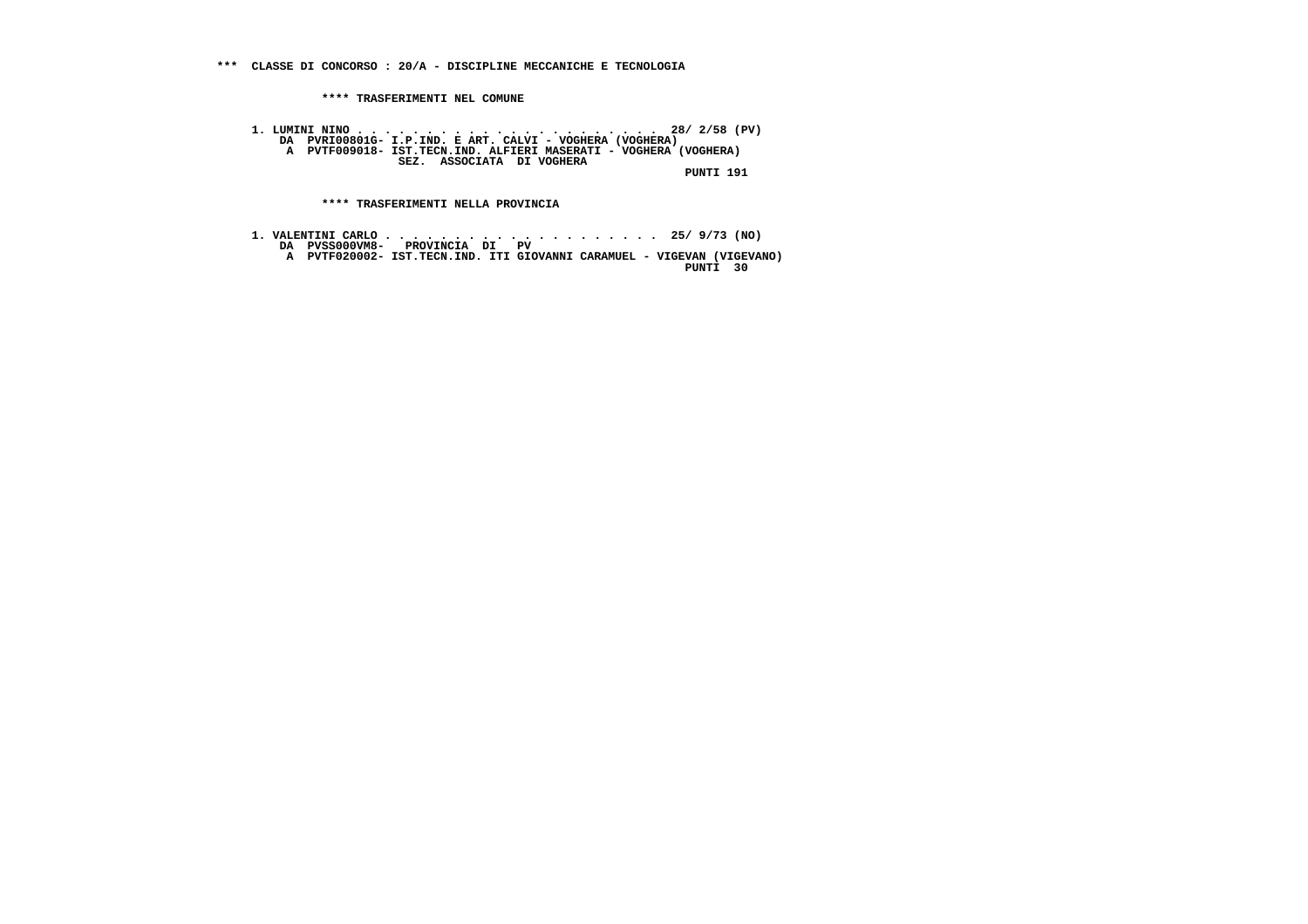**\*\*\* CLASSE DI CONCORSO : 20/A - DISCIPLINE MECCANICHE E TECNOLOGIA**

 **\*\*\*\* TRASFERIMENTI NEL COMUNE**

 **1. LUMINI NINO . . . . . . . . . . . . . . . . . . . . . . 28/ 2/58 (PV) DA PVRI00801G- I.P.IND. E ART. CALVI - VOGHERA (VOGHERA) A PVTF009018- IST.TECN.IND. ALFIERI MASERATI - VOGHERA (VOGHERA) SEZ. ASSOCIATA DI VOGHERA PUNTI 191**

 **\*\*\*\* TRASFERIMENTI NELLA PROVINCIA**

 **1. VALENTINI CARLO . . . . . . . . . . . . . . . . . . . . 25/ 9/73 (NO) DA PVSS000VM8- PROVINCIA DI PV A PVTF020002- IST.TECN.IND. ITI GIOVANNI CARAMUEL - VIGEVAN (VIGEVANO) PUNTI 30**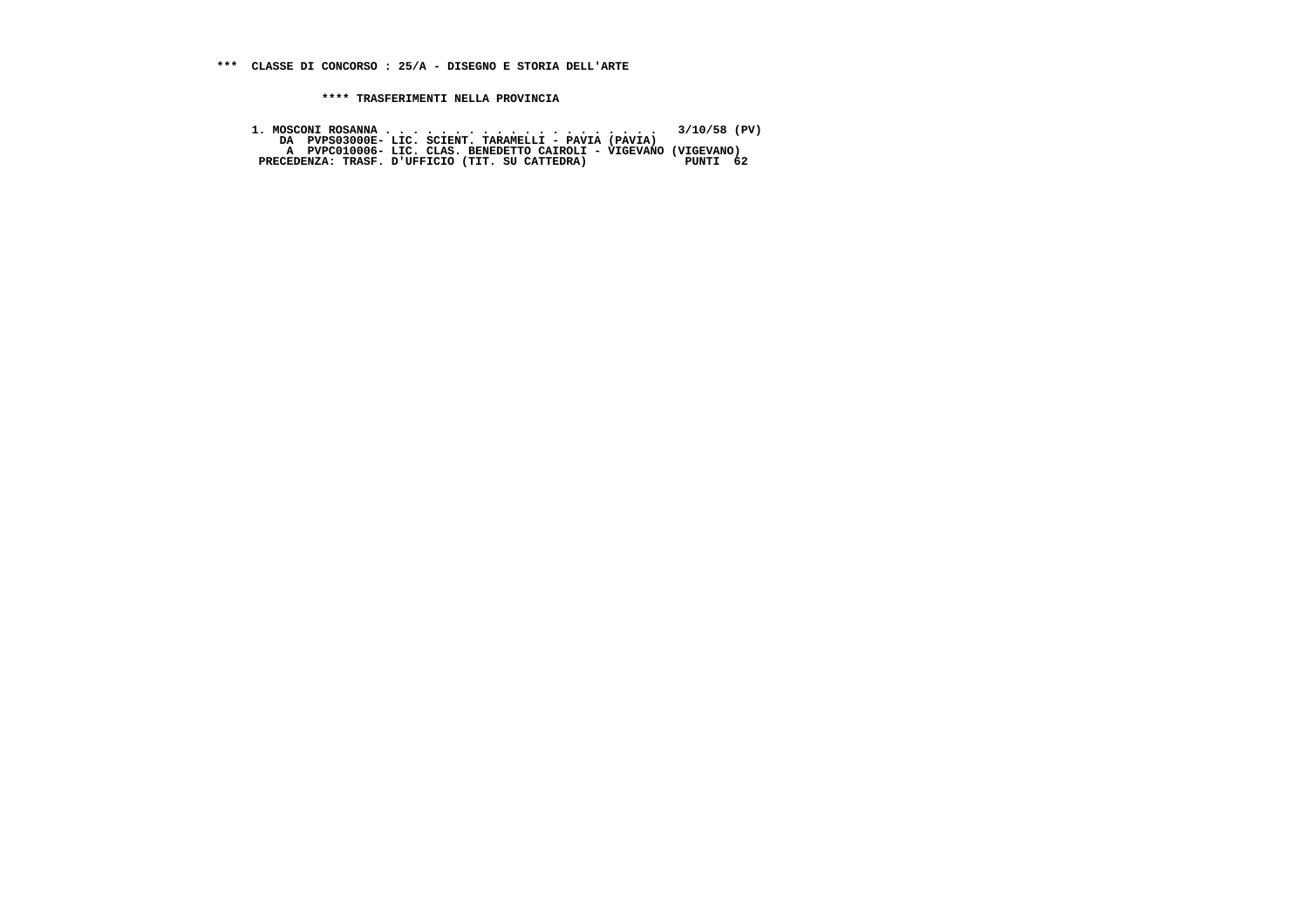**1. MOSCONI ROSANNA . . . . . . . . . . . . . . . . . . . . 3/10/58 (PV) DA PVPS03000E- LIC. SCIENT. TARAMELLI - PAVIA (PAVIA) A PVPC010006- LIC. CLAS. BENEDETTO CAIROLI - VIGEVANO (VIGEVANO) PRECEDENZA: TRASF. D'UFFICIO (TIT. SU CATTEDRA) PUNTI 62**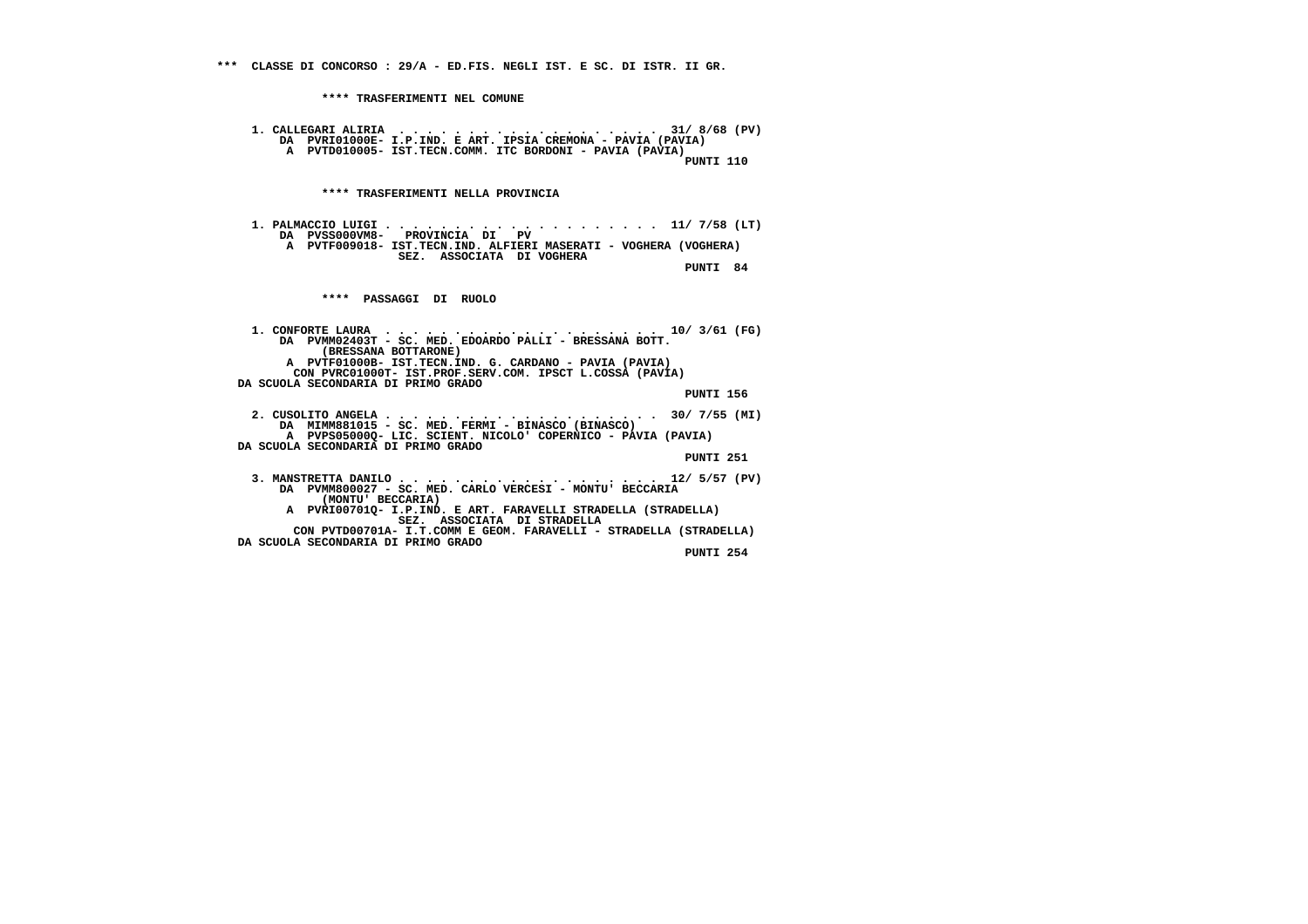**\*\*\*\* TRASFERIMENTI NEL COMUNE 1. CALLEGARI ALIRIA . . . . . . . . . . . . . . . . . . . 31/ 8/68 (PV) DA PVRI01000E- I.P.IND. E ART. IPSIA CREMONA - PAVIA (PAVIA) A PVTD010005- IST.TECN.COMM. ITC BORDONI - PAVIA (PAVIA)**110 דיד אחזפ<sup>י</sup>  **PUNTI 110 \*\*\*\* TRASFERIMENTI NELLA PROVINCIA 1. PALMACCIO LUIGI . . . . . . . . . . . . . . . . . . . . 11/ 7/58 (LT) DA PVSS000VM8- PROVINCIA DI PV A PVTF009018- IST.TECN.IND. ALFIERI MASERATI - VOGHERA (VOGHERA) SEZ. ASSOCIATA DI VOGHERA PUNTI 84 \*\*\*\* PASSAGGI DI RUOLO 1. CONFORTE LAURA . . . . . . . . . . . . . . . . . . . . 10/ 3/61 (FG) DA PVMM02403T - SC. MED. EDOARDO PALLI - BRESSANA BOTT. (BRESSANA BOTTARONE) A PVTF01000B- IST.TECN.IND. G. CARDANO - PAVIA (PAVIA) CON PVRC01000T- IST.PROF.SERV.COM. IPSCT L.COSSA (PAVIA) DA SCUOLA SECONDARIA DI PRIMO GRADO PUNTI 156 2. CUSOLITO ANGELA . . . . . . . . . . . . . . . . . . . . 30/ 7/55 (MI) DA MIMM881015 - SC. MED. FERMI - BINASCO (BINASCO) A PVPS05000Q- LIC. SCIENT. NICOLO' COPERNICO - PAVIA (PAVIA) DA SCUOLA SECONDARIA DI PRIMO GRADO PUNTI 251 3. MANSTRETTA DANILO . . . . . . . . . . . . . . . . . . . 12/ 5/57 (PV) DA PVMM800027 - SC. MED. CARLO VERCESI - MONTU' BECCARIA (MONTU' BECCARIA) A PVRI00701Q- I.P.IND. E ART. FARAVELLI STRADELLA (STRADELLA) SEZ. ASSOCIATA DI STRADELLA CON PVTD00701A- I.T.COMM E GEOM. FARAVELLI - STRADELLA (STRADELLA) DA SCUOLA SECONDARIA DI PRIMO GRADO PUNTI 254**

 **\*\*\* CLASSE DI CONCORSO : 29/A - ED.FIS. NEGLI IST. E SC. DI ISTR. II GR.**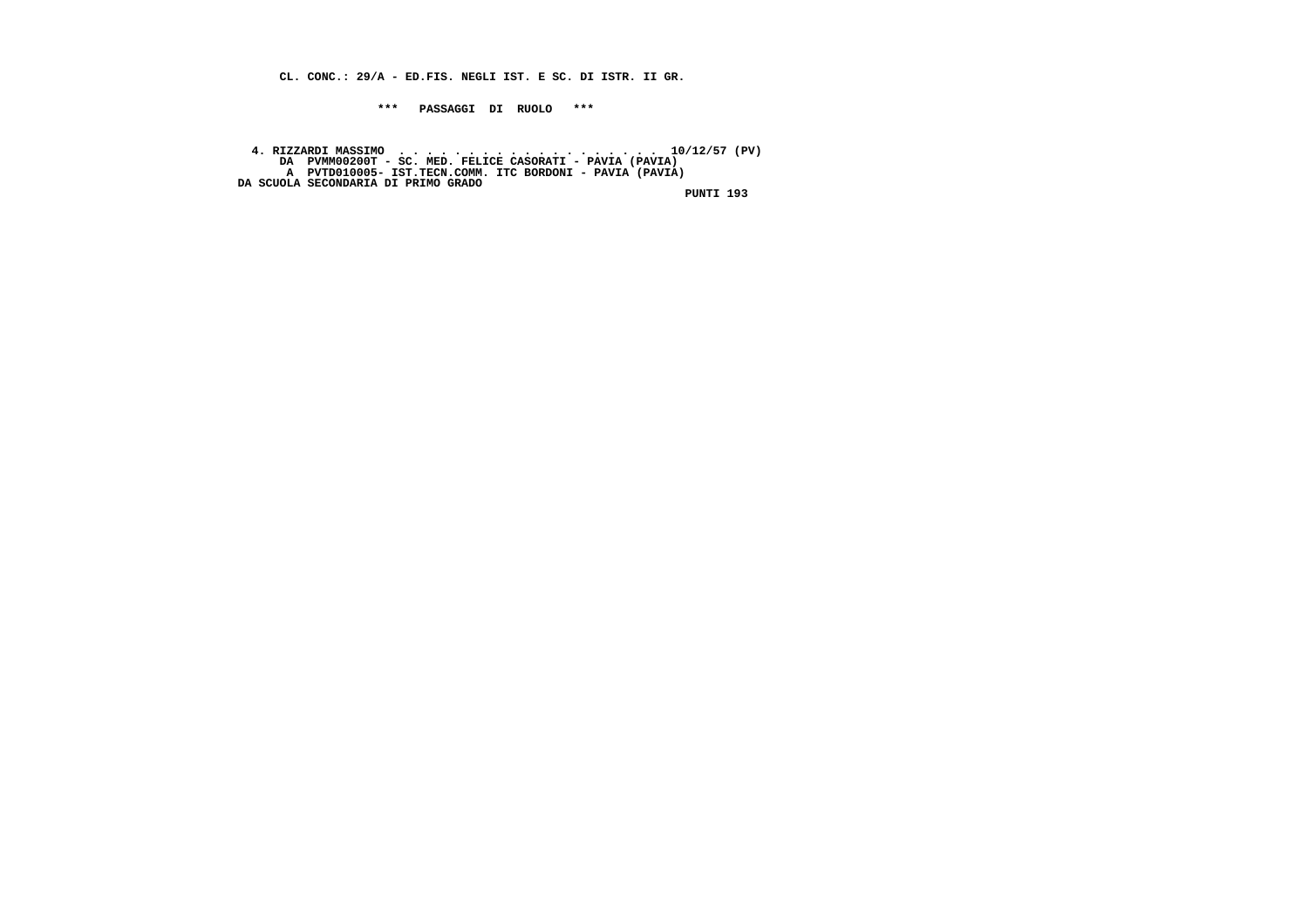**CL. CONC.: 29/A - ED.FIS. NEGLI IST. E SC. DI ISTR. II GR.**

 **\*\*\* PASSAGGI DI RUOLO \*\*\***

4. RIZZARDI MASSIMO<br>DA PVMM00200T - SC. MED. FELICE CASORATI - PAVIA (PAVIA)<br>A PVTD010005- IST.TECN.COMM. ITC BORDONI - PAVIA (PAVIA)<br>DA SCUOLA SECONDARIA DI PRIMO GRADO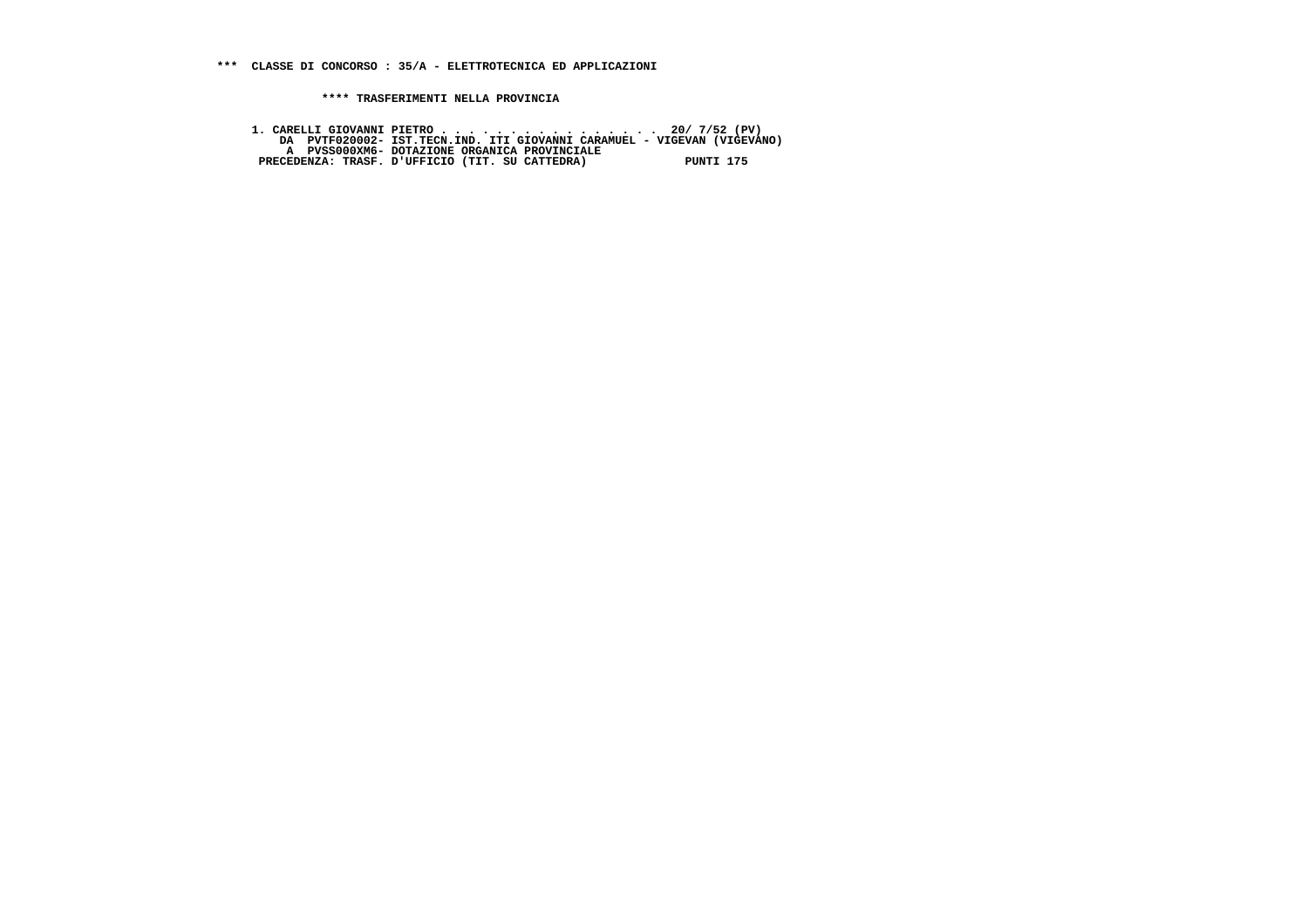1. CARELLI GIOVANNI PIETRO . . . . . . . . . . . . . . . . . . 20/ 7/52 (PV)<br>DA PVTF020002- IST.TECN.IND.ITI GIOVANNI CARAMUEL - VIGEVAN (VIGEVANO)<br>A PVSS000XM6- DOTAZIONE ORGANICA PROVINCIALE<br>PRECEDENZA: TRASF. D'UFFICIO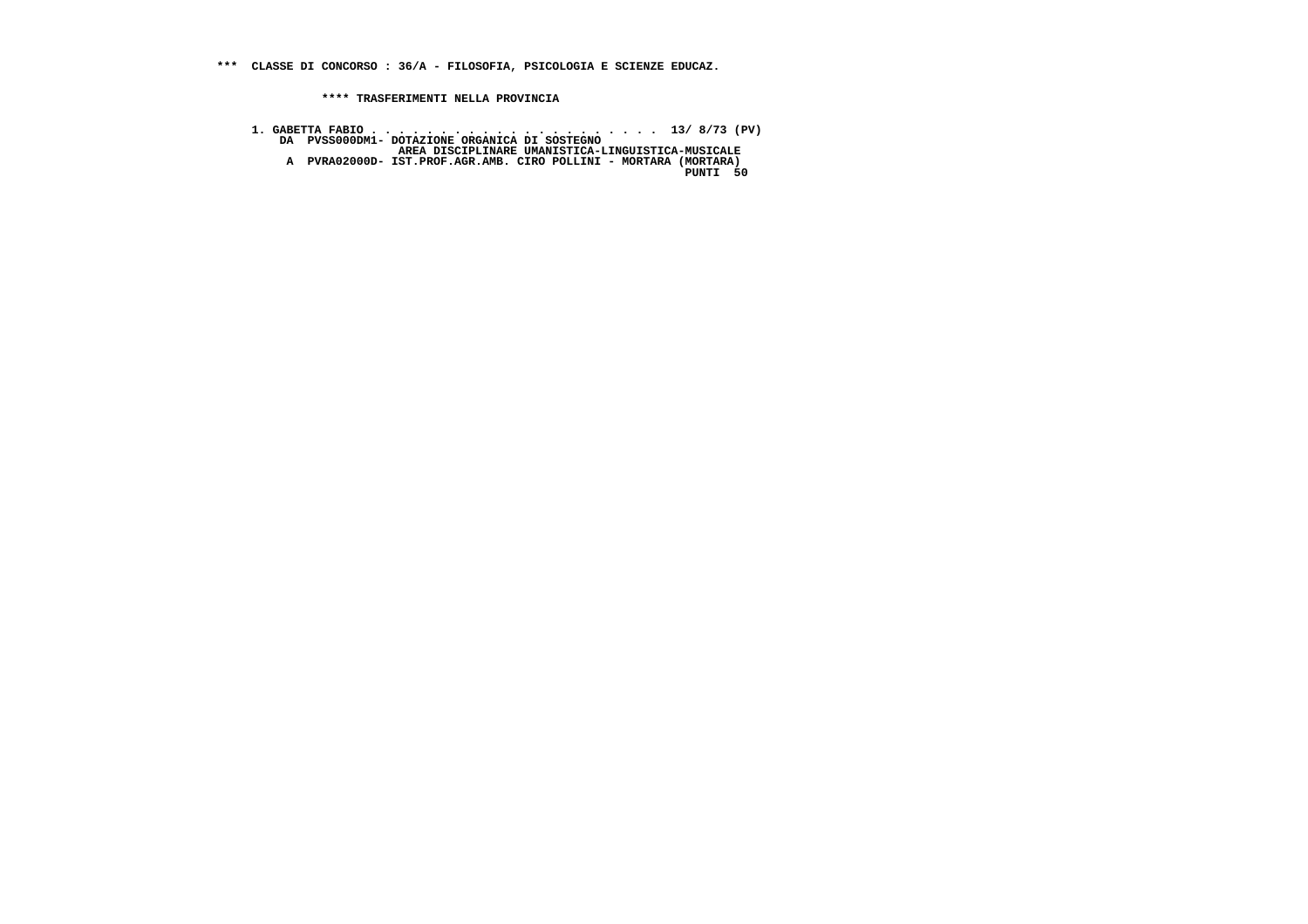**\*\*\* CLASSE DI CONCORSO : 36/A - FILOSOFIA, PSICOLOGIA E SCIENZE EDUCAZ.**

 **\*\*\*\* TRASFERIMENTI NELLA PROVINCIA**

 **1. GABETTA FABIO . . . . . . . . . . . . . . . . . . . . . 13/ 8/73 (PV) DA PVSS000DM1- DOTAZIONE ORGANICA DI SOSTEGNO AREA DISCIPLINARE UMANISTICA-LINGUISTICA-MUSICALE A PVRA02000D- IST.PROF.AGR.AMB. CIRO POLLINI - MORTARA (MORTARA) PUNTI 50**PUNTI 50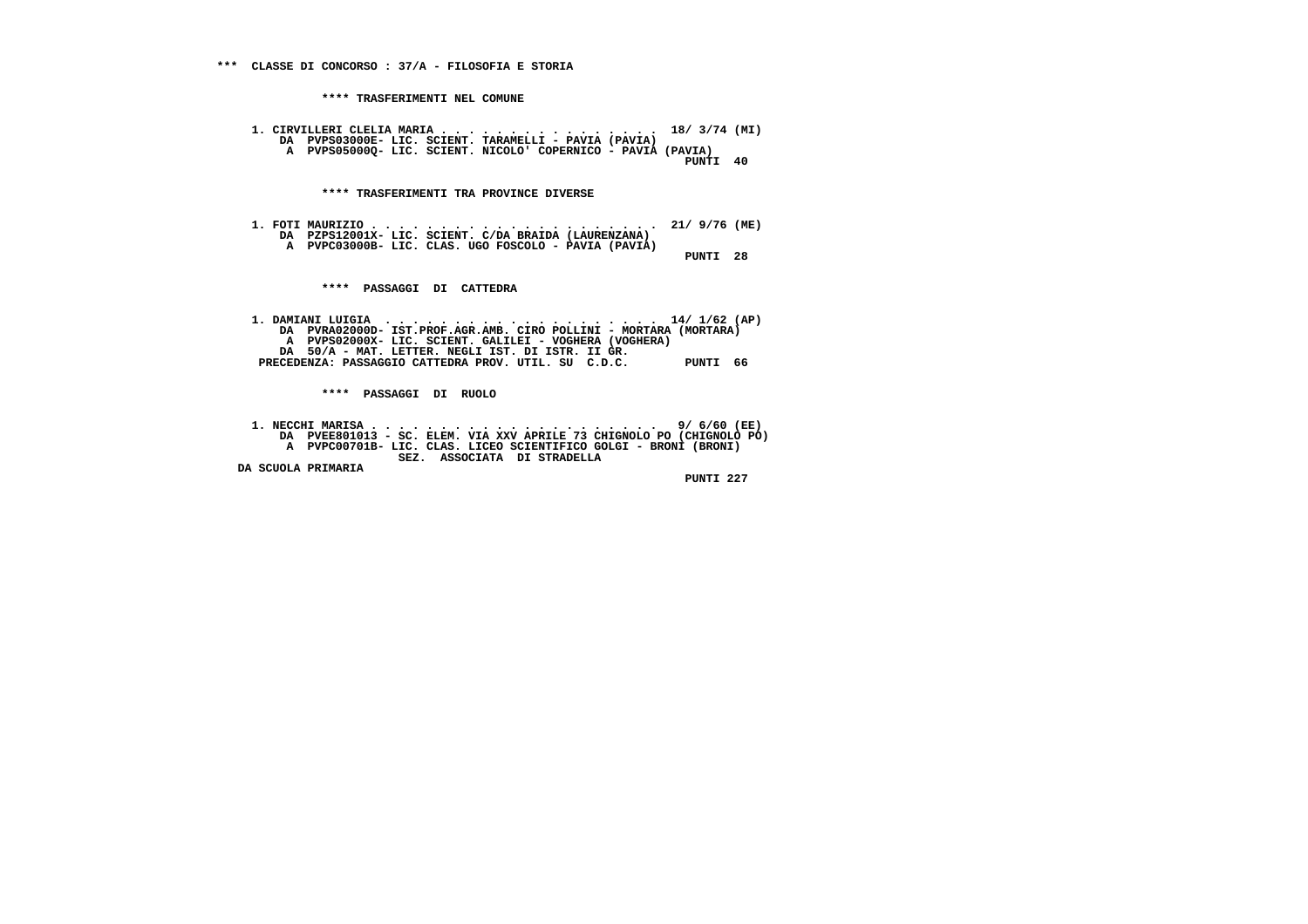**1. CIRVILLERI CLELIA MARIA . . . . . . . . . . . . . . . . 18/ 3/74 (MI) DA PVPS03000E- LIC. SCIENT. TARAMELLI - PAVIA (PAVIA) A PVPS05000Q- LIC. SCIENT. NICOLO' COPERNICO - PAVIA (PAVIA) PUNTI 40**

 **\*\*\*\* TRASFERIMENTI TRA PROVINCE DIVERSE**

 **1. FOTI MAURIZIO . . . . . . . . . . . . . . . . . . . . . 21/ 9/76 (ME) DA PZPS12001X- LIC. SCIENT. C/DA BRAIDA (LAURENZANA) A PVPC03000B- LIC. CLAS. UGO FOSCOLO - PAVIA (PAVIA) PUNTI 28**

 **\*\*\*\* PASSAGGI DI CATTEDRA**

 **1. DAMIANI LUIGIA . . . . . . . . . . . . . . . . . . . . 14/ 1/62 (AP) DA PVRA02000D- IST.PROF.AGR.AMB. CIRO POLLINI - MORTARA (MORTARA) A PVPS02000X- LIC. SCIENT. GALILEI - VOGHERA (VOGHERA) DA 50/A - MAT. LETTER. NEGLI IST. DI ISTR. II GR. PRECEDENZA: PASSAGGIO CATTEDRA PROV. UTIL. SU C.D.C. PUNTI 66**

 **\*\*\*\* PASSAGGI DI RUOLO**

 **1. NECCHI MARISA . . . . . . . . . . . . . . . . . . . . . 9/ 6/60 (EE) DA PVEE801013 - SC. ELEM. VIA XXV APRILE 73 CHIGNOLO PO (CHIGNOLO PO) A PVPC00701B- LIC. CLAS. LICEO SCIENTIFICO GOLGI - BRONI (BRONI) SEZ. ASSOCIATA DI STRADELLA DA SCUOLA PRIMARIA**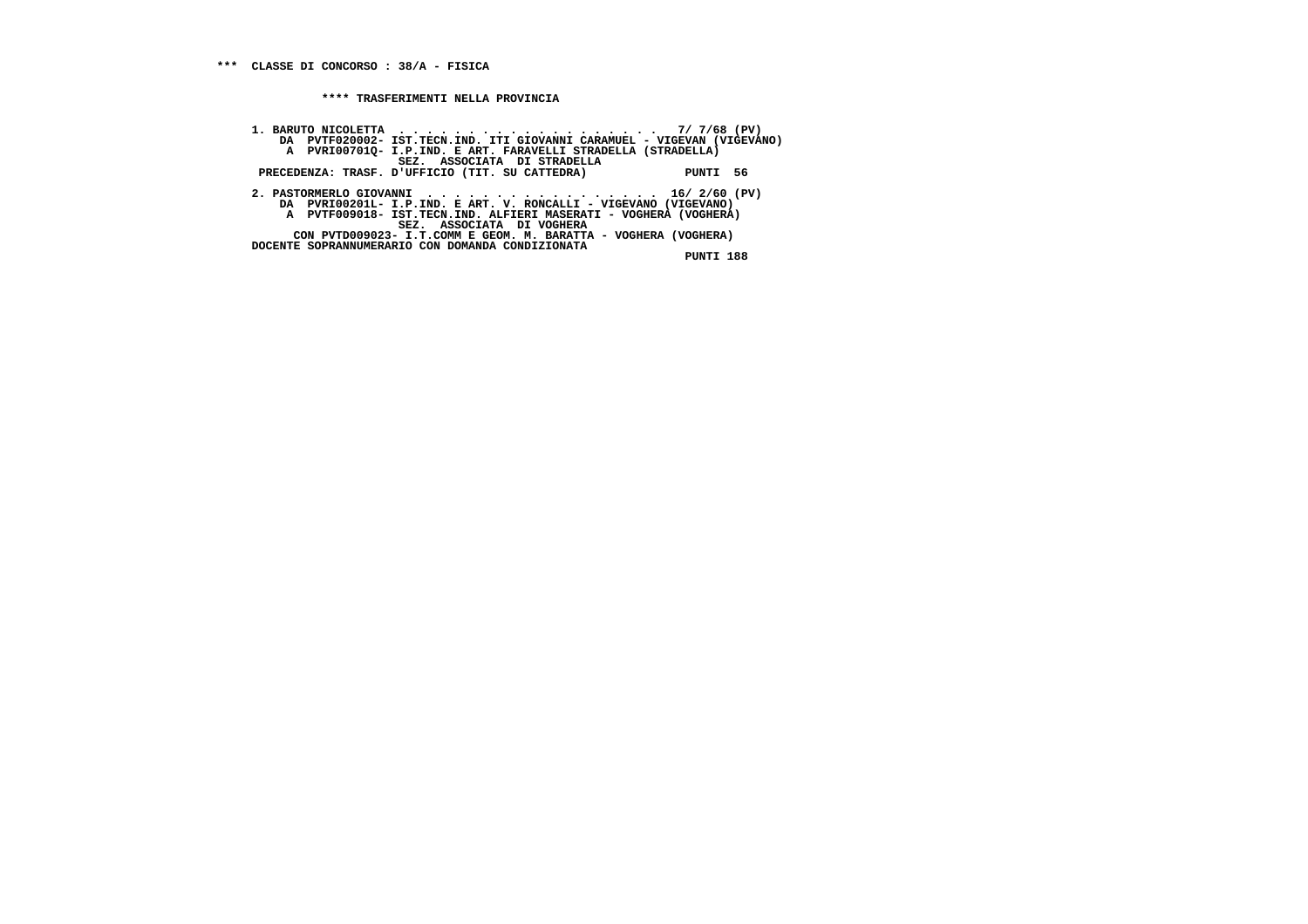**1. BARUTO NICOLETTA . . . . . . . . . . . . . . . . . . . 7/ 7/68 (PV) DA PVTF020002- IST.TECN.IND. ITI GIOVANNI CARAMUEL - VIGEVAN (VIGEVANO) A PVRI00701Q- I.P.IND. E ART. FARAVELLI STRADELLA (STRADELLA) SEZ. ASSOCIATA DI STRADELLA PRECEDENZA: TRASF. D'UFFICIO (TIT. SU CATTEDRA) PUNTI 56 2. PASTORMERLO GIOVANNI . . . . . . . . . . . . . . . . . 16/ 2/60 (PV) DA PVRI00201L- I.P.IND. E ART. V. RONCALLI - VIGEVANO (VIGEVANO) A PVTF009018- IST.TECN.IND. ALFIERI MASERATI - VOGHERA (VOGHERA) SEZ. ASSOCIATA DI VOGHERA CON PVTD009023- I.T.COMM E GEOM. M. BARATTA - VOGHERA (VOGHERA) DOCENTE SOPRANNUMERARIO CON DOMANDA CONDIZIONATA**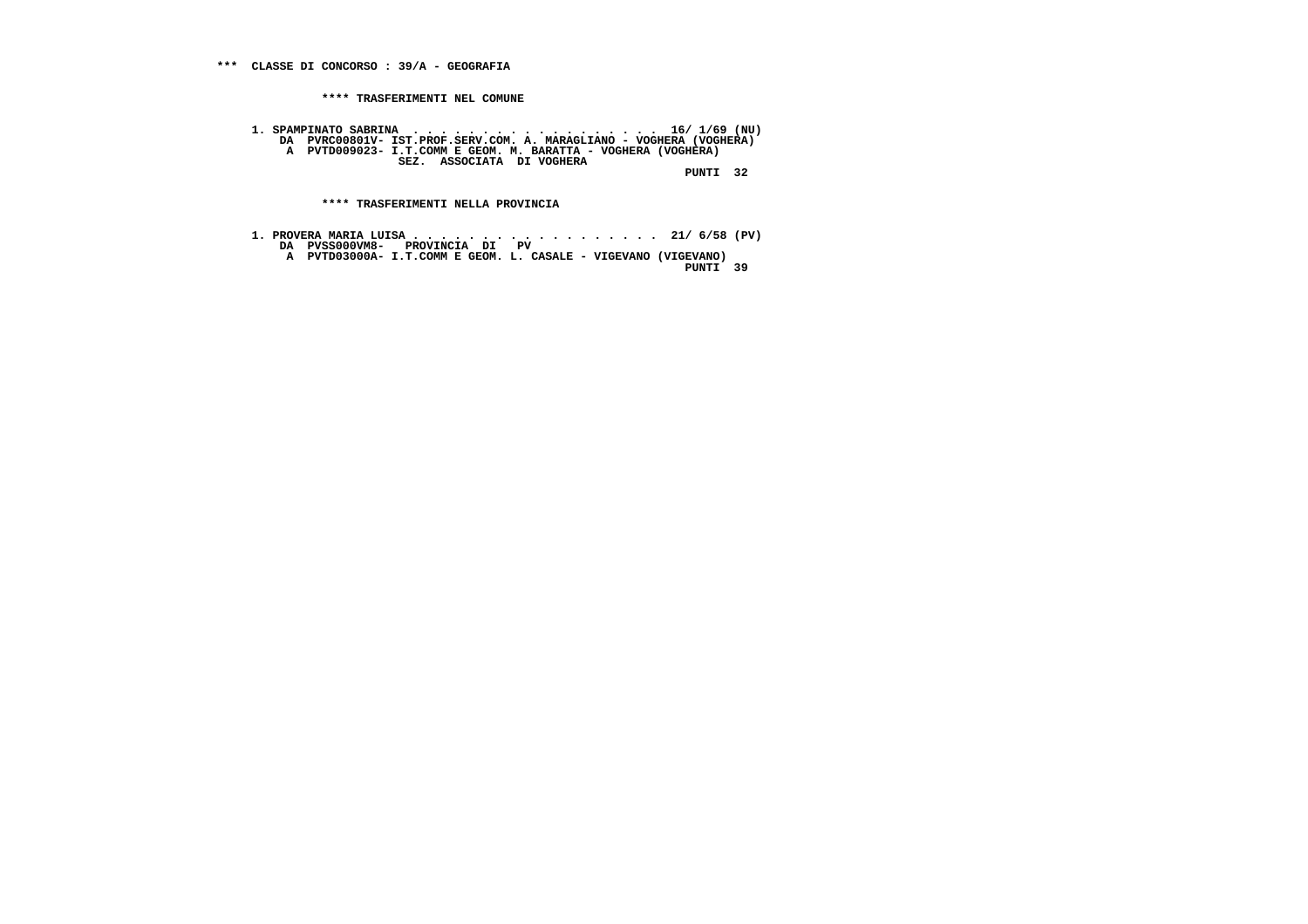**1. SPAMPINATO SABRINA . . . . . . . . . . . . . . . . . . 16/ 1/69 (NU) DA PVRC00801V- IST.PROF.SERV.COM. A. MARAGLIANO - VOGHERA (VOGHERA) A PVTD009023- I.T.COMM E GEOM. M. BARATTA - VOGHERA (VOGHERA) SEZ. ASSOCIATA DI VOGHERA**

 **PUNTI 32**

 **\*\*\*\* TRASFERIMENTI NELLA PROVINCIA**

 **1. PROVERA MARIA LUISA . . . . . . . . . . . . . . . . . . 21/ 6/58 (PV) DA PVSS000VM8- PROVINCIA DI PV A PVTD03000A- I.T.COMM E GEOM. L. CASALE - VIGEVANO (VIGEVANO) PUNTI 39**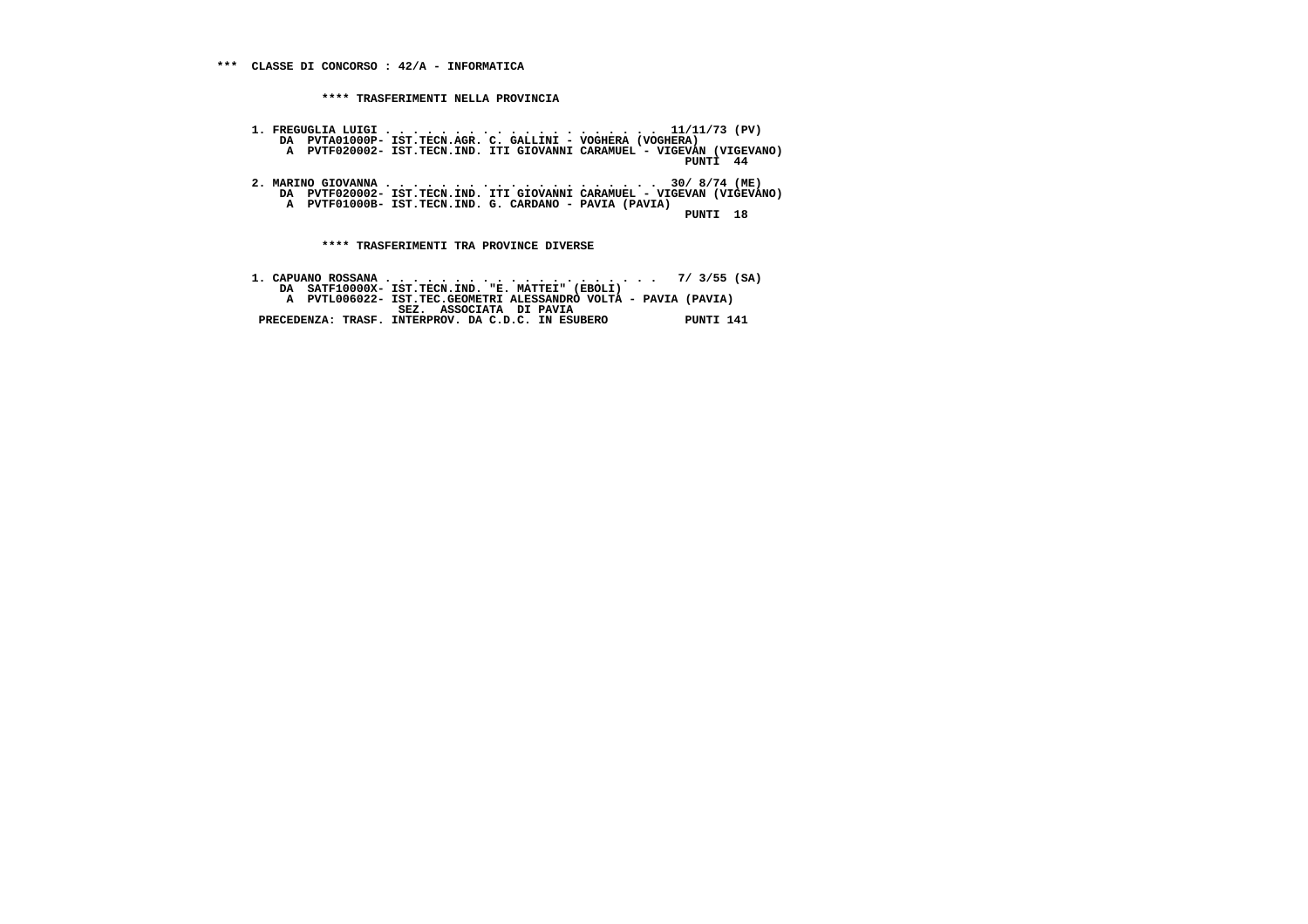- **1. FREGUGLIA LUIGI . . . . . . . . . . . . . . . . . . . . 11/11/73 (PV) DA PVTA01000P- IST.TECN.AGR. C. GALLINI VOGHERA (VOGHERA) A PVTF020002- IST.TECN.IND. ITI GIOVANNI CARAMUEL - VIGEVAN (VIGEVANO) PUNTI 44**
- **2. MARINO GIOVANNA . . . . . . . . . . . . . . . . . . . . 30/ 8/74 (ME) DA PVTF020002- IST.TECN.IND. ITI GIOVANNI CARAMUEL VIGEVAN (VIGEVANO) A PVTF01000B- IST.TECN.IND. G. CARDANO - PAVIA (PAVIA)**

 **PUNTI 18**

 **\*\*\*\* TRASFERIMENTI TRA PROVINCE DIVERSE**

 **1. CAPUANO ROSSANA . . . . . . . . . . . . . . . . . . . . 7/ 3/55 (SA) DA SATF10000X- IST.TECN.IND. "E. MATTEI" (EBOLI) A PVTL006022- IST.TEC.GEOMETRI ALESSANDRO VOLTA - PAVIA (PAVIA) SEZ. ASSOCIATA DI PAVIA PRECEDENZA: TRASF. INTERPROV. DA C.D.C. IN ESUBERO PUNTI 141**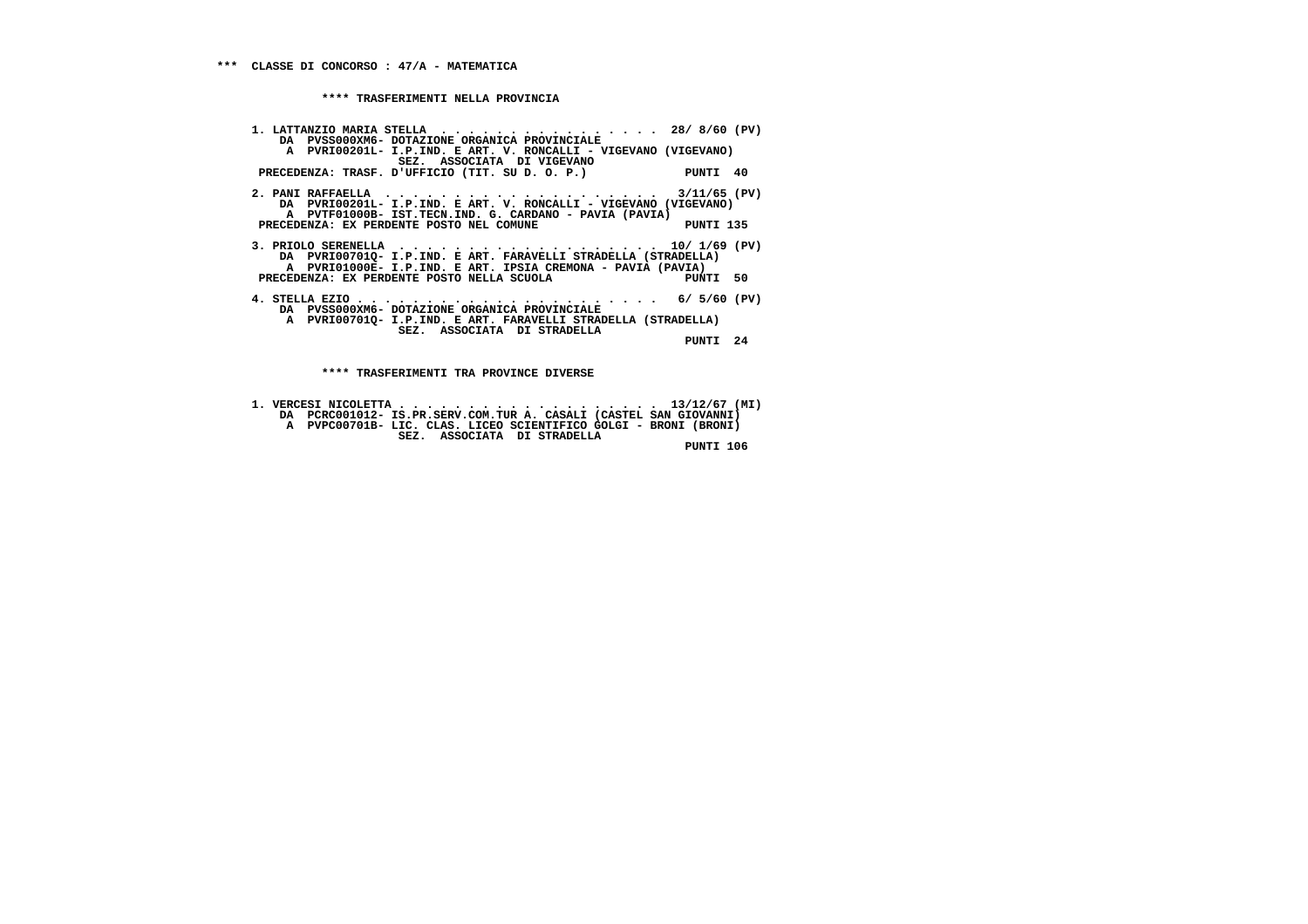**1. LATTANZIO MARIA STELLA . . . . . . . . . . . . . . . . 28/ 8/60 (PV) DA PVSS000XM6- DOTAZIONE ORGANICA PROVINCIALE A PVRI00201L- I.P.IND. E ART. V. RONCALLI - VIGEVANO (VIGEVANO) SEZ. ASSOCIATA DI VIGEVANO PRECEDENZA: TRASF. D'UFFICIO (TIT. SU D. O. P.) PUNTI 40 2. PANI RAFFAELLA . . . . . . . . . . . . . . . . . . . . 3/11/65 (PV) DA PVRI00201L- I.P.IND. E ART. V. RONCALLI - VIGEVANO (VIGEVANO) A PVTF01000B- IST.TECN.IND. G. CARDANO - PAVIA (PAVIA) PRECEDENZA: EX PERDENTE POSTO NEL COMUNE PUNTI 135 3. PRIOLO SERENELLA . . . . . . . . . . . . . . . . . . . 10/ 1/69 (PV) DA PVRI00701Q- I.P.IND. E ART. FARAVELLI STRADELLA (STRADELLA) A PVRI01000E- I.P.IND. E ART. IPSIA CREMONA - PAVIA (PAVIA)**PUNTI 50 **PRECEDENZA: EX PERDENTE POSTO NELLA SCUOLA 4. STELLA EZIO . . . . . . . . . . . . . . . . . . . . . . 6/ 5/60 (PV) DA PVSS000XM6- DOTAZIONE ORGANICA PROVINCIALE A PVRI00701Q- I.P.IND. E ART. FARAVELLI STRADELLA (STRADELLA) SEZ. ASSOCIATA DI STRADELLA PUNTI 24**

 **\*\*\*\* TRASFERIMENTI TRA PROVINCE DIVERSE**

- **1. VERCESI NICOLETTA . . . . . . . . . . . . . . . . . . . 13/12/67 (MI) DA PCRC001012- IS.PR.SERV.COM.TUR A. CASALI (CASTEL SAN GIOVANNI) A PVPC00701B- LIC. CLAS. LICEO SCIENTIFICO GOLGI - BRONI (BRONI)**
	- **SEZ. ASSOCIATA DI STRADELLA PUNTI 106**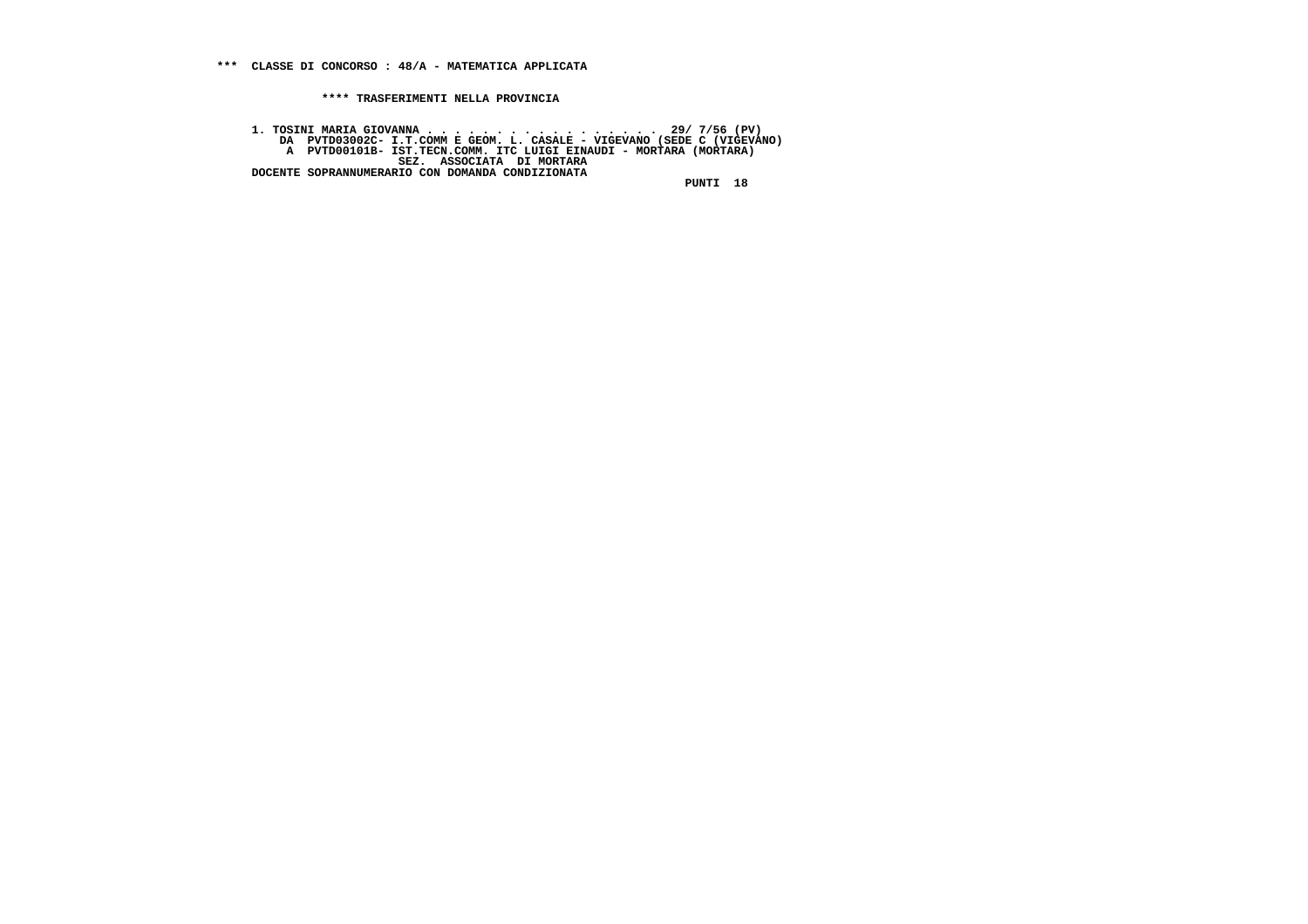**1. TOSINI MARIA GIOVANNA . . . . . . . . . . . . . . . . . 29/ 7/56 (PV) DA PVTD03002C- I.T.COMM E GEOM. L. CASALE - VIGEVANO (SEDE C (VIGEVANO) A PVTD00101B- IST.TECN.COMM. ITC LUIGI EINAUDI - MORTARA (MORTARA) SEZ. ASSOCIATA DI MORTARA DOCENTE SOPRANNUMERARIO CON DOMANDA CONDIZIONATA**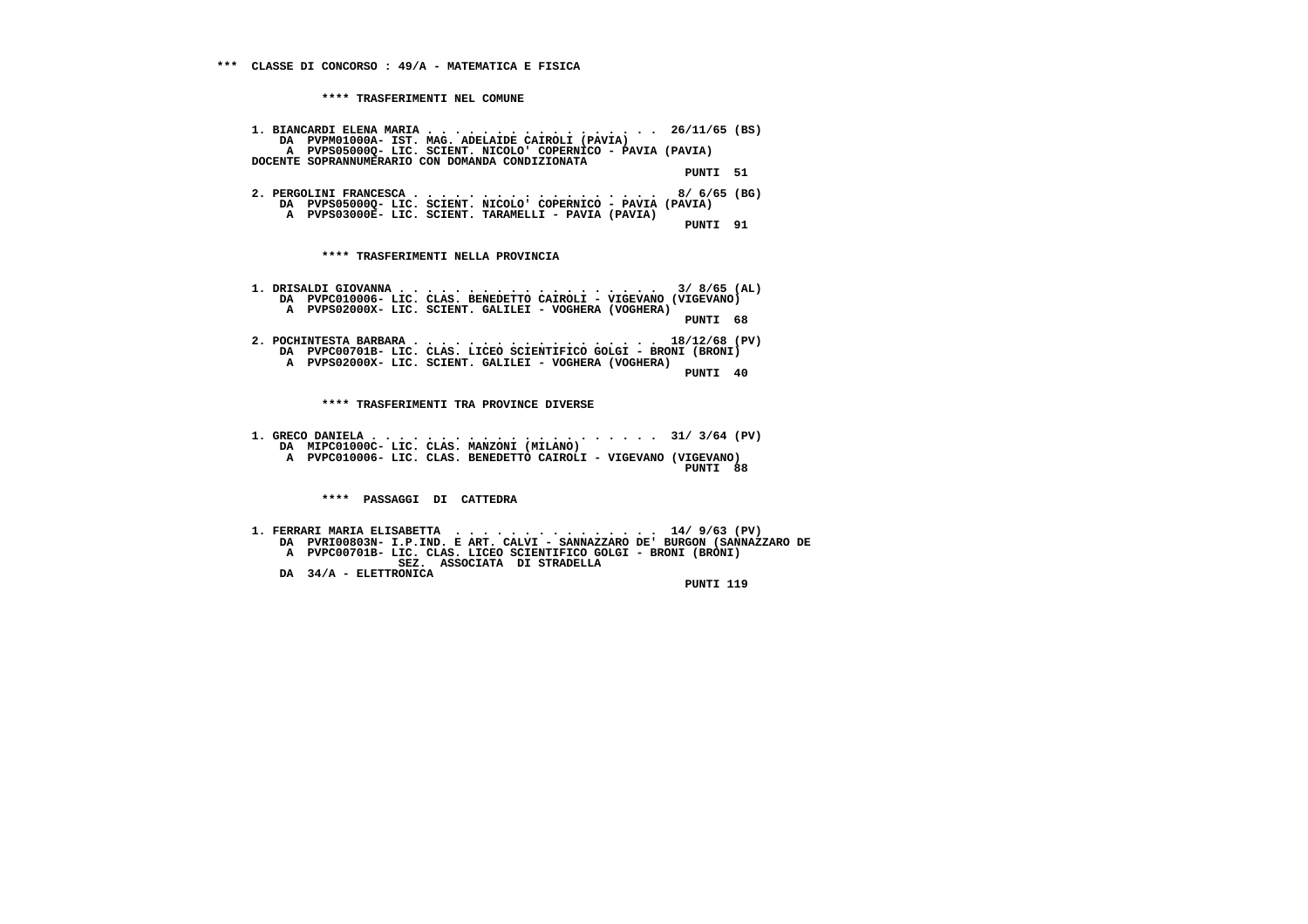|                       | 1. BIANCARDI ELENA MARIA 26/11/65 (BS)<br>DA PVPM01000A- IST. MAG. ADELAIDE CAIROLI (PAVIA)<br>A PVPS050000- LIC. SCIENT. NICOLO' COPERNICO - PAVIA (PAVIA)                                                                 |
|-----------------------|-----------------------------------------------------------------------------------------------------------------------------------------------------------------------------------------------------------------------------|
|                       | DOCENTE SOPRANNUMERARIO CON DOMANDA CONDIZIONATA<br>PUNTI 51                                                                                                                                                                |
|                       | 2. PERGOLINI FRANCESCA 8/ 6/65 (BG)<br>DA PVPS05000Q- LIC. SCIENT. NICOLO' COPERNICO - PAVIA (PAVIA)<br>A PVPS03000E- LIC. SCIENT. TARAMELLI - PAVIA (PAVIA)                                                                |
|                       | PUNTI 91                                                                                                                                                                                                                    |
|                       | **** TRASFERIMENTI NELLA PROVINCIA                                                                                                                                                                                          |
|                       | DA PVPC010006- LIC. CLAS. BENEDETTO CAIROLI - VIGEVANO (VIGEVANO)<br>A PVPS02000X- LIC. SCIENT. GALILEI - VOGHERA (VOGHERA)                                                                                                 |
|                       | PUNTI 68                                                                                                                                                                                                                    |
|                       | 2. POCHINTESTA BARBARA 18/12/68 (PV)<br>DA PVPC00701B- LIC. CLAS. LICEO SCIENTIFICO GOLGI - BRONI (BRONI)<br>A PVPS02000X- LIC. SCIENT. GALILEI - VOGHERA (VOGHERA)<br>PUNTI 40                                             |
|                       | **** TRASFERIMENTI TRA PROVINCE DIVERSE                                                                                                                                                                                     |
|                       | DA MIPC01000C- LIC. CLAS. MANZONI (MILANO)                                                                                                                                                                                  |
|                       | A PVPC010006- LIC. CLAS. BENEDETTO CAIROLI - VIGEVANO (VIGEVANO)<br>PUNTI 88                                                                                                                                                |
|                       | **** PASSAGGI DI CATTEDRA                                                                                                                                                                                                   |
|                       | 1. FERRARI MARIA ELISABETTA  14/9/63 (PV)<br>DA PVRI00803N- I.P.IND. E ART. CALVI - SANNAZZARO DE' BURGON (SANNAZZARO DE<br>A PVPC00701B- LIC. CLAS. LICEO SCIENTIFICO GOLGI - BRONI (BRONI)<br>SEZ. ASSOCIATA DI STRADELLA |
| DA 34/A - ELETTRONICA |                                                                                                                                                                                                                             |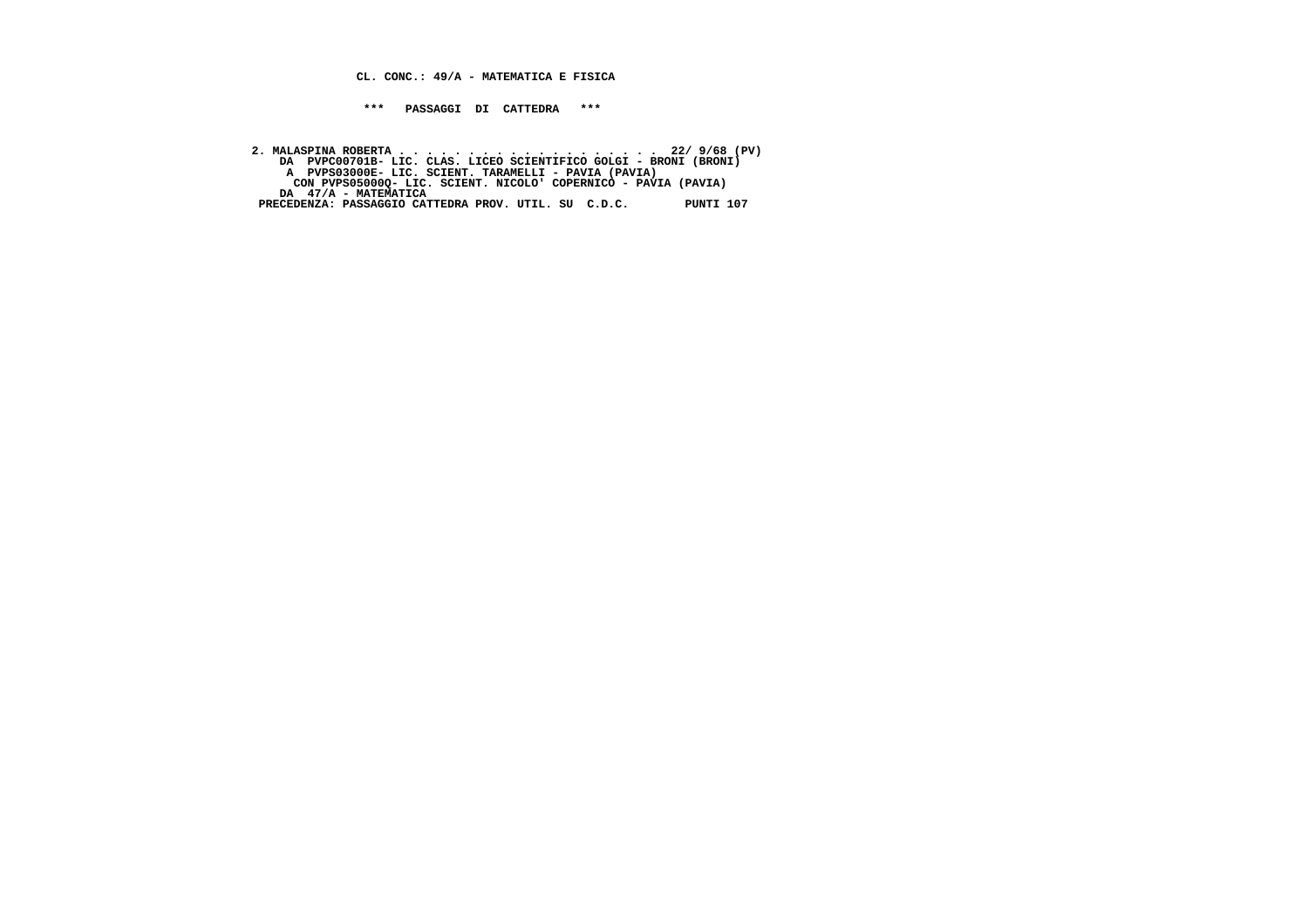**CL. CONC.: 49/A - MATEMATICA E FISICA**

 **\*\*\* PASSAGGI DI CATTEDRA \*\*\***

 **2. MALASPINA ROBERTA . . . . . . . . . . . . . . . . . . . 22/ 9/68 (PV) DA PVPC00701B- LIC. CLAS. LICEO SCIENTIFICO GOLGI - BRONI (BRONI) A PVPS03000E- LIC. SCIENT. TARAMELLI - PAVIA (PAVIA) CON PVPS05000Q- LIC. SCIENT. NICOLO' COPERNICO - PAVIA (PAVIA) DA 47/A - MATEMATICA PRECEDENZA: PASSAGGIO CATTEDRA PROV. UTIL. SU C.D.C. PUNTI 107**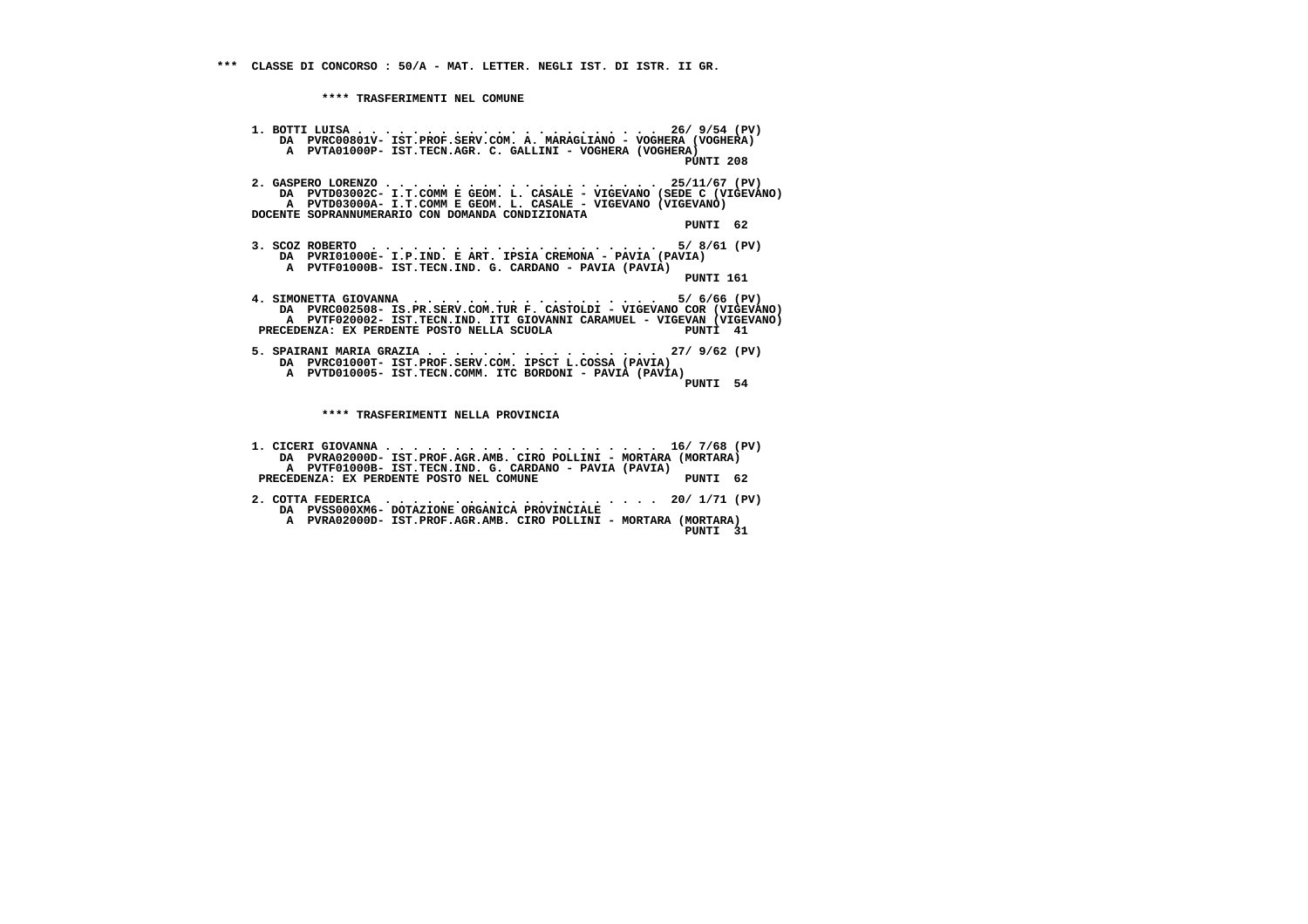**1. BOTTI LUISA . . . . . . . . . . . . . . . . . . . . . . 26/ 9/54 (PV) DA PVRC00801V- IST.PROF.SERV.COM. A. MARAGLIANO - VOGHERA (VOGHERA) A PVTA01000P- IST.TECN.AGR. C. GALLINI - VOGHERA (VOGHERA) PUNTI 208 2. GASPERO LORENZO . . . . . . . . . . . . . . . . . . . . 25/11/67 (PV) DA PVTD03002C- I.T.COMM E GEOM. L. CASALE - VIGEVANO (SEDE C (VIGEVANO) A PVTD03000A- I.T.COMM E GEOM. L. CASALE - VIGEVANO (VIGEVANO) DOCENTE SOPRANNUMERARIO CON DOMANDA CONDIZIONATA PUNTI 62 3. SCOZ ROBERTO . . . . . . . . . . . . . . . . . . . . . 5/ 8/61 (PV) DA PVRI01000E- I.P.IND. E ART. IPSIA CREMONA - PAVIA (PAVIA) A PVTF01000B- IST.TECN.IND. G. CARDANO - PAVIA (PAVIA) PUNTI 161 4. SIMONETTA GIOVANNA . . . . . . . . . . . . . . . . . . 5/ 6/66 (PV) DA PVRC002508- IS.PR.SERV.COM.TUR F. CASTOLDI - VIGEVANO COR (VIGEVANO) A PVTF020002- IST.TECN.IND. ITI GIOVANNI CARAMUEL - VIGEVAN (VIGEVANO) PRECEDENZA: EX PERDENTE POSTO NELLA SCUOLA PUNTI 41 5. SPAIRANI MARIA GRAZIA . . . . . . . . . . . . . . . . . 27/ 9/62 (PV) DA PVRC01000T- IST.PROF.SERV.COM. IPSCT L.COSSA (PAVIA) A PVTD010005- IST.TECN.COMM. ITC BORDONI - PAVIA (PAVIA) PUNTI 54 \*\*\*\* TRASFERIMENTI NELLA PROVINCIA 1. CICERI GIOVANNA . . . . . . . . . . . . . . . . . . . . 16/ 7/68 (PV) DA PVRA02000D- IST.PROF.AGR.AMB. CIRO POLLINI - MORTARA (MORTARA) A PVTF01000B- IST.TECN.IND. G. CARDANO - PAVIA (PAVIA)**

- **PRECEDENZA: EX PERDENTE POSTO NEL COMUNE PUNTI 62 2. COTTA FEDERICA . . . . . . . . . . . . . . . . . . . . 20/ 1/71 (PV) DA PVSS000XM6- DOTAZIONE ORGANICA PROVINCIALE**
- **A PVRA02000D- IST.PROF.AGR.AMB. CIRO POLLINI MORTARA (MORTARA) PUNTI 31**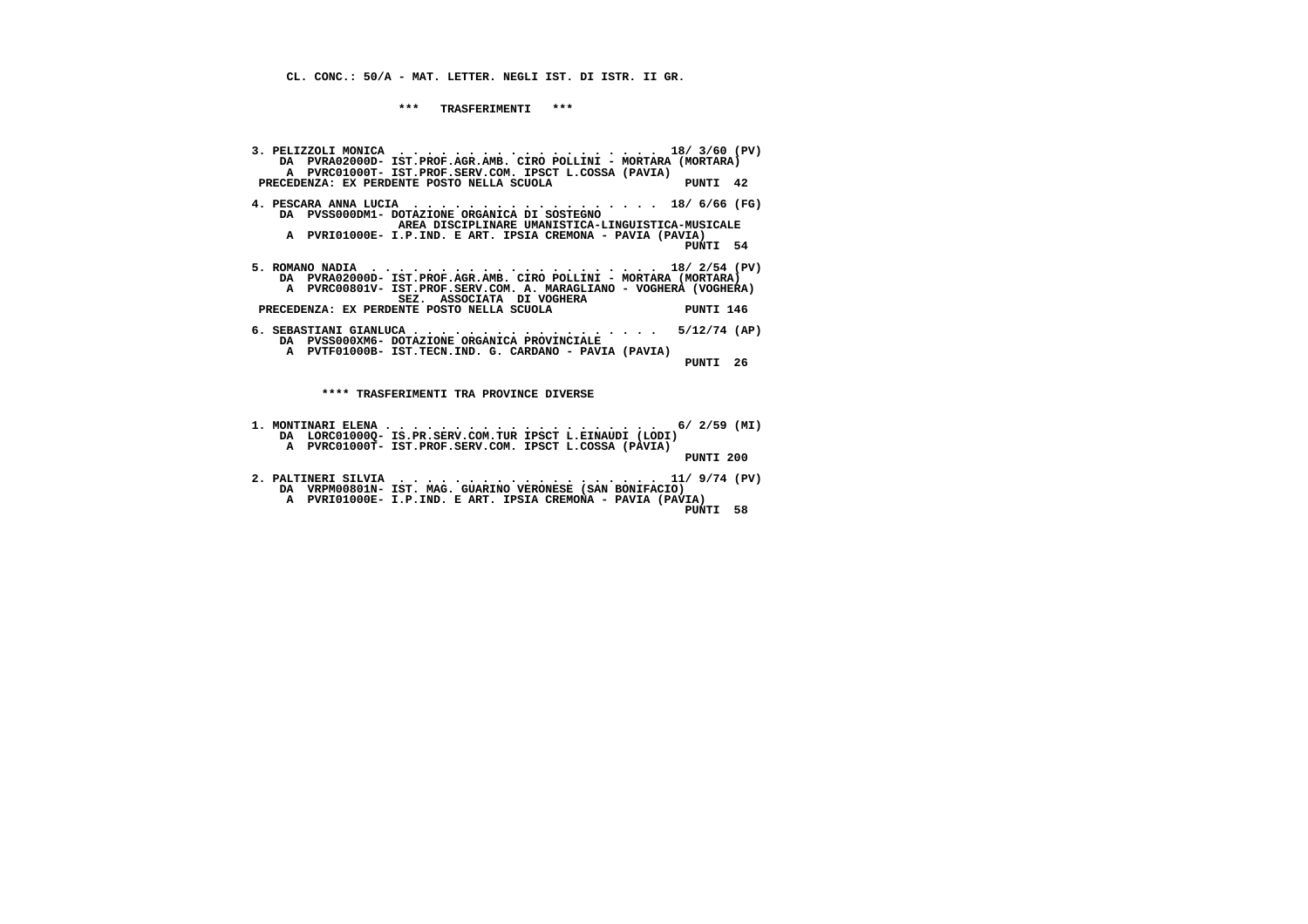**CL. CONC.: 50/A - MAT. LETTER. NEGLI IST. DI ISTR. II GR.**

 **\*\*\* TRASFERIMENTI \*\*\***

 **3. PELIZZOLI MONICA . . . . . . . . . . . . . . . . . . . 18/ 3/60 (PV) DA PVRA02000D- IST.PROF.AGR.AMB. CIRO POLLINI - MORTARA (MORTARA) A PVRC01000T- IST.PROF.SERV.COM. IPSCT L.COSSA (PAVIA) PRECEDENZA: EX PERDENTE POSTO NELLA SCUOLA PUNTI 42 4. PESCARA ANNA LUCIA . . . . . . . . . . . . . . . . . . 18/ 6/66 (FG) DA PVSS000DM1- DOTAZIONE ORGANICA DI SOSTEGNO AREA DISCIPLINARE UMANISTICA-LINGUISTICA-MUSICALE A PVRI01000E- I.P.IND. E ART. IPSIA CREMONA - PAVIA (PAVIA) PUNTI 54 5. ROMANO NADIA . . . . . . . . . . . . . . . . . . . . . 18/ 2/54 (PV) DA PVRA02000D- IST.PROF.AGR.AMB. CIRO POLLINI - MORTARA (MORTARA) A PVRC00801V- IST.PROF.SERV.COM. A. MARAGLIANO - VOGHERA (VOGHERA) SEZ. ASSOCIATA DI VOGHERA PRECEDENZA: EX PERDENTE POSTO NELLA SCUOLA PUNTI 146 6. SEBASTIANI GIANLUCA . . . . . . . . . . . . . . . . . . 5/12/74 (AP) DA PVSS000XM6- DOTAZIONE ORGANICA PROVINCIALE A PVTF01000B- IST.TECN.IND. G. CARDANO - PAVIA (PAVIA) PUNTI 26 \*\*\*\* TRASFERIMENTI TRA PROVINCE DIVERSE**

- **1. MONTINARI ELENA . . . . . . . . . . . . . . . . . . . . 6/ 2/59 (MI) DA LORC01000Q- IS.PR.SERV.COM.TUR IPSCT L.EINAUDI (LODI) A PVRC01000T- IST.PROF.SERV.COM. IPSCT L.COSSA (PAVIA) PUNTI 200**
- **2. PALTINERI SILVIA . . . . . . . . . . . . . . . . . . . 11/ 9/74 (PV) DA VRPM00801N- IST. MAG. GUARINO VERONESE (SAN BONIFACIO) A PVRI01000E- I.P.IND. E ART. IPSIA CREMONA - PAVIA (PAVIA) PUNTI 58**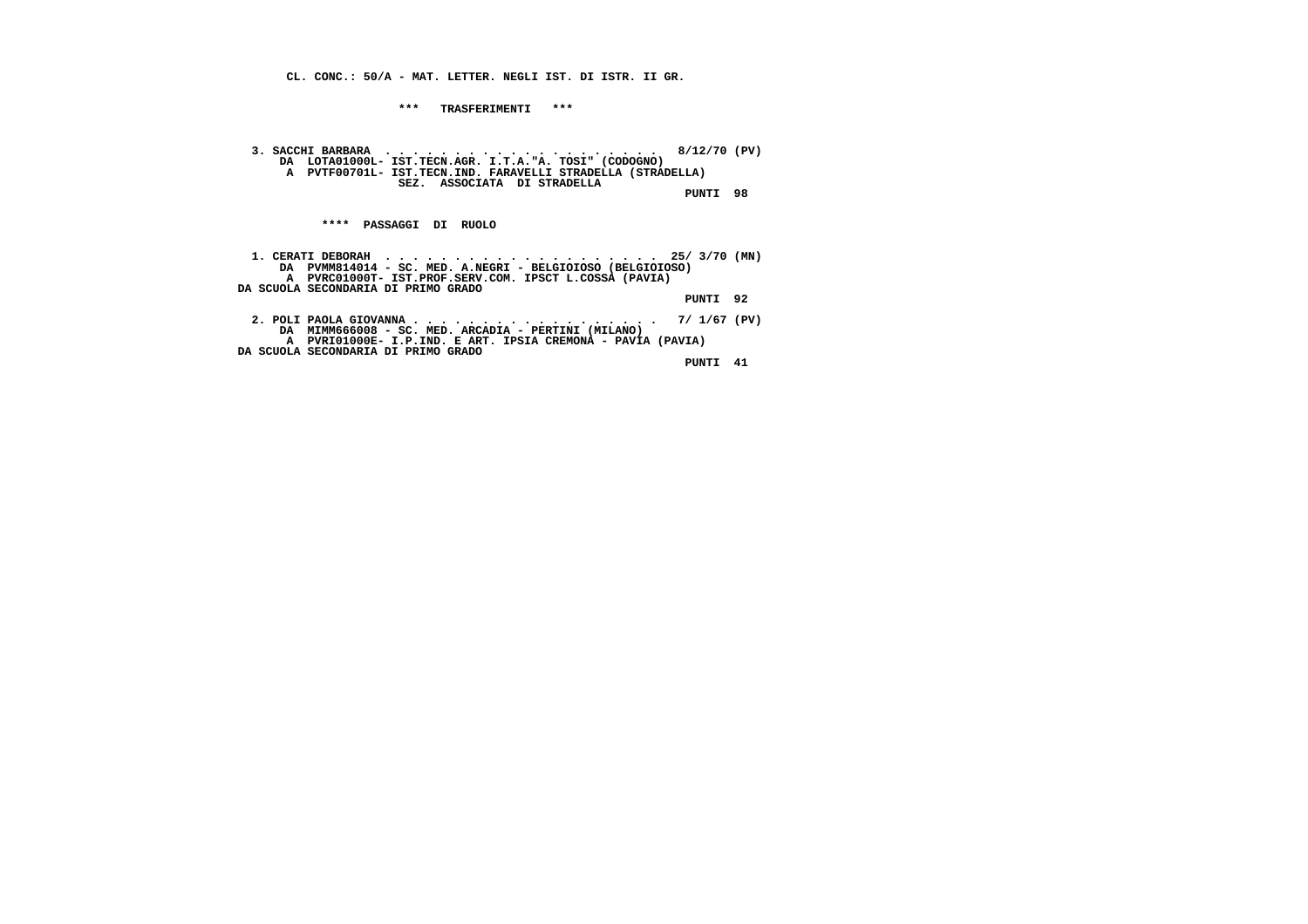**CL. CONC.: 50/A - MAT. LETTER. NEGLI IST. DI ISTR. II GR.**

 **\*\*\* TRASFERIMENTI \*\*\***

 **3. SACCHI BARBARA . . . . . . . . . . . . . . . . . . . . 8/12/70 (PV) DA LOTA01000L- IST.TECN.AGR. I.T.A."A. TOSI" (CODOGNO) A PVTF00701L- IST.TECN.IND. FARAVELLI STRADELLA (STRADELLA) SEZ. ASSOCIATA DI STRADELLA PUNTI 98**

 **\*\*\*\* PASSAGGI DI RUOLO**

| DA PVMM814014 - SC. MED. A.NEGRI - BELGIOIOSO (BELGIOIOSO)  |          |  |
|-------------------------------------------------------------|----------|--|
| A PVRC01000T- IST.PROF.SERV.COM. IPSCT L.COSSA (PAVIA)      |          |  |
| DA SCUOLA SECONDARIA DI PRIMO GRADO                         |          |  |
|                                                             | PUNTI 92 |  |
|                                                             |          |  |
| 2. POLI PAOLA GIOVANNA 7/ 1/67 (PV)                         |          |  |
| DA MIMM666008 - SC. MED. ARCADIA - PERTINI (MILANO)         |          |  |
| A PVRI01000E- I.P.IND. E ART. IPSIA CREMONA - PAVIA (PAVIA) |          |  |
| DA SCUOLA SECONDARIA DI PRIMO GRADO                         |          |  |
|                                                             | PUNTI    |  |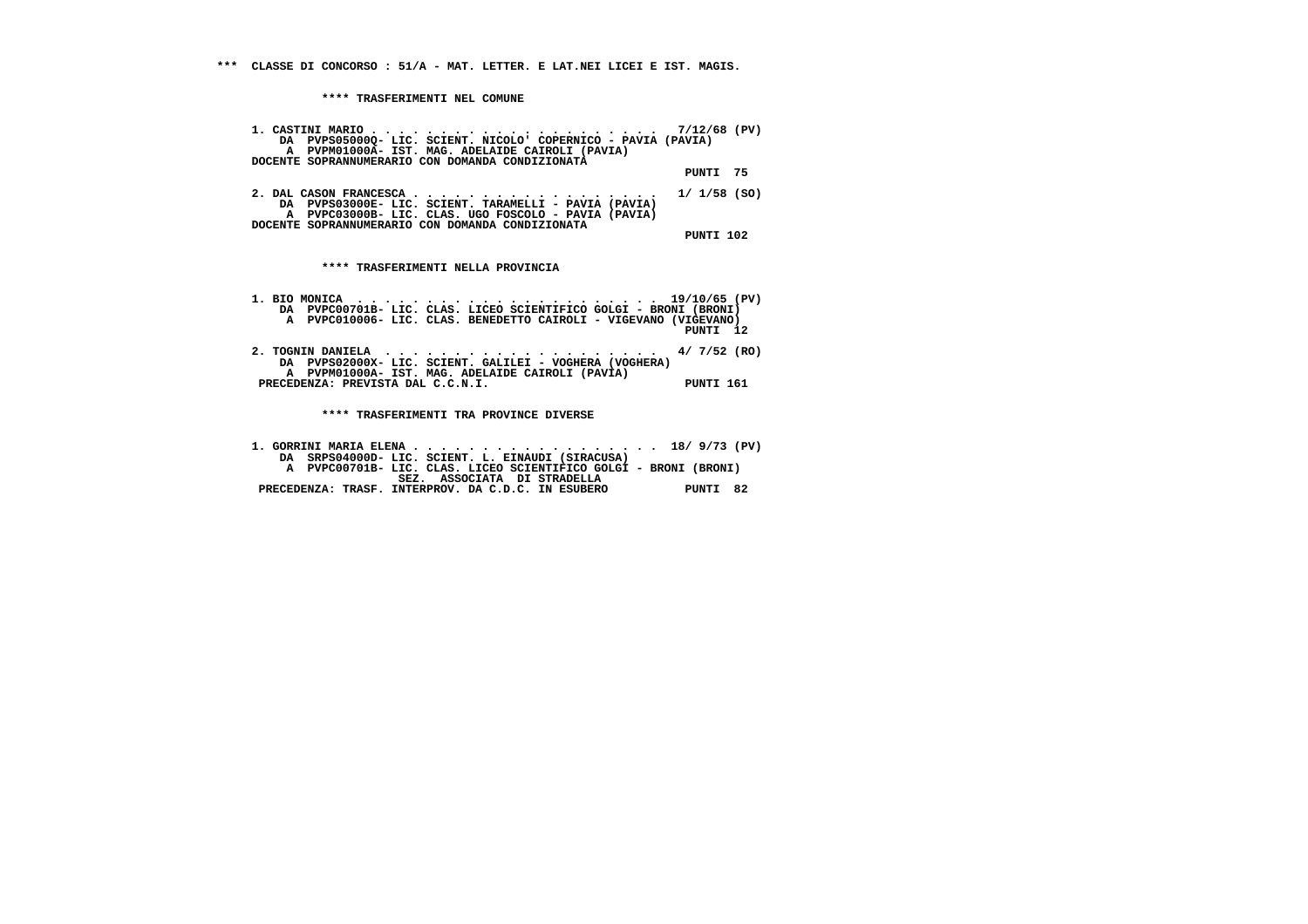**\*\*\* CLASSE DI CONCORSO : 51/A - MAT. LETTER. E LAT.NEI LICEI E IST. MAGIS.**

 **\*\*\*\* TRASFERIMENTI NEL COMUNE**

| DA PVPS050000- LIC. SCIENT. NICOLO COPERNICO - PAVIA (PAVIA)<br>A PVPM01000A- IST. MAG. ADELAIDE CAIROLI (PAVIA)<br>DOCENTE SOPRANNUMERARIO CON DOMANDA CONDIZIONATA                                    |           |  |
|---------------------------------------------------------------------------------------------------------------------------------------------------------------------------------------------------------|-----------|--|
|                                                                                                                                                                                                         | PUNTI 75  |  |
| 2. DAL CASON FRANCESCA 1/ 1/58 (SO)<br>DA PVPS03000E-LIC. SCIENT. TARAMELLI - PAVIA (PAVIA)<br>A PVPC03000B- LIC. CLAS. UGO FOSCOLO - PAVIA (PAVIA)<br>DOCENTE SOPRANNUMERARIO CON DOMANDA CONDIZIONATA |           |  |
| **** TRASFERIMENTI NELLA PROVINCIA                                                                                                                                                                      | PUNTI 102 |  |

 **1. BIO MONICA . . . . . . . . . . . . . . . . . . . . . . 19/10/65 (PV) DA PVPC00701B- LIC. CLAS. LICEO SCIENTIFICO GOLGI - BRONI (BRONI) A PVPC010006- LIC. CLAS. BENEDETTO CAIROLI - VIGEVANO (VIGEVANO) PUNTI 12 2. TOGNIN DANIELA . . . . . . . . . . . . . . . . . . . . 4/ 7/52 (RO) DA PVPS02000X- LIC. SCIENT. GALILEI - VOGHERA (VOGHERA) A PVPM01000A- IST. MAG. ADELAIDE CAIROLI (PAVIA)PRECEDENZA: PREVISTA DAL C.C.N.I.** PUNTI 161

 **\*\*\*\* TRASFERIMENTI TRA PROVINCE DIVERSE**

 **1. GORRINI MARIA ELENA . . . . . . . . . . . . . . . . . . 18/ 9/73 (PV) DA SRPS04000D- LIC. SCIENT. L. EINAUDI (SIRACUSA) A PVPC00701B- LIC. CLAS. LICEO SCIENTIFICO GOLGI - BRONI (BRONI) SEZ. ASSOCIATA DI STRADELLA PRECEDENZA: TRASF. INTERPROV. DA C.D.C. IN ESUBERO PUNTI 82**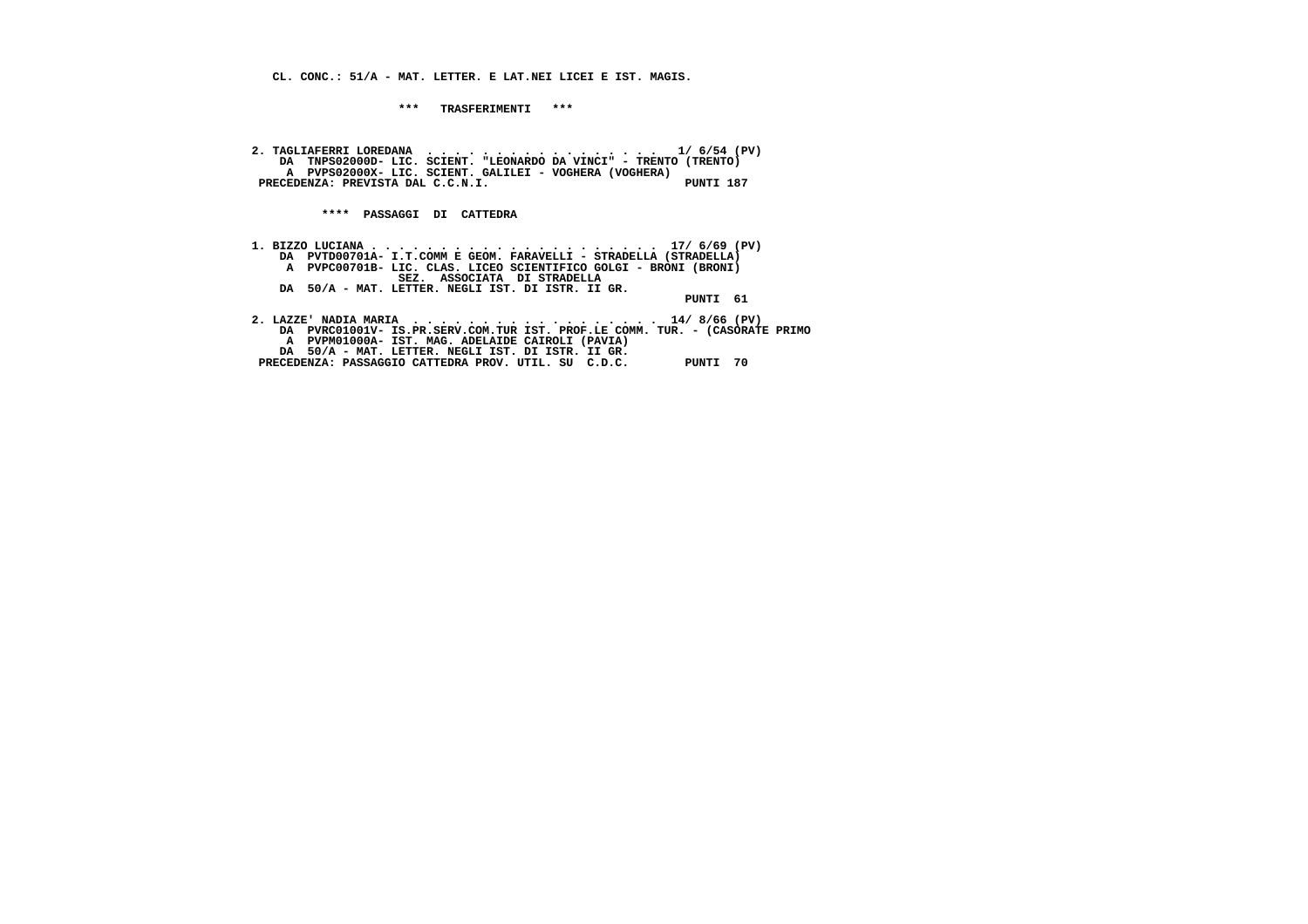**CL. CONC.: 51/A - MAT. LETTER. E LAT.NEI LICEI E IST. MAGIS.**

 **\*\*\* TRASFERIMENTI \*\*\***

 **2. TAGLIAFERRI LOREDANA . . . . . . . . . . . . . . . . . 1/ 6/54 (PV) DA TNPS02000D- LIC. SCIENT. "LEONARDO DA VINCI" - TRENTO (TRENTO) A PVPS02000X- LIC. SCIENT. GALILEI - VOGHERA (VOGHERA) PRECEDENZA: PREVISTA DAL C.C.N.I. PUNTI 187**

 **\*\*\*\* PASSAGGI DI CATTEDRA**

| DA PVTD00701A- I.T.COMM E GEOM. FARAVELLI - STRADELLA (STRADELLA)           |                             |          |
|-----------------------------------------------------------------------------|-----------------------------|----------|
| A PVPC00701B- LIC. CLAS. LICEO SCIENTIFICO GOLGI - BRONI (BRONI)            |                             |          |
|                                                                             | SEZ. ASSOCIATA DI STRADELLA |          |
| DA 50/A - MAT. LETTER. NEGLI IST. DI ISTR. II GR.                           |                             |          |
|                                                                             |                             | PUNTI 61 |
|                                                                             |                             |          |
| 2. LAZZE' NADIA MARIA 14/8/66 (PV)                                          |                             |          |
| DA PVRC01001V- IS.PR.SERV.COM.TUR IST. PROF.LE COMM. TUR. - (CASORATE PRIMO |                             |          |
| A PVPM01000A- IST. MAG. ADELAIDE CAIROLI (PAVIA)                            |                             |          |
| DA 50/A - MAT. LETTER. NEGLI IST. DI ISTR. II GR.                           |                             |          |
| PRECEDENZA: PASSAGGIO CATTEDRA PROV. UTIL. SU C.D.C.                        |                             | PUNTI    |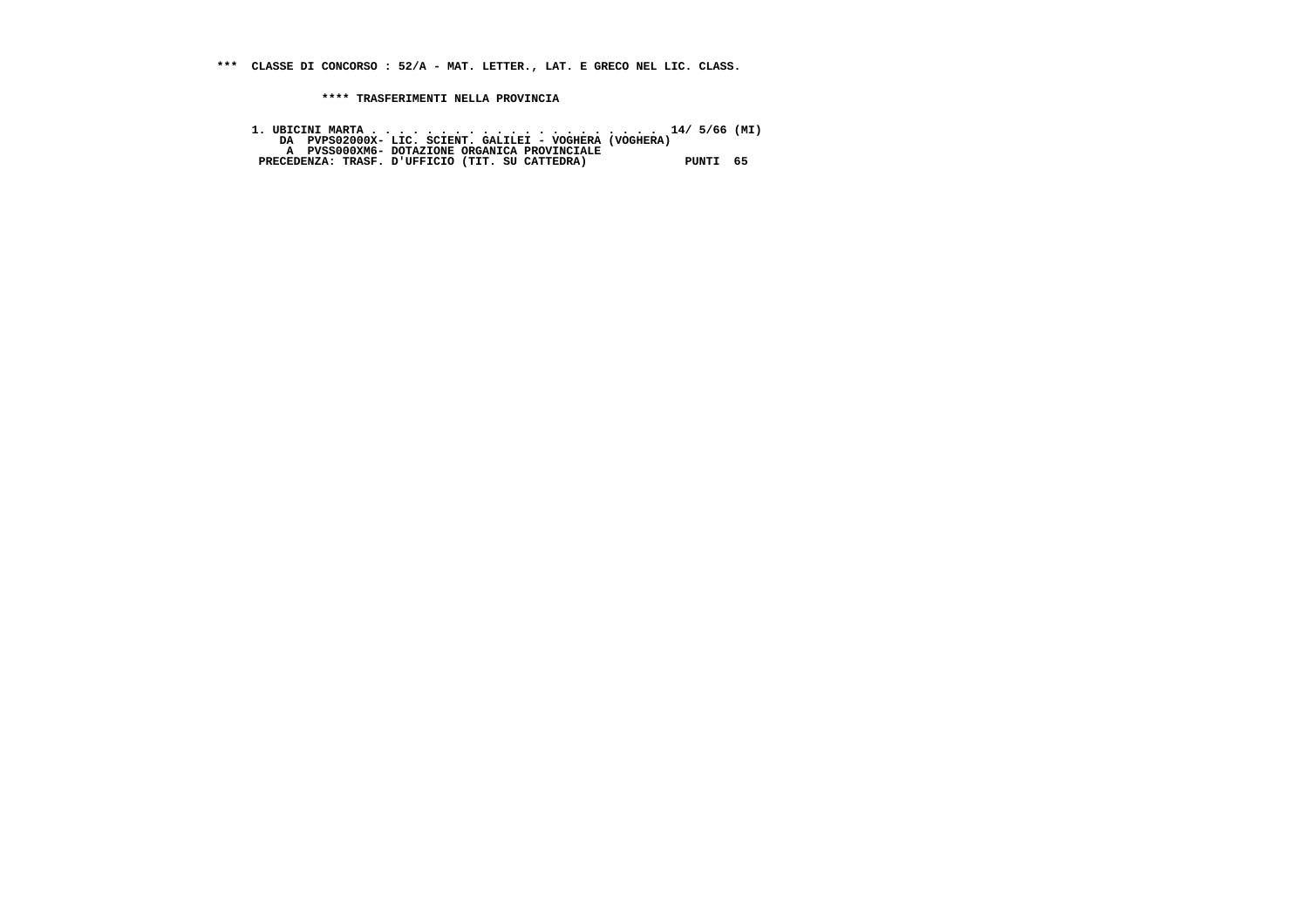**\*\*\* CLASSE DI CONCORSO : 52/A - MAT. LETTER., LAT. E GRECO NEL LIC. CLASS.**

 **\*\*\*\* TRASFERIMENTI NELLA PROVINCIA**

 **1. UBICINI MARTA . . . . . . . . . . . . . . . . . . . . . 14/ 5/66 (MI) DA PVPS02000X- LIC. SCIENT. GALILEI - VOGHERA (VOGHERA) A PVSS000XM6- DOTAZIONE ORGANICA PROVINCIALE PRECEDENZA: TRASF. D'UFFICIO (TIT. SU CATTEDRA) PUNTI 65**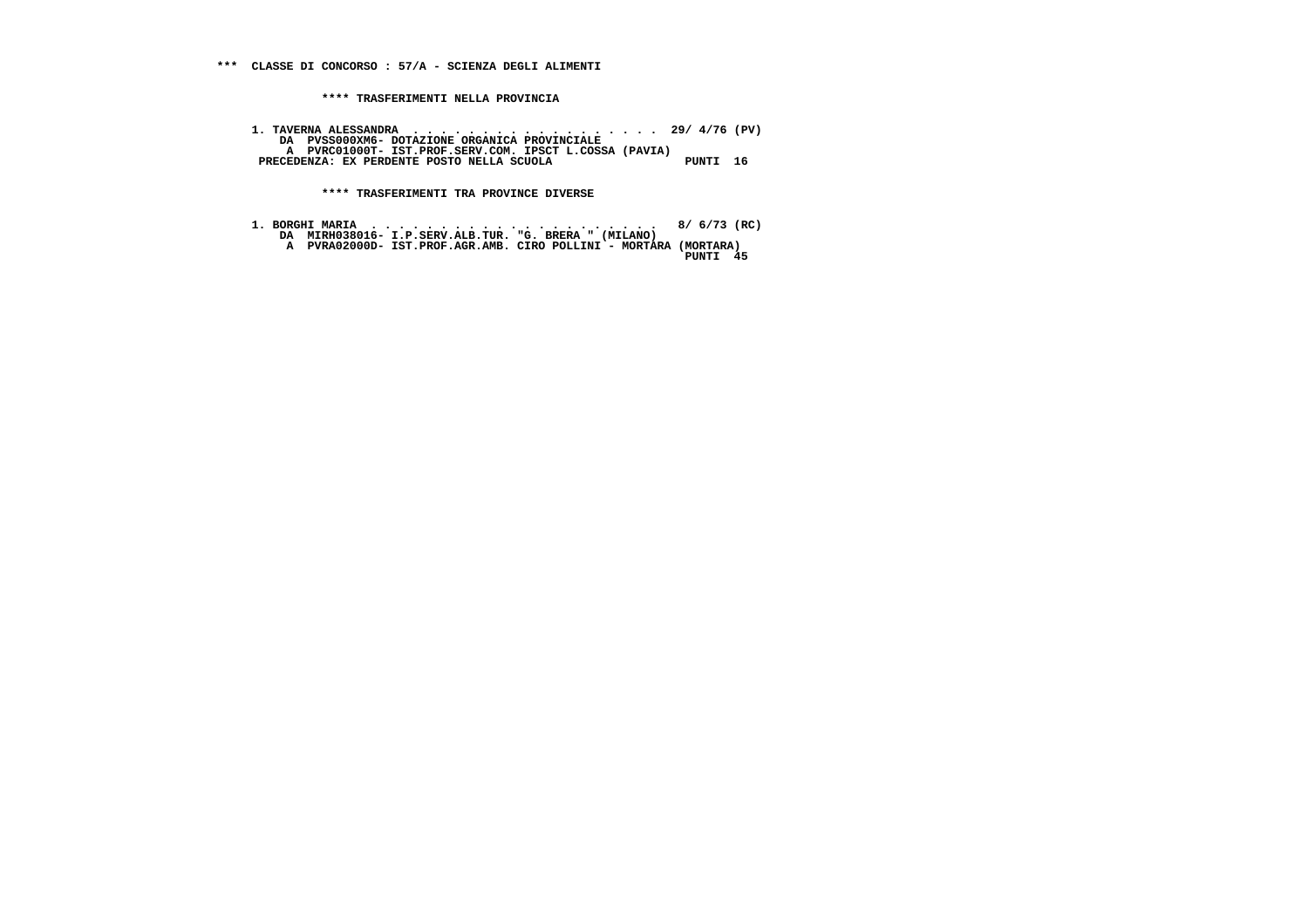**1. TAVERNA ALESSANDRA . . . . . . . . . . . . . . . . . . 29/ 4/76 (PV) DA PVSS000XM6- DOTAZIONE ORGANICA PROVINCIALE A PVRC01000T- IST.PROF.SERV.COM. IPSCT L.COSSA (PAVIA)**PRECEDENZA: EX PERDENTE POSTO NELLA SCUOLA PUNTI 16

 **\*\*\*\* TRASFERIMENTI TRA PROVINCE DIVERSE**

 **1. BORGHI MARIA . . . . . . . . . . . . . . . . . . . . . 8/ 6/73 (RC) DA MIRH038016- I.P.SERV.ALB.TUR. "G. BRERA " (MILANO) A PVRA02000D- IST.PROF.AGR.AMB. CIRO POLLINI - MORTARA (MORTARA) PUNTI 45**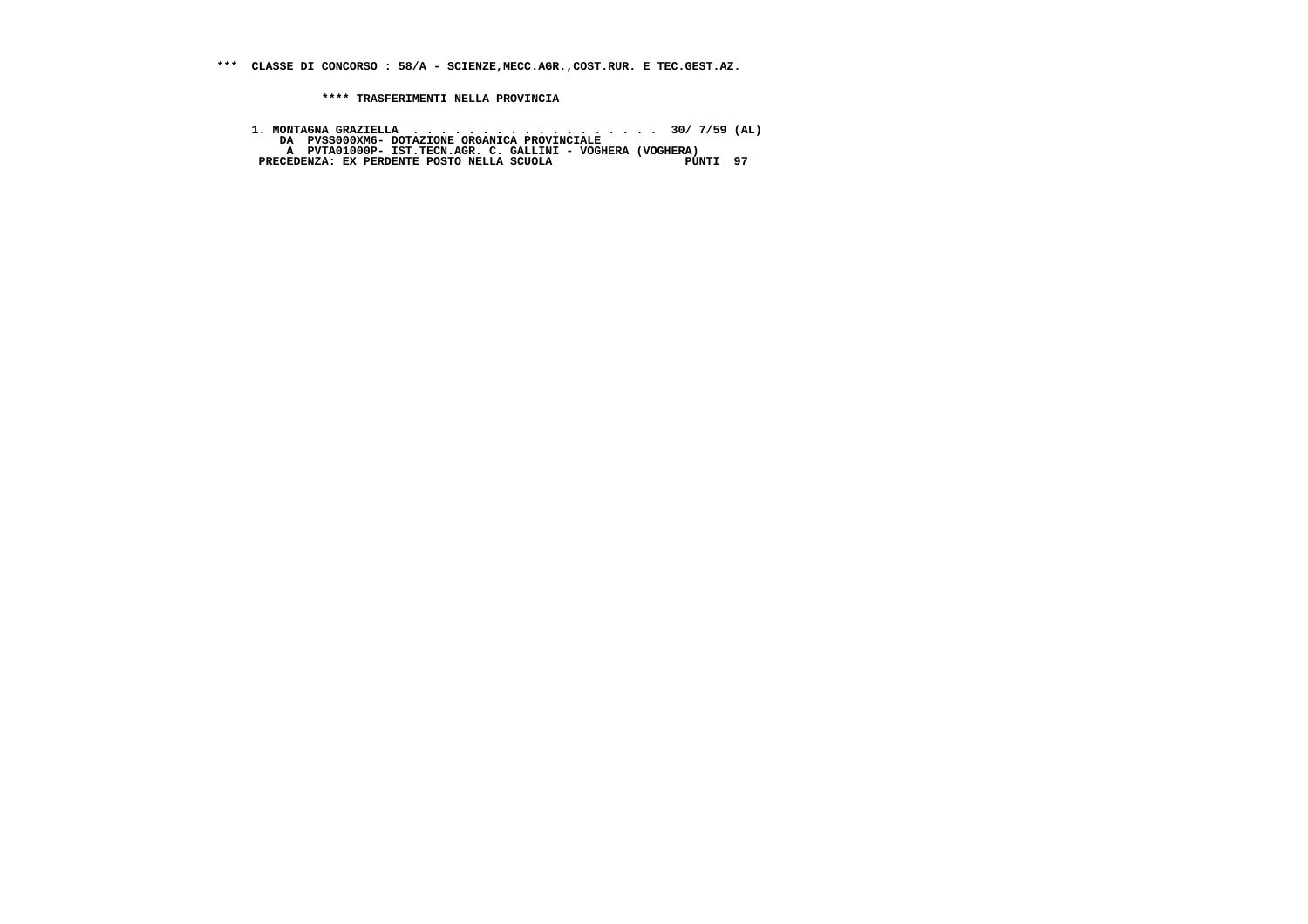**\*\*\* CLASSE DI CONCORSO : 58/A - SCIENZE,MECC.AGR.,COST.RUR. E TEC.GEST.AZ.**

 **\*\*\*\* TRASFERIMENTI NELLA PROVINCIA**

1. MONTAGNA GRAZIELLA<br>DA PVSSOOOXM6- DOTAZIONE ORGANICA PROVINCIALE<br>A PVTAOIOOOP- IST.TECN.AGR. C. GALLINI - VOGHERA (VOGHERA)<br>PRECEDENZA: EX PERDENTE POSTO NELLA SCUOLA<br>PRECEDENZA: EX PERDENTE POSTO NELLA SCUOLA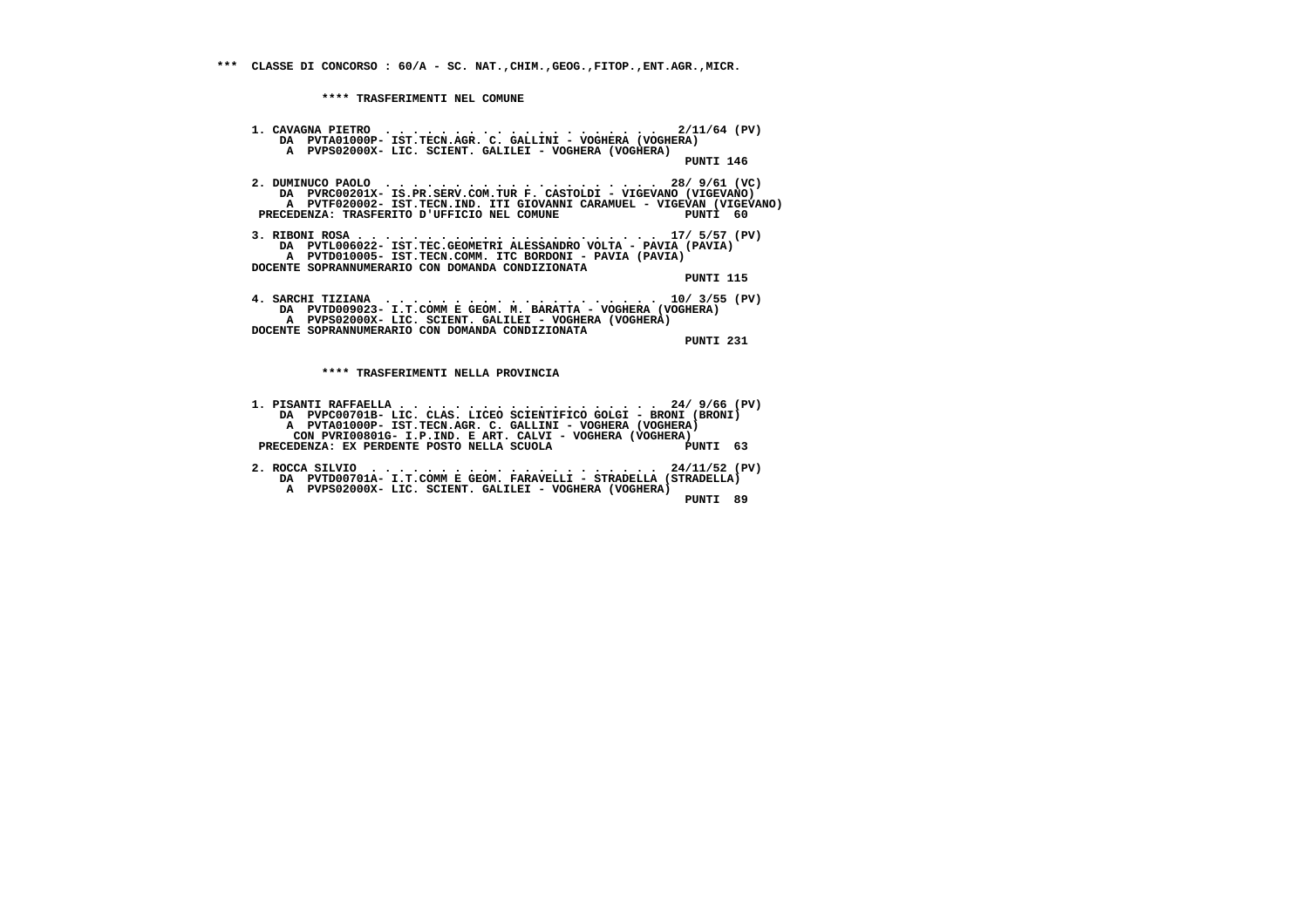**1. CAVAGNA PIETRO . . . . . . . . . . . . . . . . . . . . 2/11/64 (PV) DA PVTA01000P- IST.TECN.AGR. C. GALLINI - VOGHERA (VOGHERA) A PVPS02000X- LIC. SCIENT. GALILEI - VOGHERA (VOGHERA) PUNTI 146 2. DUMINUCO PAOLO . . . . . . . . . . . . . . . . . . . . 28/ 9/61 (VC) DA PVRC00201X- IS.PR.SERV.COM.TUR F. CASTOLDI - VIGEVANO (VIGEVANO) A PVTF020002- IST.TECN.IND. ITI GIOVANNI CARAMUEL - VIGEVAN (VIGEVANO) PRECEDENZA: TRASFERITO D'UFFICIO NEL COMUNE PUNTI 60 3. RIBONI ROSA . . . . . . . . . . . . . . . . . . . . . . 17/ 5/57 (PV) DA PVTL006022- IST.TEC.GEOMETRI ALESSANDRO VOLTA - PAVIA (PAVIA) A PVTD010005- IST.TECN.COMM. ITC BORDONI - PAVIA (PAVIA) DOCENTE SOPRANNUMERARIO CON DOMANDA CONDIZIONATA PUNTI 115 4. SARCHI TIZIANA . . . . . . . . . . . . . . . . . . . . 10/ 3/55 (PV) DA PVTD009023- I.T.COMM E GEOM. M. BARATTA - VOGHERA (VOGHERA) A PVPS02000X- LIC. SCIENT. GALILEI - VOGHERA (VOGHERA) DOCENTE SOPRANNUMERARIO CON DOMANDA CONDIZIONATA PUNTI 231 \*\*\*\* TRASFERIMENTI NELLA PROVINCIA**

 **1. PISANTI RAFFAELLA . . . . . . . . . . . . . . . . . . . 24/ 9/66 (PV) DA PVPC00701B- LIC. CLAS. LICEO SCIENTIFICO GOLGI - BRONI (BRONI) A PVTA01000P- IST.TECN.AGR. C. GALLINI - VOGHERA (VOGHERA) CON PVRI00801G- I.P.IND. E ART. CALVI - VOGHERA (VOGHERA)**PUNTI 63 **PRECEDENZA: EX PERDENTE POSTO NELLA SCUOLA 2. ROCCA SILVIO . . . . . . . . . . . . . . . . . . . . . 24/11/52 (PV) DA PVTD00701A- I.T.COMM E GEOM. FARAVELLI - STRADELLA (STRADELLA)**

 **A PVPS02000X- LIC. SCIENT. GALILEI - VOGHERA (VOGHERA) PUNTI 89**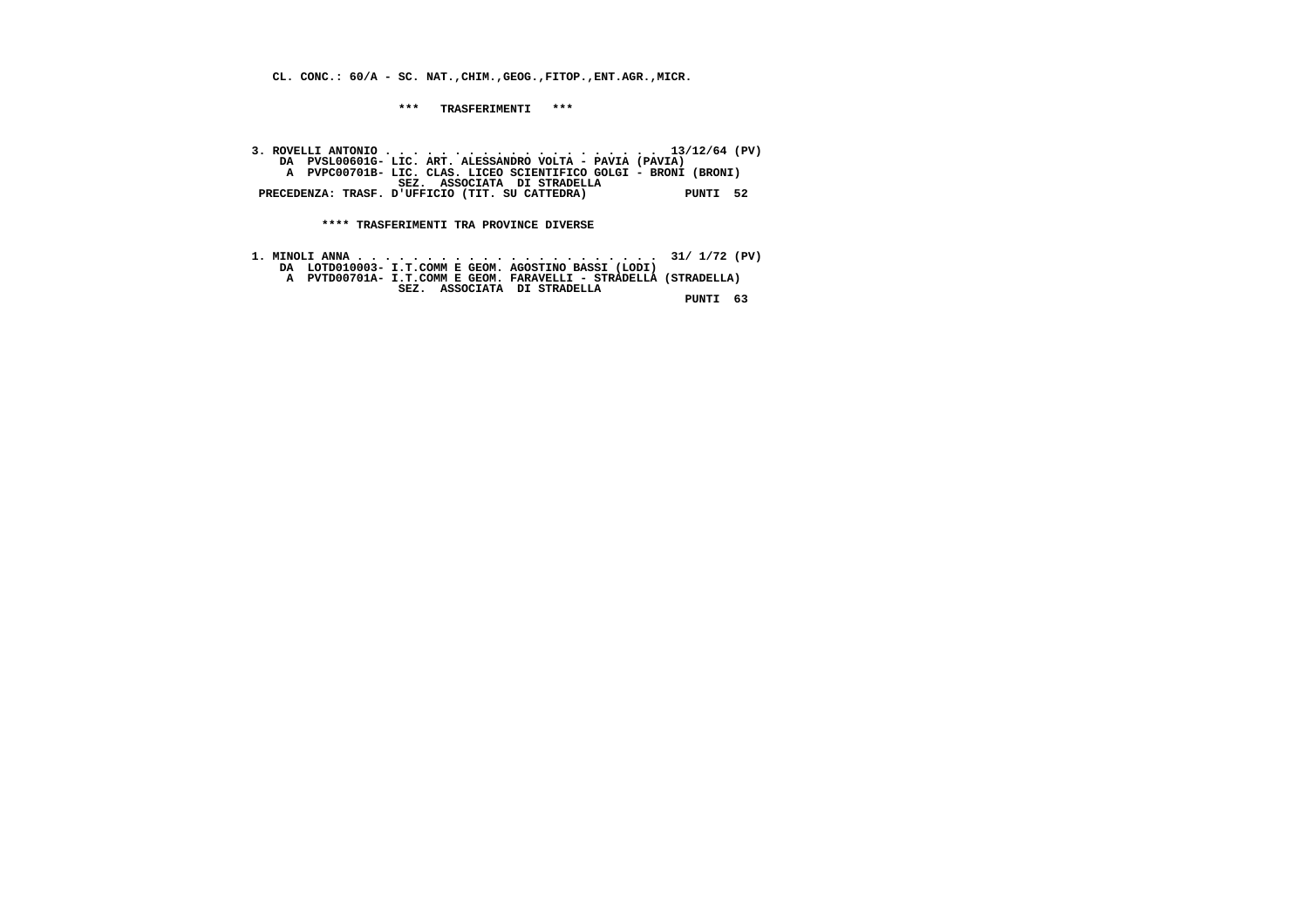**CL. CONC.: 60/A - SC. NAT.,CHIM.,GEOG.,FITOP.,ENT.AGR.,MICR.**

 **\*\*\* TRASFERIMENTI \*\*\***

 **3. ROVELLI ANTONIO . . . . . . . . . . . . . . . . . . . . 13/12/64 (PV) DA PVSL00601G- LIC. ART. ALESSANDRO VOLTA - PAVIA (PAVIA) A PVPC00701B- LIC. CLAS. LICEO SCIENTIFICO GOLGI - BRONI (BRONI) SEZ. ASSOCIATA DI STRADELLA PRECEDENZA: TRASF. D'UFFICIO (TIT. SU CATTEDRA) PUNTI 52**

 **\*\*\*\* TRASFERIMENTI TRA PROVINCE DIVERSE**

 **1. MINOLI ANNA . . . . . . . . . . . . . . . . . . . . . . 31/ 1/72 (PV) DA LOTD010003- I.T.COMM E GEOM. AGOSTINO BASSI (LODI) A PVTD00701A- I.T.COMM E GEOM. FARAVELLI - STRADELLA (STRADELLA) SEZ. ASSOCIATA DI STRADELLA PUNTI 63**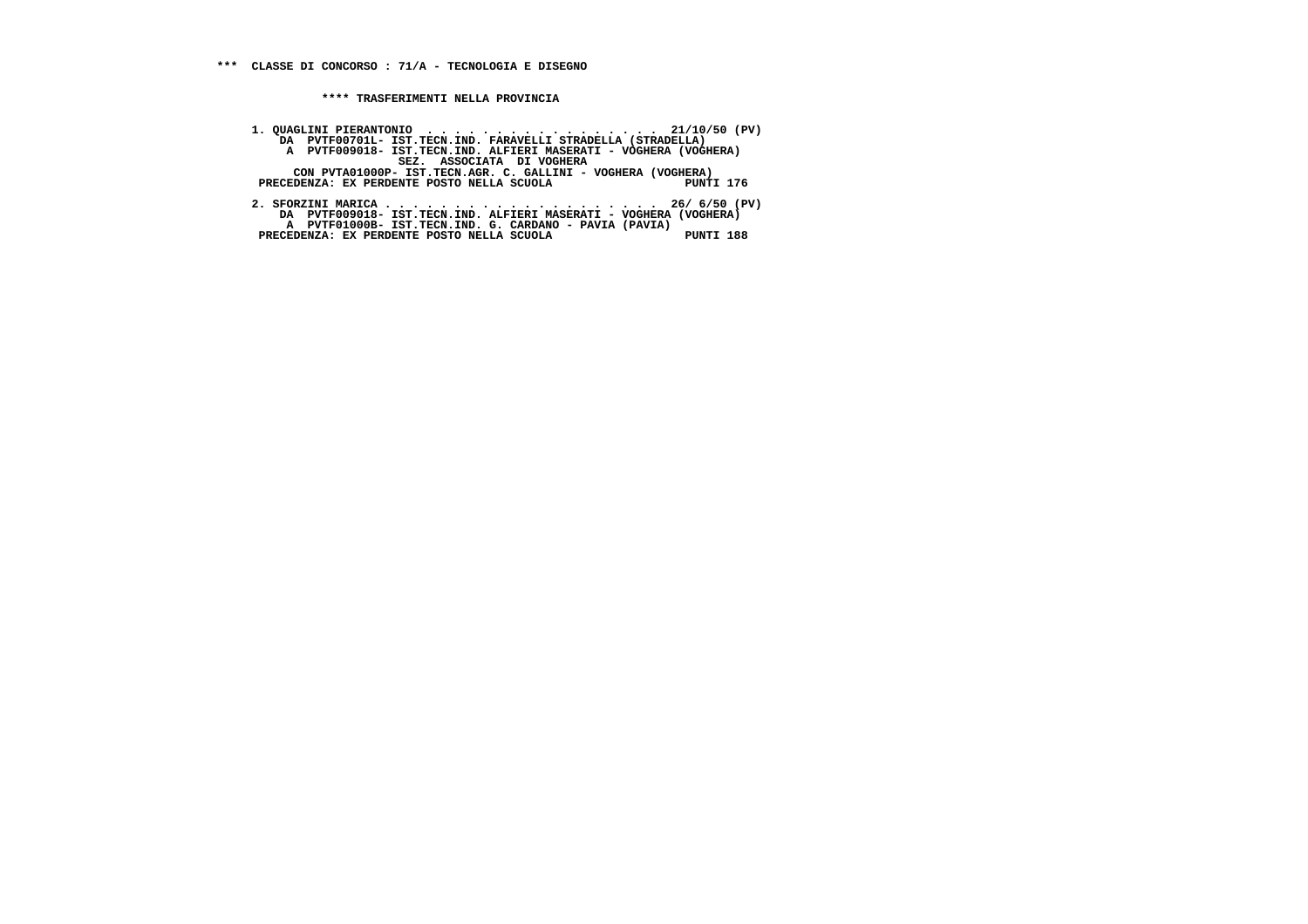**1. QUAGLINI PIERANTONIO . . . . . . . . . . . . . . . . . 21/10/50 (PV) DA PVTF00701L- IST.TECN.IND. FARAVELLI STRADELLA (STRADELLA)**A PVTF009018- IST.TECN.IND. ALFIERI MASERATI - VOGHERA (VOGHERA)<br>SEZ. ASSOCIATA DI VOGHERA<br>CON PVTA01000P- IST.TECN.AGR. C. GALLINI - VOGHERA (VOGHERA)<br>PRECEDENZA: EX PERDENTE POSTO NELLA SCUOLA  **2. SFORZINI MARICA . . . . . . . . . . . . . . . . . . . . 26/ 6/50 (PV) DA PVTF009018- IST.TECN.IND. ALFIERI MASERATI - VOGHERA (VOGHERA)**

 **A PVTF01000B- IST.TECN.IND. G. CARDANO - PAVIA (PAVIA) PRECEDENZA: EX PERDENTE POSTO NELLA SCUOLA PUNTI 188**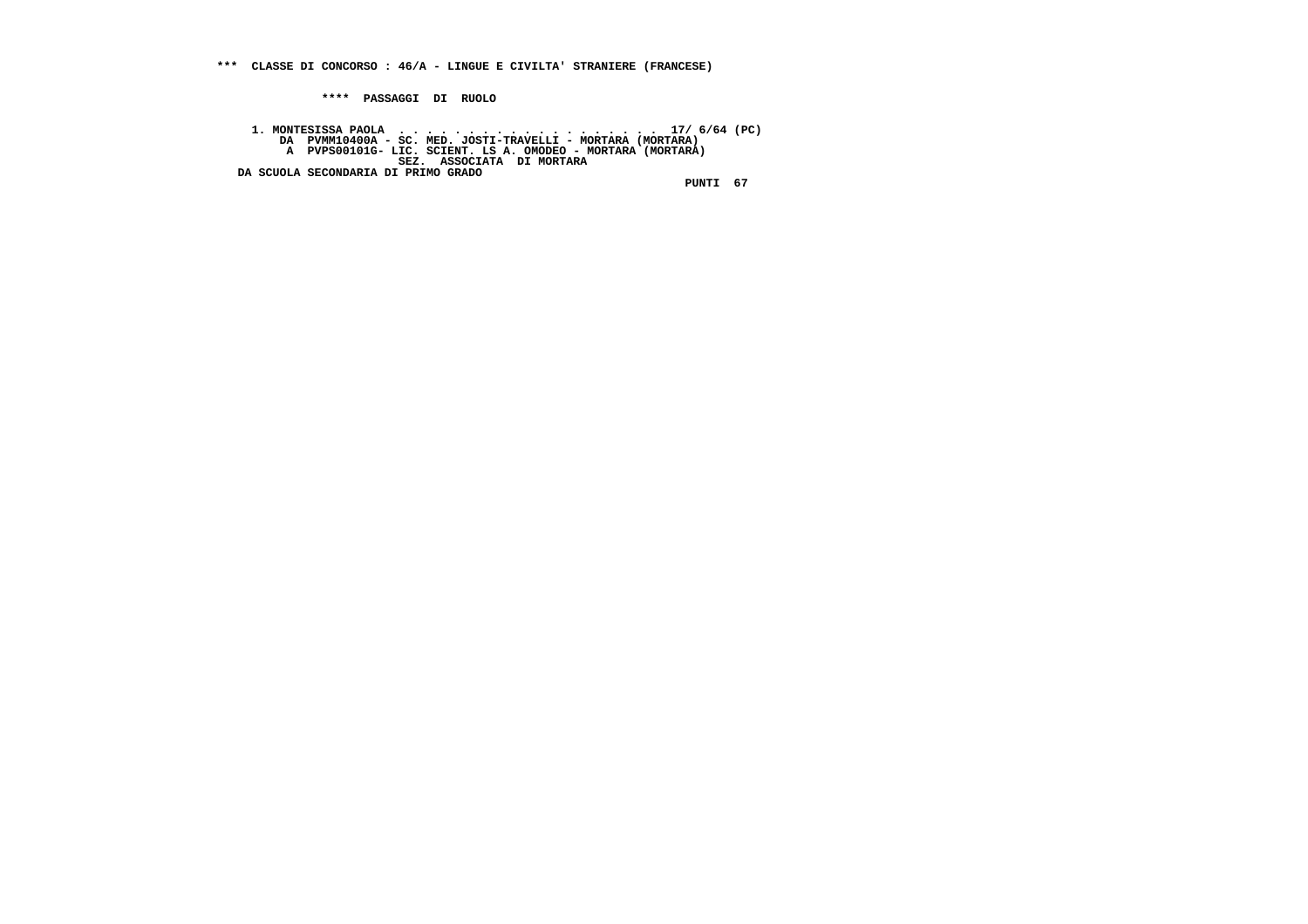**\*\*\* CLASSE DI CONCORSO : 46/A - LINGUE E CIVILTA' STRANIERE (FRANCESE)**

 **\*\*\*\* PASSAGGI DI RUOLO**

1. MONTESISSA PAOLA ... NED. JOSTI-TRAVELLI – MORTARA (MORTARA)<br>DA PVMM10400A – SC. MED. JOSTI-TRAVELLI – MORTARA (MORTARA)<br>A PVPS00101G- LIC. SCIENT. LS A. OMODEO – MORTARA (MORTARA)<br>DA SCUOLA SECONDARIA DI PRIMO GRADO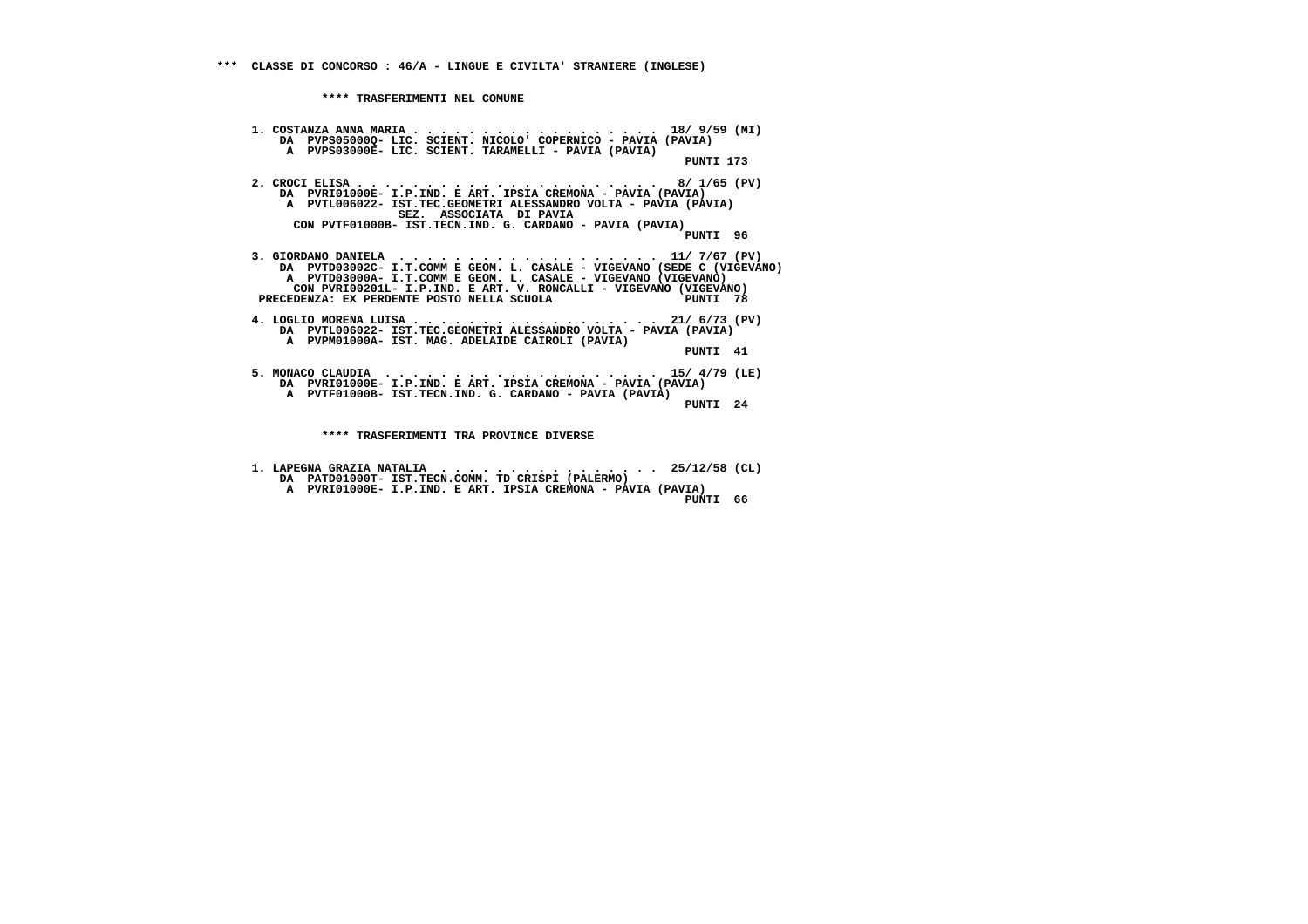**1. COSTANZA ANNA MARIA . . . . . . . . . . . . . . . . . . 18/ 9/59 (MI) DA PVPS05000Q- LIC. SCIENT. NICOLO' COPERNICO - PAVIA (PAVIA) A PVPS03000E- LIC. SCIENT. TARAMELLI - PAVIA (PAVIA) PUNTI 173 2. CROCI ELISA . . . . . . . . . . . . . . . . . . . . . . 8/ 1/65 (PV) DA PVRI01000E- I.P.IND. E ART. IPSIA CREMONA - PAVIA (PAVIA) A PVTL006022- IST.TEC.GEOMETRI ALESSANDRO VOLTA - PAVIA (PAVIA) SEZ. ASSOCIATA DI PAVIA CON PVTF01000B- IST.TECN.IND. G. CARDANO - PAVIA (PAVIA) PUNTI 96 3. GIORDANO DANIELA . . . . . . . . . . . . . . . . . . . 11/ 7/67 (PV) DA PVTD03002C- I.T.COMM E GEOM. L. CASALE - VIGEVANO (SEDE C (VIGEVANO) A PVTD03000A- I.T.COMM E GEOM. L. CASALE - VIGEVANO (VIGEVANO) CON PVRI00201L- I.P.IND. E ART. V. RONCALLI - VIGEVANO (VIGEVANO)**PUNTI 78 PRECEDENZA: EX PERDENTE POSTO NELLA SCUOLA  **4. LOGLIO MORENA LUISA . . . . . . . . . . . . . . . . . . 21/ 6/73 (PV) DA PVTL006022- IST.TEC.GEOMETRI ALESSANDRO VOLTA - PAVIA (PAVIA) A PVPM01000A- IST. MAG. ADELAIDE CAIROLI (PAVIA) PUNTI 41 5. MONACO CLAUDIA . . . . . . . . . . . . . . . . . . . . 15/ 4/79 (LE) DA PVRI01000E- I.P.IND. E ART. IPSIA CREMONA - PAVIA (PAVIA) A PVTF01000B- IST.TECN.IND. G. CARDANO - PAVIA (PAVIA) PUNTI 24 \*\*\*\* TRASFERIMENTI TRA PROVINCE DIVERSE**

- **1. LAPEGNA GRAZIA NATALIA . . . . . . . . . . . . . . . . 25/12/58 (CL) DA PATD01000T- IST.TECN.COMM. TD CRISPI (PALERMO) A PVRI01000E- I.P.IND. E ART. IPSIA CREMONA - PAVIA (PAVIA)**
- **PUNTI 66**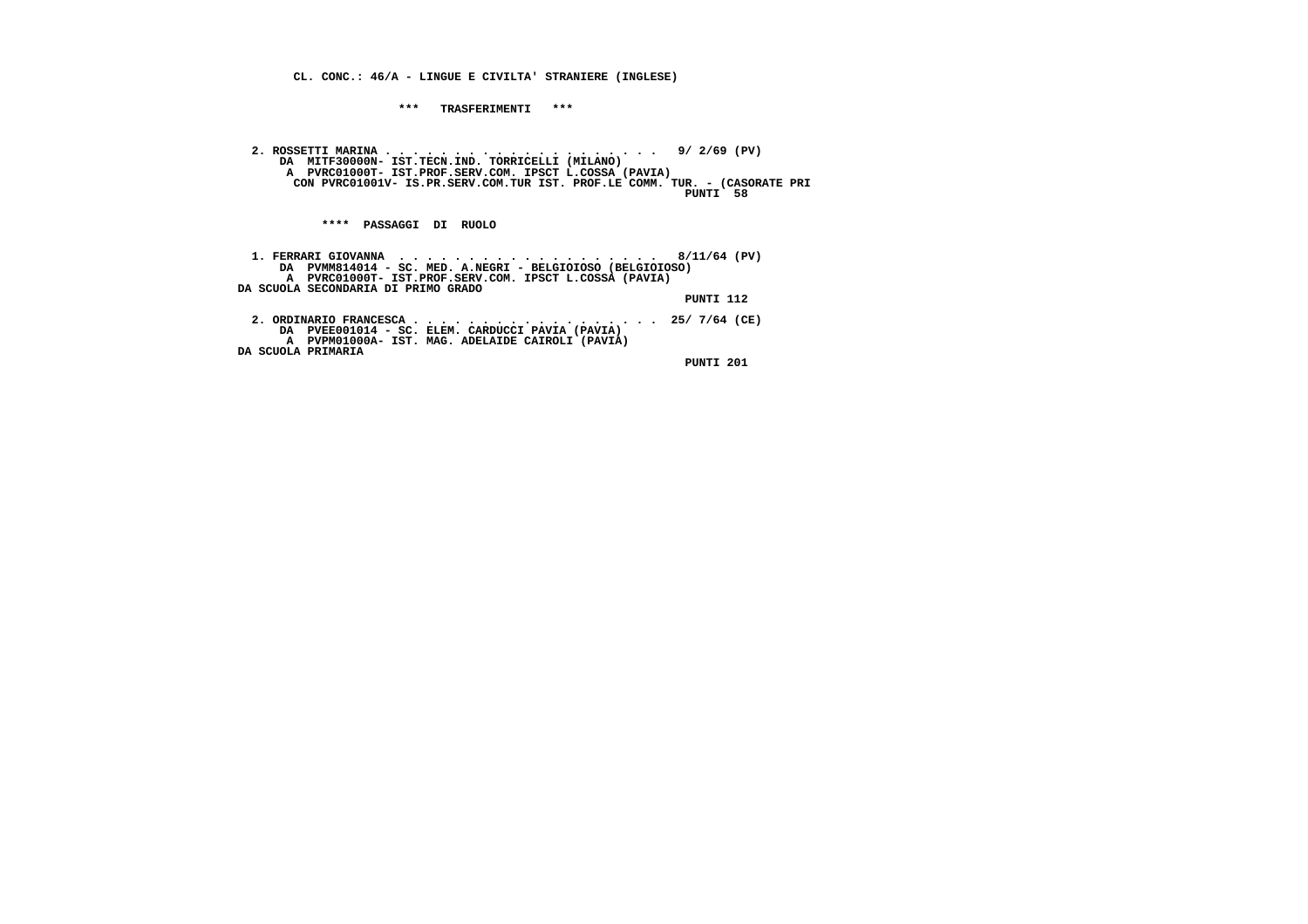**CL. CONC.: 46/A - LINGUE E CIVILTA' STRANIERE (INGLESE)**

 **\*\*\* TRASFERIMENTI \*\*\***

 **2. ROSSETTI MARINA . . . . . . . . . . . . . . . . . . . . 9/ 2/69 (PV) DA MITF30000N- IST.TECN.IND. TORRICELLI (MILANO) A PVRC01000T- IST.PROF.SERV.COM. IPSCT L.COSSA (PAVIA) CON PVRC01001V- IS.PR.SERV.COM.TUR IST. PROF.LE COMM. TUR. - (CASORATE PRI PUNTI 58**

 **\*\*\*\* PASSAGGI DI RUOLO**

| DA PVMM814014 - SC. MED. A.NEGRI - BELGIOIOSO (BELGIOIOSO)                                                                                                         |
|--------------------------------------------------------------------------------------------------------------------------------------------------------------------|
| A PVRC01000T- IST.PROF.SERV.COM. IPSCT L.COSSA (PAVIA)                                                                                                             |
| DA SCUOLA SECONDARIA DI PRIMO GRADO                                                                                                                                |
| PUNTI 112                                                                                                                                                          |
| 2. ORDINARIO FRANCESCA 25/ 7/64 (CE)<br>DA PVEE001014 - SC. ELEM. CARDUCCI PAVIA (PAVIA)<br>A PVPM01000A- IST. MAG. ADELAIDE CAIROLI (PAVIA)<br>DA SCUOLA PRIMARIA |
| PUNTI 201                                                                                                                                                          |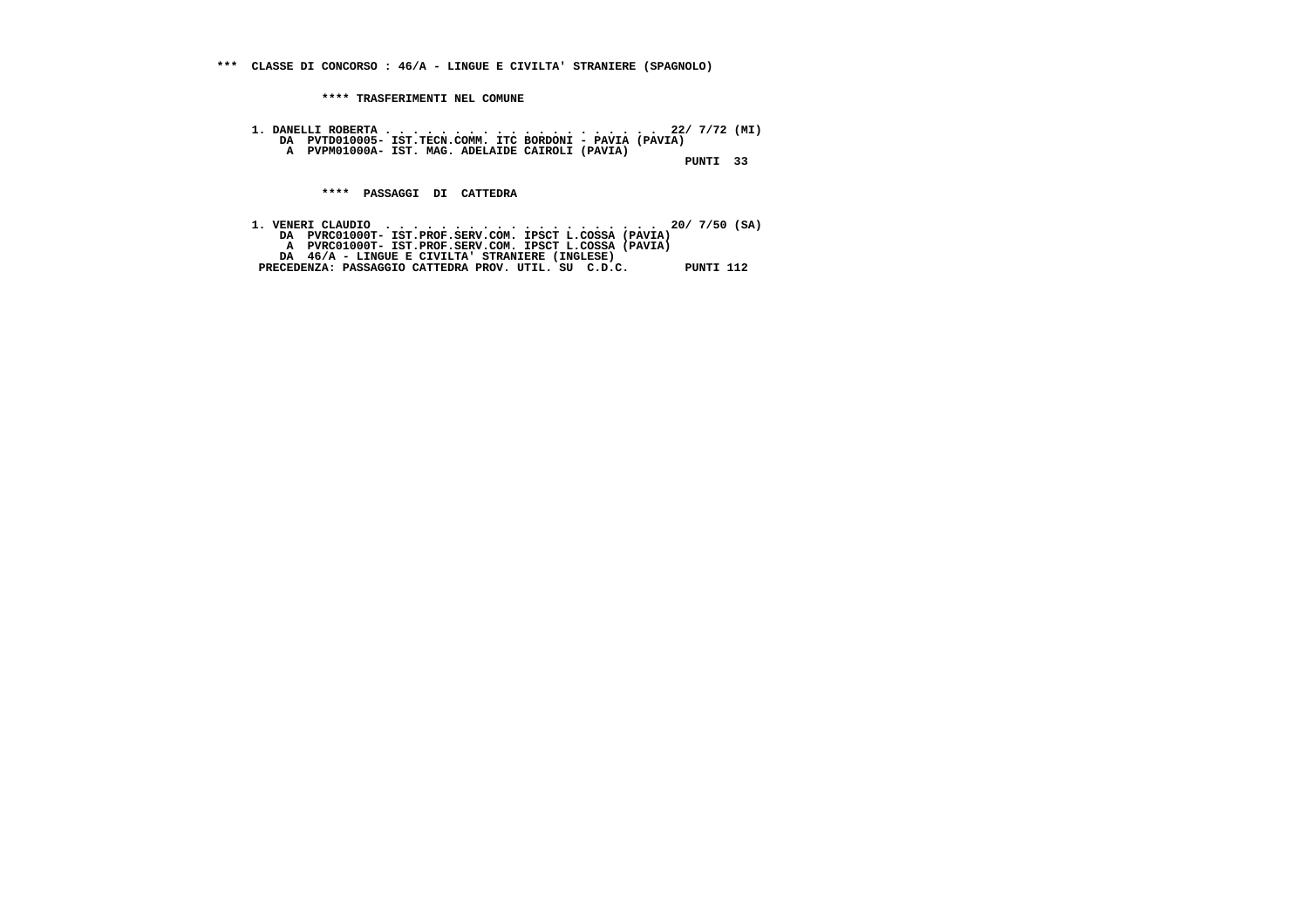**\*\*\* CLASSE DI CONCORSO : 46/A - LINGUE E CIVILTA' STRANIERE (SPAGNOLO)**

 **\*\*\*\* TRASFERIMENTI NEL COMUNE**

 **1. DANELLI ROBERTA . . . . . . . . . . . . . . . . . . . . 22/ 7/72 (MI) DA PVTD010005- IST.TECN.COMM. ITC BORDONI - PAVIA (PAVIA) A PVPM01000A- IST. MAG. ADELAIDE CAIROLI (PAVIA) PUNTI 33**

 **\*\*\*\* PASSAGGI DI CATTEDRA**

 **1. VENERI CLAUDIO . . . . . . . . . . . . . . . . . . . . 20/ 7/50 (SA) DA PVRC01000T- IST.PROF.SERV.COM. IPSCT L.COSSA (PAVIA) A PVRC01000T- IST.PROF.SERV.COM. IPSCT L.COSSA (PAVIA) DA 46/A - LINGUE E CIVILTA' STRANIERE (INGLESE) PRECEDENZA: PASSAGGIO CATTEDRA PROV. UTIL. SU C.D.C. PUNTI 112**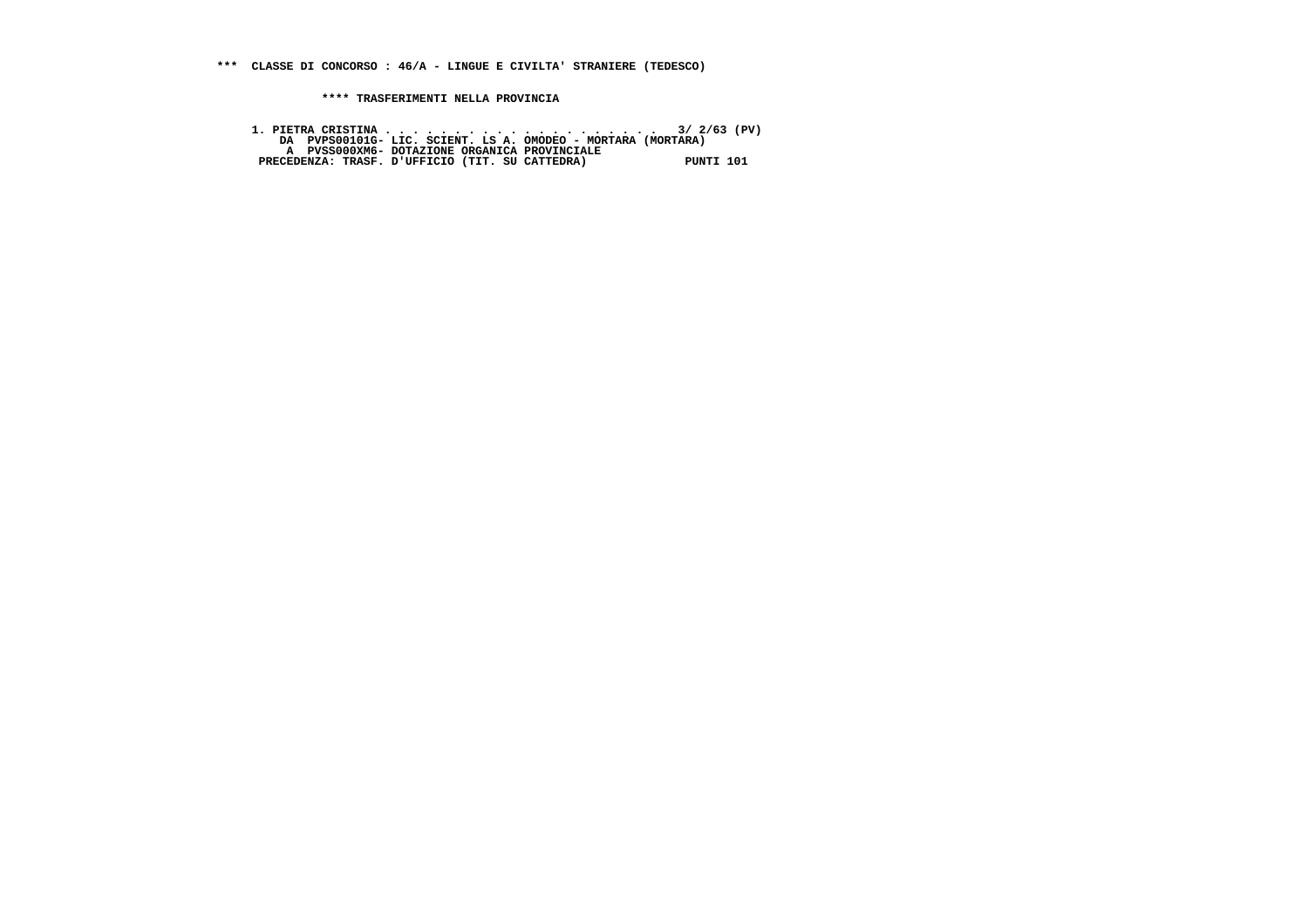**\*\*\* CLASSE DI CONCORSO : 46/A - LINGUE E CIVILTA' STRANIERE (TEDESCO)**

 **\*\*\*\* TRASFERIMENTI NELLA PROVINCIA**

 **1. PIETRA CRISTINA . . . . . . . . . . . . . . . . . . . . 3/ 2/63 (PV) DA PVPS00101G- LIC. SCIENT. LS A. OMODEO - MORTARA (MORTARA) A PVSS000XM6- DOTAZIONE ORGANICA PROVINCIALE PRECEDENZA: TRASF. D'UFFICIO (TIT. SU CATTEDRA) PUNTI 101**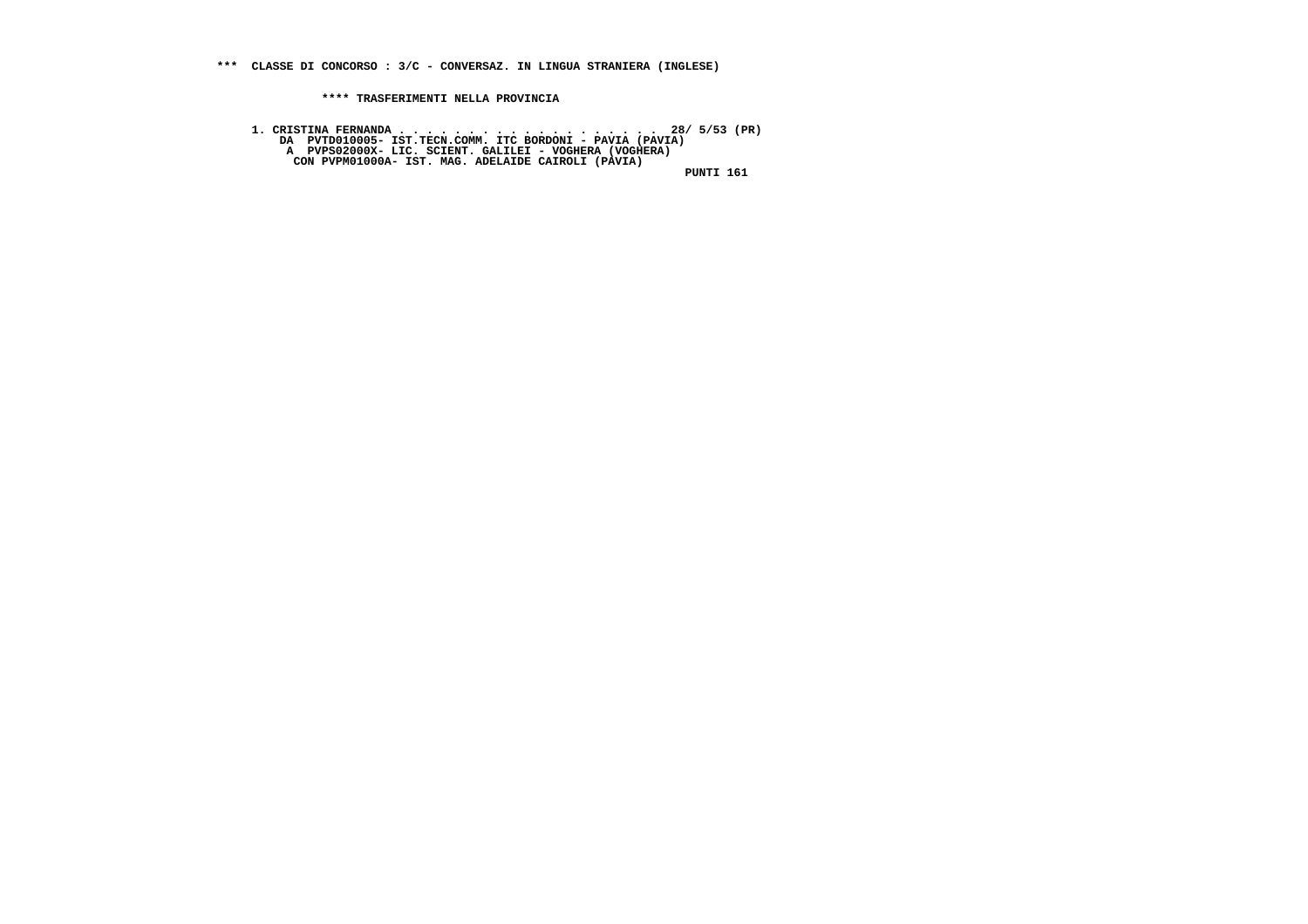**\*\*\* CLASSE DI CONCORSO : 3/C - CONVERSAZ. IN LINGUA STRANIERA (INGLESE)**

 **\*\*\*\* TRASFERIMENTI NELLA PROVINCIA**

 **1. CRISTINA FERNANDA . . . . . . . . . . . . . . . . . . . 28/ 5/53 (PR) DA PVTD010005- IST.TECN.COMM. ITC BORDONI - PAVIA (PAVIA) A PVPS02000X- LIC. SCIENT. GALILEI - VOGHERA (VOGHERA) CON PVPM01000A- IST. MAG. ADELAIDE CAIROLI (PAVIA) PUNTI 161**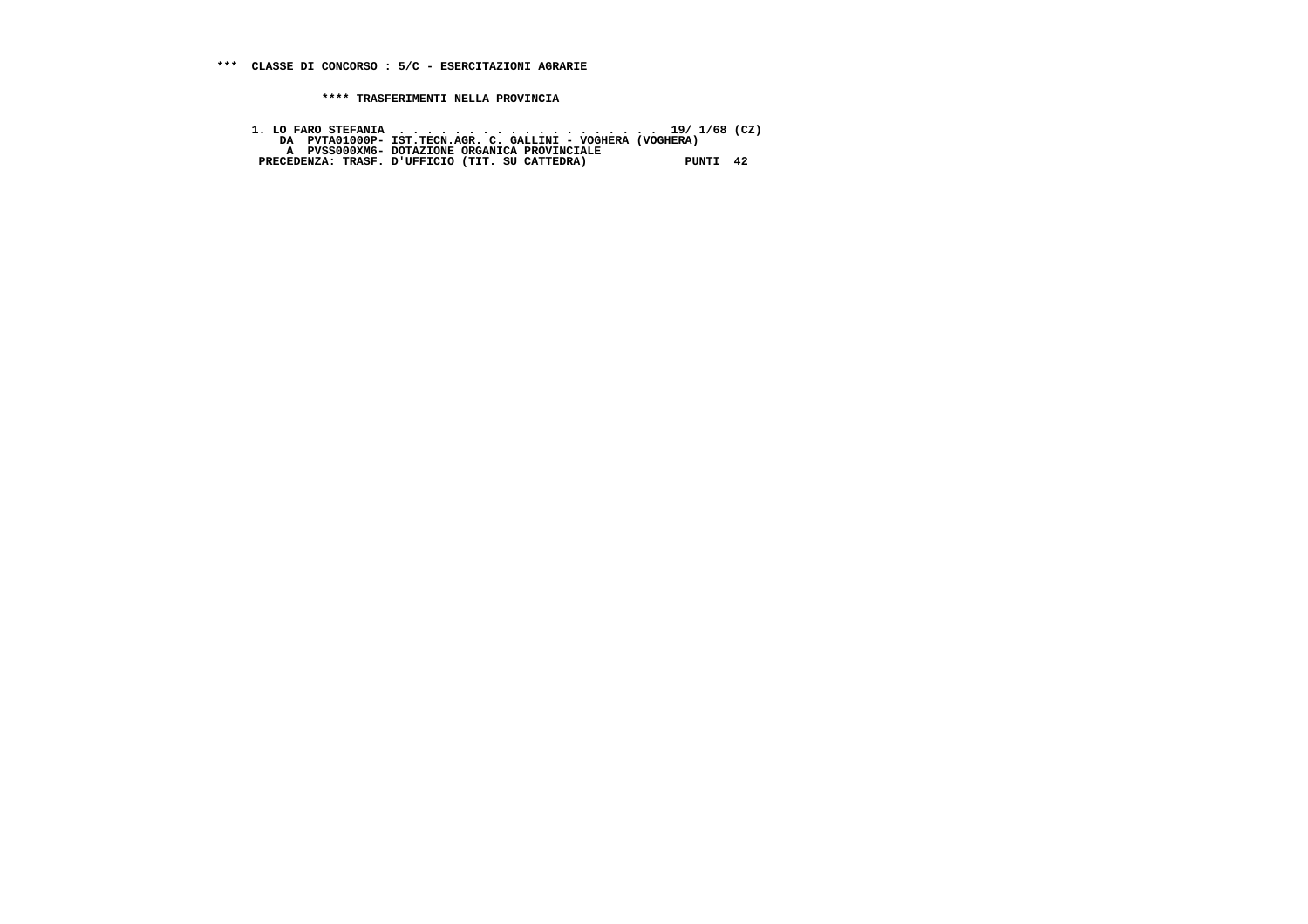1. LO FARO STEFANIA<br>DA PUTAO1000P- IST.TECN.AGR. C. GALLINI - VOGHERA (VOGHERA)<br>A PUSSO00XM6- DOTAZIONE ORGANICA PROVINCIALE<br>PRECEDENZA: TRASF. D'UFFICIO (TIT. SU CATTEDRA) PUNTI 42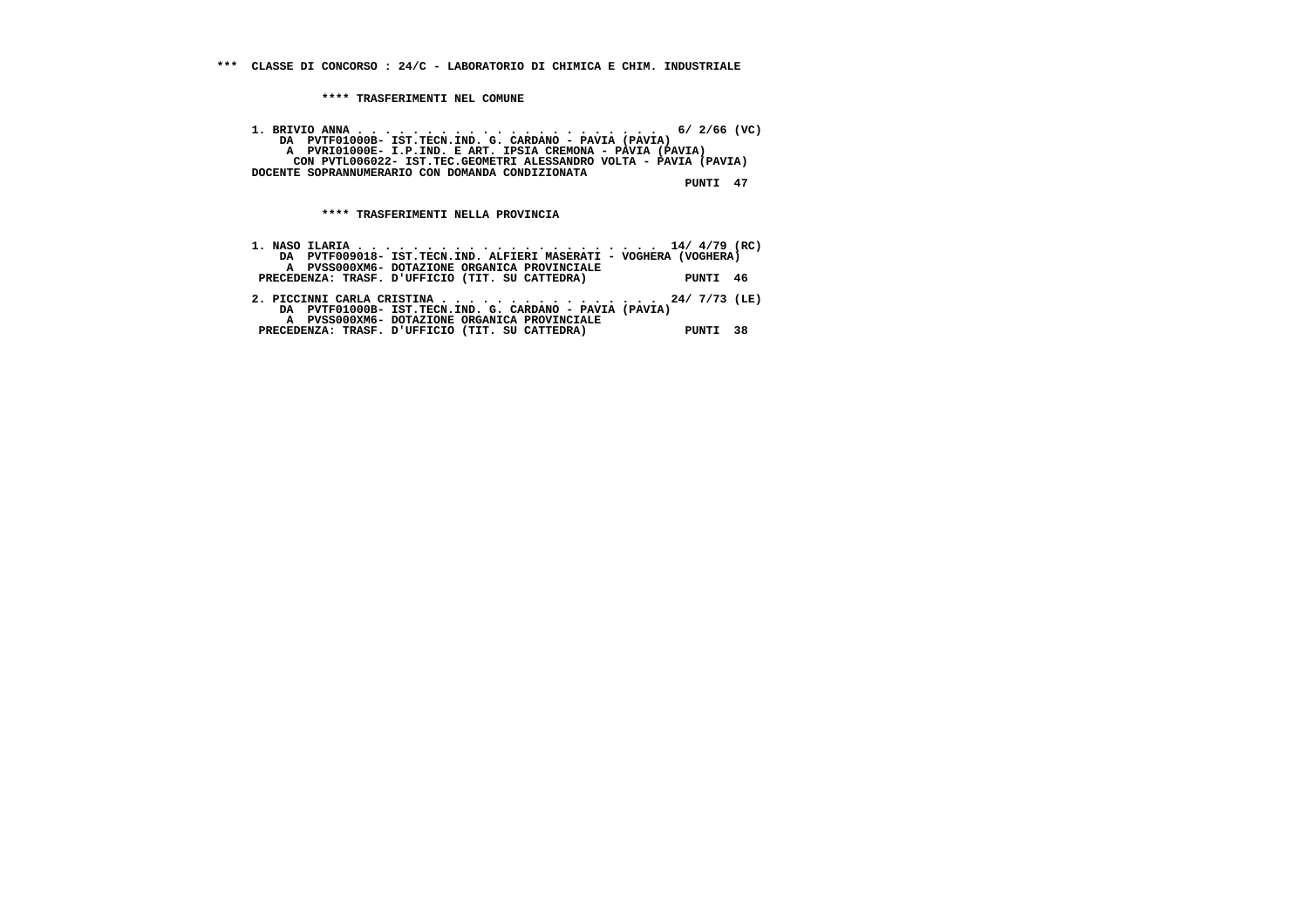**1. BRIVIO ANNA . . . . . . . . . . . . . . . . . . . . . . 6/ 2/66 (VC) DA PVTF01000B- IST.TECN.IND. G. CARDANO - PAVIA (PAVIA) A PVRI01000E- I.P.IND. E ART. IPSIA CREMONA - PAVIA (PAVIA) CON PVTL006022- IST.TEC.GEOMETRI ALESSANDRO VOLTA - PAVIA (PAVIA) DOCENTE SOPRANNUMERARIO CON DOMANDA CONDIZIONATA PUNTI 47**

 **\*\*\*\* TRASFERIMENTI NELLA PROVINCIA**

| DA PVTF009018- IST.TECN.IND. ALFIERI MASERATI - VOGHERA (VOGHERA) |          |  |
|-------------------------------------------------------------------|----------|--|
| A PVSS000XM6- DOTAZIONE ORGANICA PROVINCIALE                      |          |  |
| PRECEDENZA: TRASF. D'UFFICIO (TIT. SU CATTEDRA)                   | PUNTI 46 |  |
|                                                                   |          |  |
| 2. PICCINNI CARLA CRISTINA 24/ 7/73 (LE)                          |          |  |
| DA PVTF01000B- IST.TECN.IND. G. CARDANO - PAVIA (PAVIA)           |          |  |
| A PVSS000XM6- DOTAZIONE ORGANICA PROVINCIALE                      |          |  |
| PRECEDENZA: TRASF. D'UFFICIO (TIT. SU CATTEDRA)                   | PUNTI 38 |  |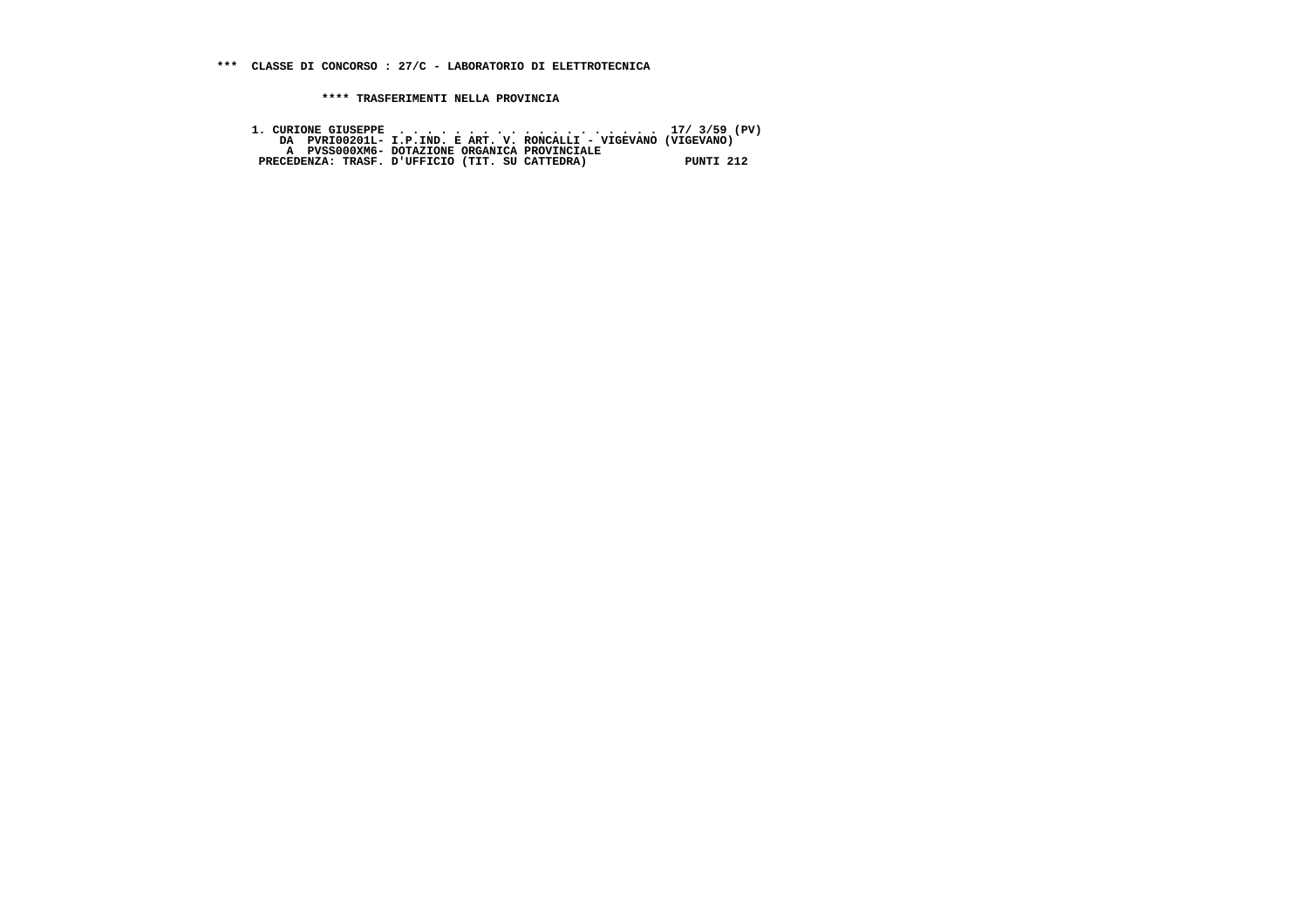**\*\*\* CLASSE DI CONCORSO : 27/C - LABORATORIO DI ELETTROTECNICA**

 **\*\*\*\* TRASFERIMENTI NELLA PROVINCIA**

 **1. CURIONE GIUSEPPE . . . . . . . . . . . . . . . . . . . 17/ 3/59 (PV) DA PVRI00201L- I.P.IND. E ART. V. RONCALLI - VIGEVANO (VIGEVANO) A PVSS000XM6- DOTAZIONE ORGANICA PROVINCIALE PRECEDENZA: TRASF. D'UFFICIO (TIT. SU CATTEDRA) PUNTI 212**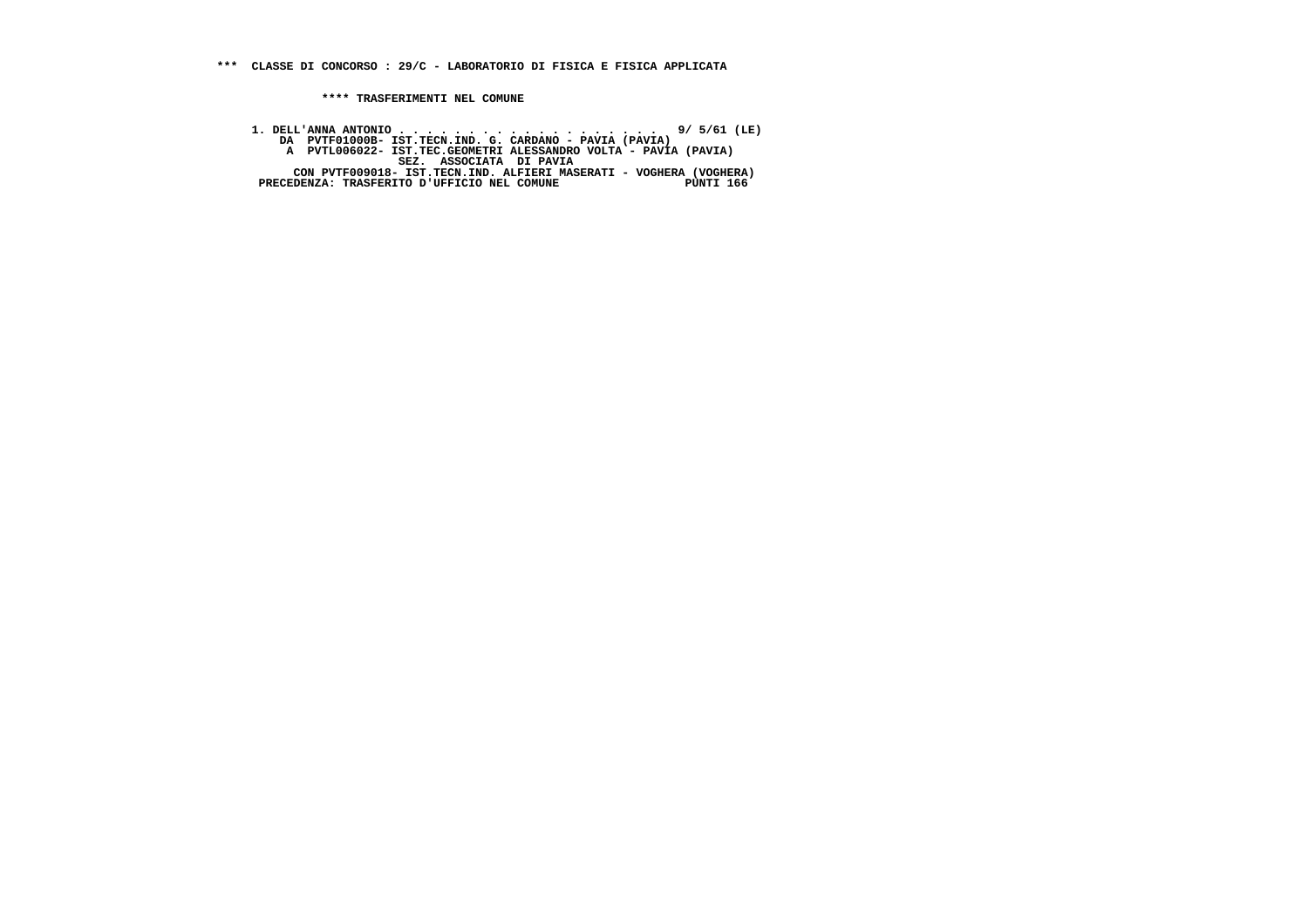**1. DELL'ANNA ANTONIO . . . . . . . . . . . . . . . . . . . 9/ 5/61 (LE) DA PVTF01000B- IST.TECN.IND. G. CARDANO - PAVIA (PAVIA) A PVTL006022- IST.TEC.GEOMETRI ALESSANDRO VOLTA - PAVIA (PAVIA) SEZ. ASSOCIATA DI PAVIA CON PVTF009018- IST.TECN.IND. ALFIERI MASERATI - VOGHERA (VOGHERA) PRECEDENZA: TRASFERITO D'UFFICIO NEL COMUNE PUNTI 166**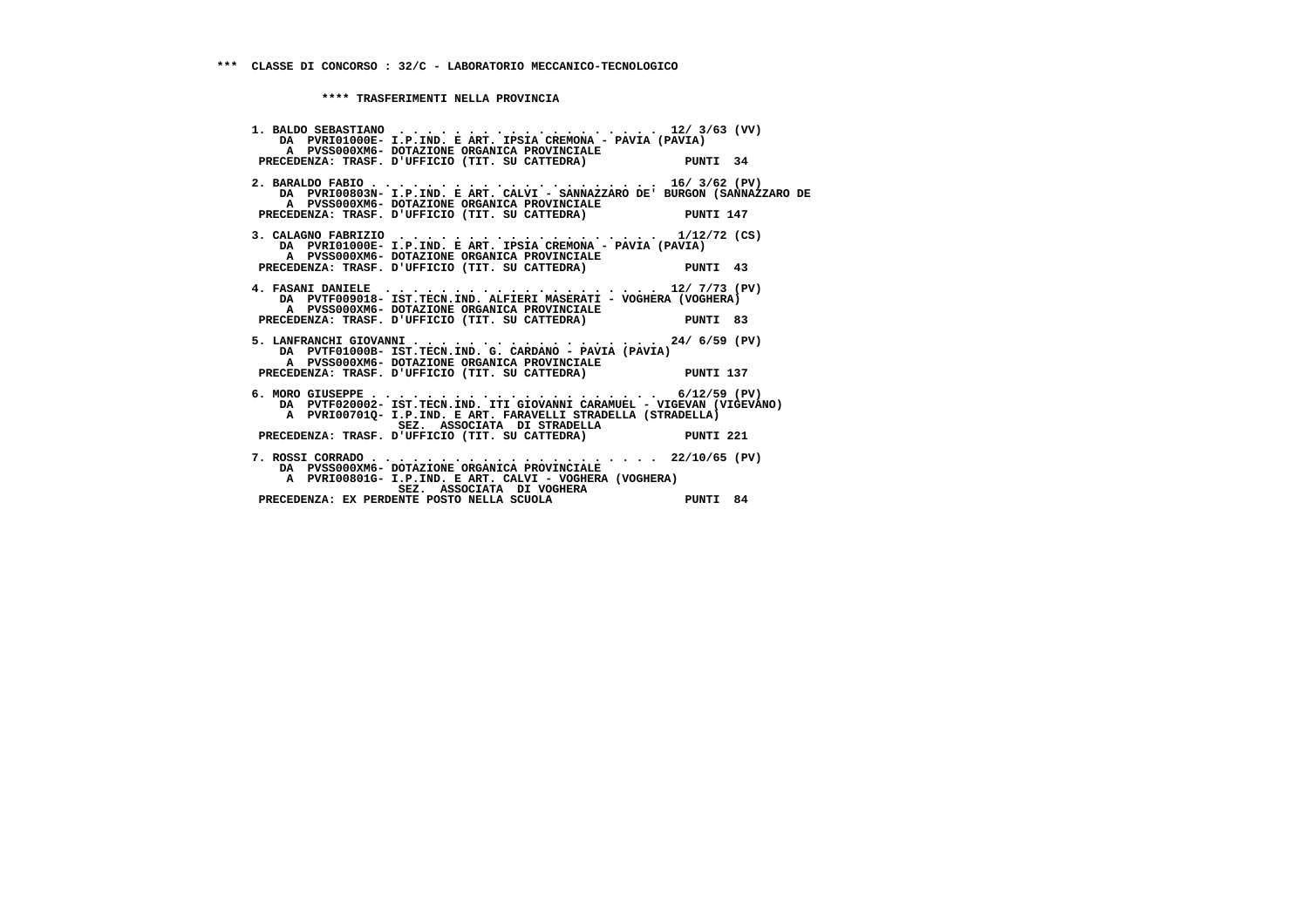| 1. BALDO SEBASTIANO 12/3/63 (VV)<br>DA PVRI01000E- I.P.IND. E ART. IPSIA CREMONA - PAVIA (PAVIA)                                                 |          |
|--------------------------------------------------------------------------------------------------------------------------------------------------|----------|
| A PVSS000XM6- DOTAZIONE ORGANICA PROVINCIALE<br>PRECEDENZA: TRASF. D'UFFICIO (TIT. SU CATTEDRA) PUNTI 34                                         |          |
| DA PVRI00803N- I.P.IND. E ART. CALVI - SANNAZZARO DE' BURGON (SANNAZZARO DE<br>A PVSS000XM6- DOTAZIONE ORGANICA PROVINCIALE                      |          |
| PRECEDENZA: TRASF. D'UFFICIO (TIT. SU CATTEDRA) PUNTI 147                                                                                        |          |
| 3. CALAGNO FABRIZIO 1/12/72 (CS)<br>DA PVRI01000E- I.P.IND. E ART. IPSIA CREMONA - PAVIA (PAVIA)<br>A PVSS000XM6- DOTAZIONE ORGANICA PROVINCIALE |          |
| PRECEDENZA: TRASF. D'UFFICIO (TIT. SU CATTEDRA) PUNTI 43                                                                                         |          |
| DA PVTF009018- IST.TECN.IND. ALFIERI MASERATI - VOGHERA (VOGHERA)<br>A PVSS000XM6- DOTAZIONE ORGANICA PROVINCIALE                                |          |
| PRECEDENZA: TRASF. D'UFFICIO (TIT. SU CATTEDRA)                                                                                                  | PUNTI 83 |
| 5. LANFRANCHI GIOVANNI 24/ 6/59 (PV)<br>DA PVTF01000B- IST.TECN.IND. G. CARDANO - PAVIA (PAVIA)<br>A PVSS000XM6- DOTAZIONE ORGANICA PROVINCIALE  |          |
| PRECEDENZA: TRASF. D'UFFICIO (TIT. SU CATTEDRA) PUNTI 137                                                                                        |          |
| DA PVTF020002- IST.TECN.IND. ITI GIOVANNI CARAMUEL - VIGEVAN (VIGEVANO)<br>A PVRI007010- I.P.IND. E ART. FARAVELLI STRADELLA (STRADELLA)         |          |
| SEZ. ASSOCIATA DI STRADELLA<br>PRECEDENZA: TRASF. D'UFFICIO (TIT. SU CATTEDRA) PUNTI 221                                                         |          |
| DA PVSS000XM6- DOTAZIONE ORGANICA PROVINCIALE<br>A PVRI00801G- I.P.IND. E ART. CALVI - VOGHERA (VOGHERA)                                         |          |
| SEZ. ASSOCIATA DI VOGHERA<br>PRECEDENZA: EX PERDENTE POSTO NELLA SCUOLA                                                                          | PUNTI 84 |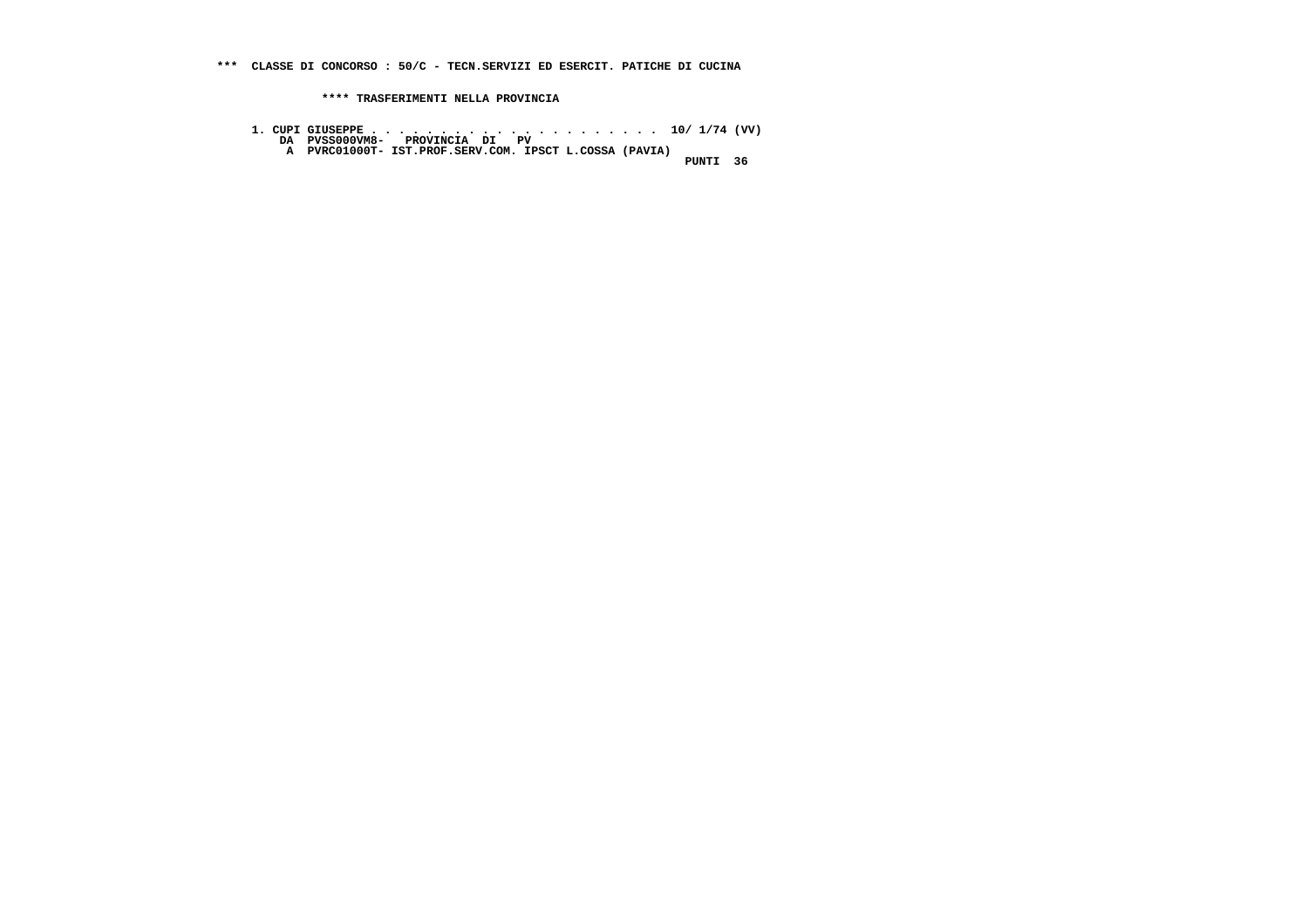- **1. CUPI GIUSEPPE . . . . . . . . . . . . . . . . . . . . . 10/ 1/74 (VV) DA PVSS000VM8- PROVINCIA DI PV A PVRC01000T- IST.PROF.SERV.COM. IPSCT L.COSSA (PAVIA) PUNTI 36**
	- -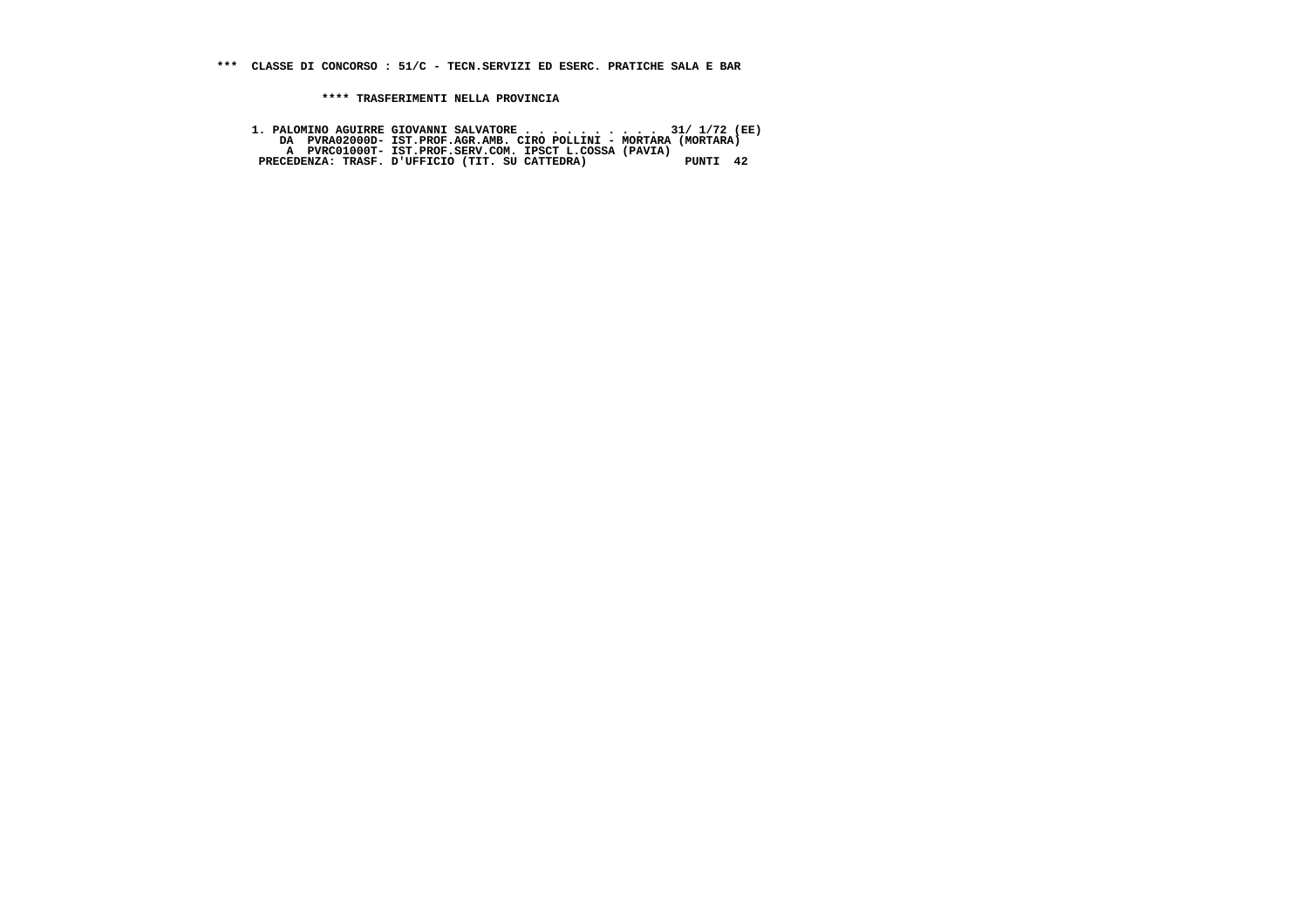**1. PALOMINO AGUIRRE GIOVANNI SALVATORE . . . . . . . . . . 31/ 1/72 (EE) DA PVRA02000D- IST.PROF.AGR.AMB. CIRO POLLINI - MORTARA (MORTARA) A PVRC01000T- IST.PROF.SERV.COM. IPSCT L.COSSA (PAVIA) PRECEDENZA: TRASF. D'UFFICIO (TIT. SU CATTEDRA) PUNTI 42**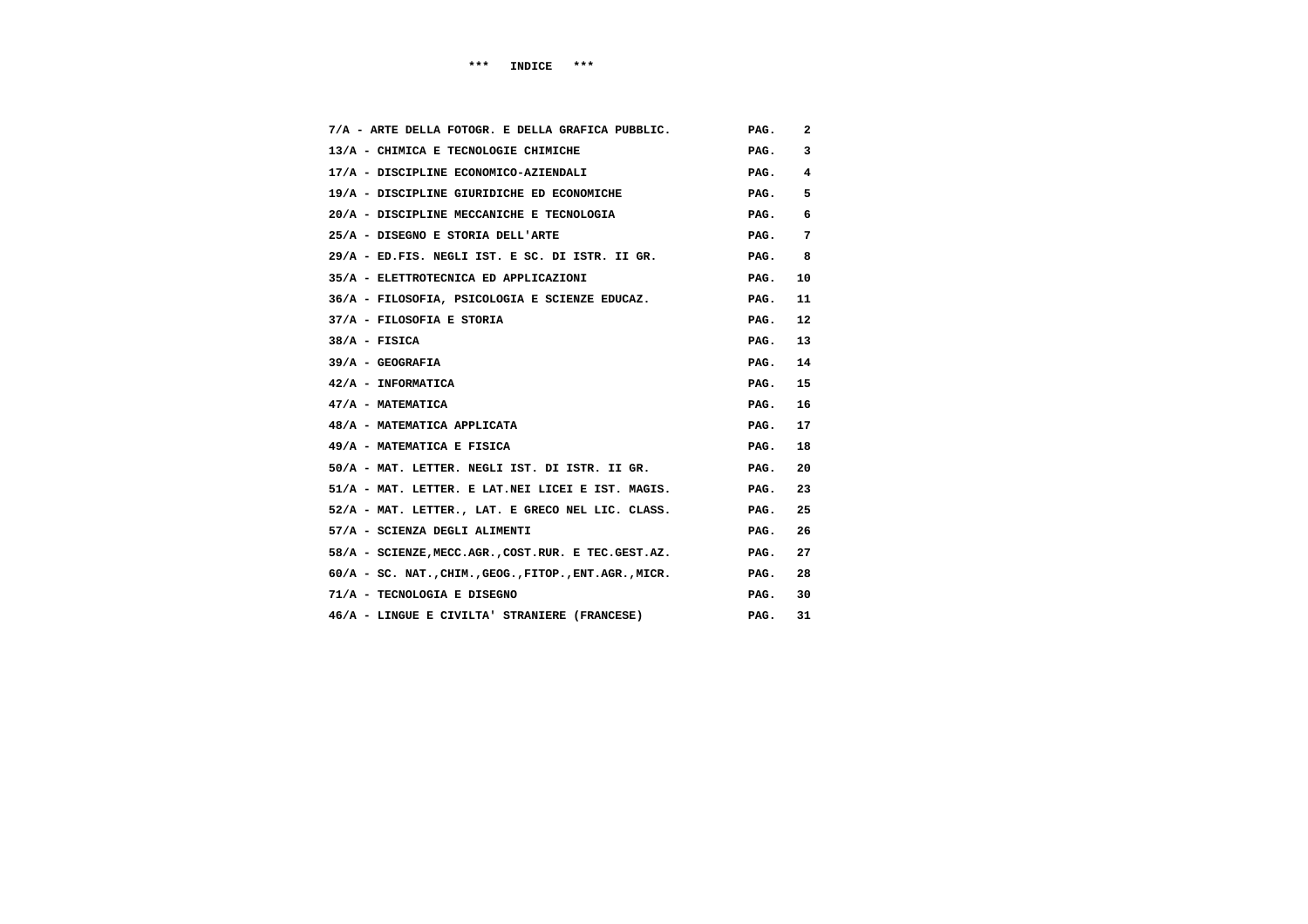| 7/A - ARTE DELLA FOTOGR. E DELLA GRAFICA PUBBLIC.         | PAG. | 2  |
|-----------------------------------------------------------|------|----|
| 13/A - CHIMICA E TECNOLOGIE CHIMICHE                      | PAG. | 3  |
| 17/A - DISCIPLINE ECONOMICO-AZIENDALI                     | PAG. | 4  |
| 19/A - DISCIPLINE GIURIDICHE ED ECONOMICHE                | PAG. | 5  |
| 20/A - DISCIPLINE MECCANICHE E TECNOLOGIA                 | PAG. | 6  |
| 25/A - DISEGNO E STORIA DELL'ARTE                         | PAG. | 7  |
| 29/A - ED.FIS. NEGLI IST. E SC. DI ISTR. II GR.           | PAG. | 8  |
| 35/A - ELETTROTECNICA ED APPLICAZIONI                     | PAG. | 10 |
| 36/A - FILOSOFIA, PSICOLOGIA E SCIENZE EDUCAZ.            | PAG. | 11 |
| 37/A - FILOSOFIA E STORIA                                 | PAG. | 12 |
| $38/A$ - FISICA                                           | PAG. | 13 |
| $39/A - GEOGRAPHA$                                        | PAG. | 14 |
| 42/A - INFORMATICA                                        | PAG. | 15 |
| 47/A - MATEMATICA                                         | PAG. | 16 |
| 48/A - MATEMATICA APPLICATA                               | PAG. | 17 |
| 49/A - MATEMATICA E FISICA                                | PAG. | 18 |
| 50/A - MAT. LETTER. NEGLI IST. DI ISTR. II GR.            | PAG. | 20 |
| 51/A - MAT. LETTER. E LAT.NEI LICEI E IST. MAGIS.         | PAG. | 23 |
| 52/A - MAT. LETTER., LAT. E GRECO NEL LIC. CLASS.         | PAG. | 25 |
| 57/A - SCIENZA DEGLI ALIMENTI                             | PAG. | 26 |
| 58/A - SCIENZE, MECC.AGR., COST.RUR. E TEC.GEST.AZ.       | PAG. | 27 |
| $60/A$ - SC. NAT., CHIM., GEOG., FITOP., ENT. AGR., MICR. | PAG. | 28 |
| 71/A - TECNOLOGIA E DISEGNO                               | PAG. | 30 |
| 46/A - LINGUE E CIVILTA' STRANIERE (FRANCESE)             | PAG. | 31 |